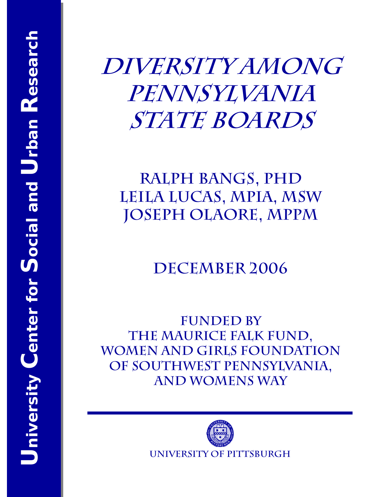# **Diversity Among Pennsylvania State Boards**

# **Ralph Bangs, PhD Leila Lucas, MPIA, MSW Joseph Olaore, MPPM**

# **December 2006**

**FUNDED BY The Maurice Falk Fund, Women and Girls Foundation of Southwest Pennsylvania, and WOMENS WAY** 

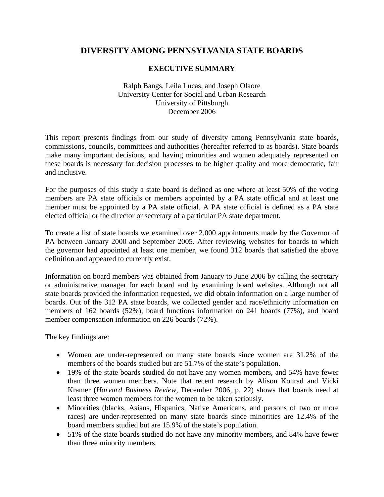### **DIVERSITY AMONG PENNSYLVANIA STATE BOARDS**

#### **EXECUTIVE SUMMARY**

#### Ralph Bangs, Leila Lucas, and Joseph Olaore University Center for Social and Urban Research University of Pittsburgh December 2006

This report presents findings from our study of diversity among Pennsylvania state boards, commissions, councils, committees and authorities (hereafter referred to as boards). State boards make many important decisions, and having minorities and women adequately represented on these boards is necessary for decision processes to be higher quality and more democratic, fair and inclusive.

For the purposes of this study a state board is defined as one where at least 50% of the voting members are PA state officials or members appointed by a PA state official and at least one member must be appointed by a PA state official. A PA state official is defined as a PA state elected official or the director or secretary of a particular PA state department.

To create a list of state boards we examined over 2,000 appointments made by the Governor of PA between January 2000 and September 2005. After reviewing websites for boards to which the governor had appointed at least one member, we found 312 boards that satisfied the above definition and appeared to currently exist.

Information on board members was obtained from January to June 2006 by calling the secretary or administrative manager for each board and by examining board websites. Although not all state boards provided the information requested, we did obtain information on a large number of boards. Out of the 312 PA state boards, we collected gender and race/ethnicity information on members of 162 boards (52%), board functions information on 241 boards (77%), and board member compensation information on 226 boards (72%).

The key findings are:

- Women are under-represented on many state boards since women are 31.2% of the members of the boards studied but are 51.7% of the state's population.
- 19% of the state boards studied do not have any women members, and 54% have fewer than three women members. Note that recent research by Alison Konrad and Vicki Kramer (*Harvard Business Review*, December 2006, p. 22) shows that boards need at least three women members for the women to be taken seriously.
- Minorities (blacks, Asians, Hispanics, Native Americans, and persons of two or more races) are under-represented on many state boards since minorities are 12.4% of the board members studied but are 15.9% of the state's population.
- 51% of the state boards studied do not have any minority members, and 84% have fewer than three minority members.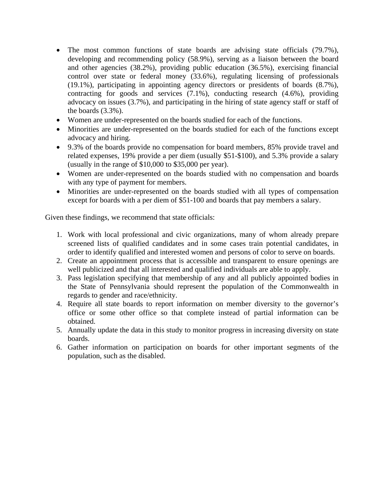- The most common functions of state boards are advising state officials (79.7%), developing and recommending policy (58.9%), serving as a liaison between the board and other agencies (38.2%), providing public education (36.5%), exercising financial control over state or federal money (33.6%), regulating licensing of professionals (19.1%), participating in appointing agency directors or presidents of boards (8.7%), contracting for goods and services (7.1%), conducting research (4.6%), providing advocacy on issues (3.7%), and participating in the hiring of state agency staff or staff of the boards (3.3%).
- Women are under-represented on the boards studied for each of the functions.
- Minorities are under-represented on the boards studied for each of the functions except advocacy and hiring.
- 9.3% of the boards provide no compensation for board members, 85% provide travel and related expenses, 19% provide a per diem (usually \$51-\$100), and 5.3% provide a salary (usually in the range of \$10,000 to \$35,000 per year).
- Women are under-represented on the boards studied with no compensation and boards with any type of payment for members.
- Minorities are under-represented on the boards studied with all types of compensation except for boards with a per diem of \$51-100 and boards that pay members a salary.

Given these findings, we recommend that state officials:

- 1. Work with local professional and civic organizations, many of whom already prepare screened lists of qualified candidates and in some cases train potential candidates, in order to identify qualified and interested women and persons of color to serve on boards.
- 2. Create an appointment process that is accessible and transparent to ensure openings are well publicized and that all interested and qualified individuals are able to apply.
- 3. Pass legislation specifying that membership of any and all publicly appointed bodies in the State of Pennsylvania should represent the population of the Commonwealth in regards to gender and race/ethnicity.
- 4. Require all state boards to report information on member diversity to the governor's office or some other office so that complete instead of partial information can be obtained.
- 5. Annually update the data in this study to monitor progress in increasing diversity on state boards.
- 6. Gather information on participation on boards for other important segments of the population, such as the disabled.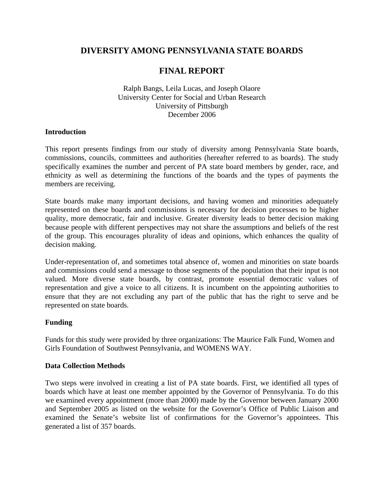### **DIVERSITY AMONG PENNSYLVANIA STATE BOARDS**

## **FINAL REPORT**

Ralph Bangs, Leila Lucas, and Joseph Olaore University Center for Social and Urban Research University of Pittsburgh December 2006

#### **Introduction**

This report presents findings from our study of diversity among Pennsylvania State boards, commissions, councils, committees and authorities (hereafter referred to as boards). The study specifically examines the number and percent of PA state board members by gender, race, and ethnicity as well as determining the functions of the boards and the types of payments the members are receiving.

State boards make many important decisions, and having women and minorities adequately represented on these boards and commissions is necessary for decision processes to be higher quality, more democratic, fair and inclusive. Greater diversity leads to better decision making because people with different perspectives may not share the assumptions and beliefs of the rest of the group. This encourages plurality of ideas and opinions, which enhances the quality of decision making.

Under-representation of, and sometimes total absence of, women and minorities on state boards and commissions could send a message to those segments of the population that their input is not valued. More diverse state boards, by contrast, promote essential democratic values of representation and give a voice to all citizens. It is incumbent on the appointing authorities to ensure that they are not excluding any part of the public that has the right to serve and be represented on state boards.

#### **Funding**

Funds for this study were provided by three organizations: The Maurice Falk Fund, Women and Girls Foundation of Southwest Pennsylvania, and WOMENS WAY.

#### **Data Collection Methods**

Two steps were involved in creating a list of PA state boards. First, we identified all types of boards which have at least one member appointed by the Governor of Pennsylvania. To do this we examined every appointment (more than 2000) made by the Governor between January 2000 and September 2005 as listed on the website for the Governor's Office of Public Liaison and examined the Senate's website list of confirmations for the Governor's appointees. This generated a list of 357 boards.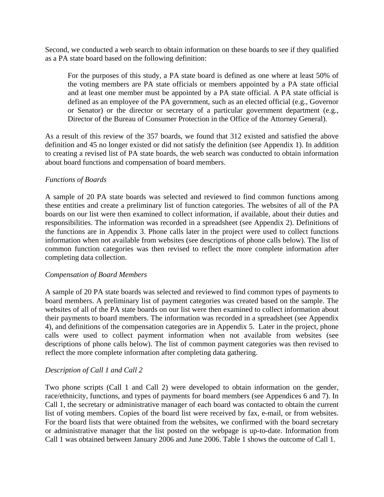Second, we conducted a web search to obtain information on these boards to see if they qualified as a PA state board based on the following definition:

For the purposes of this study, a PA state board is defined as one where at least 50% of the voting members are PA state officials or members appointed by a PA state official and at least one member must be appointed by a PA state official. A PA state official is defined as an employee of the PA government, such as an elected official (e.g., Governor or Senator) or the director or secretary of a particular government department (e.g., Director of the Bureau of Consumer Protection in the Office of the Attorney General).

As a result of this review of the 357 boards, we found that 312 existed and satisfied the above definition and 45 no longer existed or did not satisfy the definition (see Appendix 1). In addition to creating a revised list of PA state boards, the web search was conducted to obtain information about board functions and compensation of board members.

#### *Functions of Boards*

A sample of 20 PA state boards was selected and reviewed to find common functions among these entities and create a preliminary list of function categories. The websites of all of the PA boards on our list were then examined to collect information, if available, about their duties and responsibilities. The information was recorded in a spreadsheet (see Appendix 2). Definitions of the functions are in Appendix 3. Phone calls later in the project were used to collect functions information when not available from websites (see descriptions of phone calls below). The list of common function categories was then revised to reflect the more complete information after completing data collection.

#### *Compensation of Board Members*

A sample of 20 PA state boards was selected and reviewed to find common types of payments to board members. A preliminary list of payment categories was created based on the sample. The websites of all of the PA state boards on our list were then examined to collect information about their payments to board members. The information was recorded in a spreadsheet (see Appendix 4), and definitions of the compensation categories are in Appendix 5. Later in the project, phone calls were used to collect payment information when not available from websites (see descriptions of phone calls below). The list of common payment categories was then revised to reflect the more complete information after completing data gathering.

#### *Description of Call 1 and Call 2*

Two phone scripts (Call 1 and Call 2) were developed to obtain information on the gender, race/ethnicity, functions, and types of payments for board members (see Appendices 6 and 7). In Call 1, the secretary or administrative manager of each board was contacted to obtain the current list of voting members. Copies of the board list were received by fax, e-mail, or from websites. For the board lists that were obtained from the websites, we confirmed with the board secretary or administrative manager that the list posted on the webpage is up-to-date. Information from Call 1 was obtained between January 2006 and June 2006. Table 1 shows the outcome of Call 1.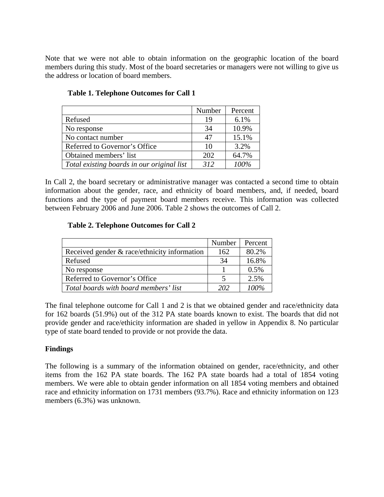Note that we were not able to obtain information on the geographic location of the board members during this study. Most of the board secretaries or managers were not willing to give us the address or location of board members.

|                                            | Number | Percent |
|--------------------------------------------|--------|---------|
| Refused                                    | 19     | 6.1%    |
| No response                                | 34     | 10.9%   |
| No contact number                          | 47     | 15.1%   |
| Referred to Governor's Office              | 10     | 3.2%    |
| Obtained members' list                     | 202    | 64.7%   |
| Total existing boards in our original list | 312    | 100%    |

#### **Table 1. Telephone Outcomes for Call 1**

In Call 2, the board secretary or administrative manager was contacted a second time to obtain information about the gender, race, and ethnicity of board members, and, if needed, board functions and the type of payment board members receive. This information was collected between February 2006 and June 2006. Table 2 shows the outcomes of Call 2.

#### **Table 2. Telephone Outcomes for Call 2**

|                                              | Number | Percent |
|----------------------------------------------|--------|---------|
| Received gender & race/ethnicity information | 162    | 80.2%   |
| Refused                                      | -34    | 16.8%   |
| No response                                  |        | 0.5%    |
| Referred to Governor's Office                |        | 2.5%    |
| Total boards with board members' list        | 202    | 100%    |

The final telephone outcome for Call 1 and 2 is that we obtained gender and race/ethnicity data for 162 boards (51.9%) out of the 312 PA state boards known to exist. The boards that did not provide gender and race/ethicity information are shaded in yellow in Appendix 8. No particular type of state board tended to provide or not provide the data.

#### **Findings**

The following is a summary of the information obtained on gender, race/ethnicity, and other items from the 162 PA state boards. The 162 PA state boards had a total of 1854 voting members. We were able to obtain gender information on all 1854 voting members and obtained race and ethnicity information on 1731 members (93.7%). Race and ethnicity information on 123 members (6.3%) was unknown.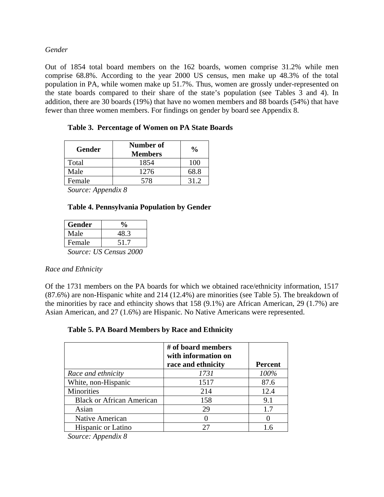*Gender* 

Out of 1854 total board members on the 162 boards, women comprise 31.2% while men comprise 68.8%. According to the year 2000 US census, men make up 48.3% of the total population in PA, while women make up 51.7%. Thus, women are grossly under-represented on the state boards compared to their share of the state's population (see Tables 3 and 4). In addition, there are 30 boards (19%) that have no women members and 88 boards (54%) that have fewer than three women members. For findings on gender by board see Appendix 8.

| <b>Gender</b> | Number of<br><b>Members</b> | $\frac{0}{0}$ |
|---------------|-----------------------------|---------------|
| Total         | 1854                        | 100           |
| Male          | 1276                        | 68.8          |
| Female        | 578                         |               |

|  |  | Table 3. Percentage of Women on PA State Boards |
|--|--|-------------------------------------------------|
|--|--|-------------------------------------------------|

*Source: Appendix 8* 

#### **Table 4. Pennsylvania Population by Gender**

| <b>Gender</b> | $\frac{0}{0}$          |
|---------------|------------------------|
| Male          | 48.3                   |
| Female        | 51.7                   |
|               | Source: US Census 2000 |

#### *Race and Ethnicity*

Of the 1731 members on the PA boards for which we obtained race/ethnicity information, 1517 (87.6%) are non-Hispanic white and 214 (12.4%) are minorities (see Table 5). The breakdown of the minorities by race and ethincity shows that 158 (9.1%) are African American, 29 (1.7%) are Asian American, and 27 (1.6%) are Hispanic. No Native Americans were represented.

#### **Table 5. PA Board Members by Race and Ethnicity**

|                                  | # of board members<br>with information on<br>race and ethnicity | <b>Percent</b> |
|----------------------------------|-----------------------------------------------------------------|----------------|
| Race and ethnicity               | 1731                                                            | 100%           |
| White, non-Hispanic              | 1517                                                            | 87.6           |
| Minorities                       | 214                                                             | 12.4           |
| <b>Black or African American</b> | 158                                                             | 9.1            |
| Asian                            | 29                                                              | 1.7            |
| Native American                  |                                                                 |                |
| <b>Hispanic or Latino</b>        |                                                                 | 16             |
|                                  |                                                                 |                |

*Source: Appendix 8*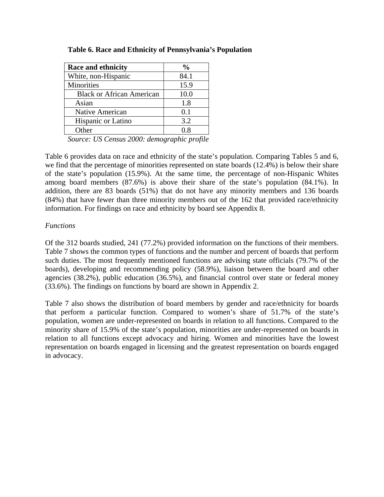| <b>Race and ethnicity</b>        | $\frac{6}{10}$ |
|----------------------------------|----------------|
| White, non-Hispanic              | 84.1           |
| Minorities                       | 15.9           |
| <b>Black or African American</b> | 10.0           |
| Asian                            | 1.8            |
| Native American                  | 0.1            |
| Hispanic or Latino               | 3.2            |
| Other                            | በ ጸ            |

**Table 6. Race and Ethnicity of Pennsylvania's Population** 

*Source: US Census 2000: demographic profile* 

Table 6 provides data on race and ethnicity of the state's population. Comparing Tables 5 and 6, we find that the percentage of minorities represented on state boards (12.4%) is below their share of the state's population (15.9%). At the same time, the percentage of non-Hispanic Whites among board members (87.6%) is above their share of the state's population (84.1%). In addition, there are 83 boards (51%) that do not have any minority members and 136 boards (84%) that have fewer than three minority members out of the 162 that provided race/ethnicity information. For findings on race and ethnicity by board see Appendix 8.

#### *Functions*

Of the 312 boards studied, 241 (77.2%) provided information on the functions of their members. Table 7 shows the common types of functions and the number and percent of boards that perform such duties. The most frequently mentioned functions are advising state officials (79.7% of the boards), developing and recommending policy (58.9%), liaison between the board and other agencies (38.2%), public education (36.5%), and financial control over state or federal money (33.6%). The findings on functions by board are shown in Appendix 2.

Table 7 also shows the distribution of board members by gender and race/ethnicity for boards that perform a particular function. Compared to women's share of 51.7% of the state's population, women are under-represented on boards in relation to all functions. Compared to the minority share of 15.9% of the state's population, minorities are under-represented on boards in relation to all functions except advocacy and hiring. Women and minorities have the lowest representation on boards engaged in licensing and the greatest representation on boards engaged in advocacy.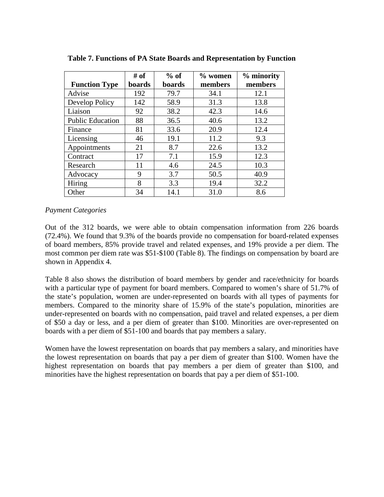|                         | # of   | $%$ of | $%$ women | % minority |
|-------------------------|--------|--------|-----------|------------|
| <b>Function Type</b>    | boards | boards | members   | members    |
| Advise                  | 192    | 79.7   | 34.1      | 12.1       |
| Develop Policy          | 142    | 58.9   | 31.3      | 13.8       |
| Liaison                 | 92     | 38.2   | 42.3      | 14.6       |
| <b>Public Education</b> | 88     | 36.5   | 40.6      | 13.2       |
| Finance                 | 81     | 33.6   | 20.9      | 12.4       |
| Licensing               | 46     | 19.1   | 11.2      | 9.3        |
| Appointments            | 21     | 8.7    | 22.6      | 13.2       |
| Contract                | 17     | 7.1    | 15.9      | 12.3       |
| Research                | 11     | 4.6    | 24.5      | 10.3       |
| Advocacy                | 9      | 3.7    | 50.5      | 40.9       |
| Hiring                  | 8      | 3.3    | 19.4      | 32.2       |
| Other                   | 34     | 14.1   | 31.0      | 8.6        |

**Table 7. Functions of PA State Boards and Representation by Function** 

#### *Payment Categories*

Out of the 312 boards, we were able to obtain compensation information from 226 boards (72.4%). We found that 9.3% of the boards provide no compensation for board-related expenses of board members, 85% provide travel and related expenses, and 19% provide a per diem. The most common per diem rate was \$51-\$100 (Table 8). The findings on compensation by board are shown in Appendix 4.

Table 8 also shows the distribution of board members by gender and race/ethnicity for boards with a particular type of payment for board members. Compared to women's share of 51.7% of the state's population, women are under-represented on boards with all types of payments for members. Compared to the minority share of 15.9% of the state's population, minorities are under-represented on boards with no compensation, paid travel and related expenses, a per diem of \$50 a day or less, and a per diem of greater than \$100. Minorities are over-represented on boards with a per diem of \$51-100 and boards that pay members a salary.

Women have the lowest representation on boards that pay members a salary, and minorities have the lowest representation on boards that pay a per diem of greater than \$100. Women have the highest representation on boards that pay members a per diem of greater than \$100, and minorities have the highest representation on boards that pay a per diem of \$51-100.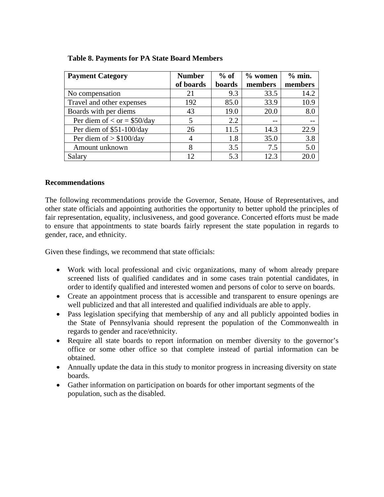| <b>Payment Category</b>       | <b>Number</b> | $%$ of | $%$ women | % min.  |
|-------------------------------|---------------|--------|-----------|---------|
|                               | of boards     | boards | members   | members |
| No compensation               | 21            | 9.3    | 33.5      | 14.2    |
| Travel and other expenses     | 192           | 85.0   | 33.9      | 10.9    |
| Boards with per diems         | 43            | 19.0   | 20.0      | 8.0     |
| Per diem of $<$ or = \$50/day |               | 2.2    | $- -$     |         |
| Per diem of \$51-100/day      | 26            | 11.5   | 14.3      | 22.9    |
| Per diem of $> $100/day$      |               | 1.8    | 35.0      | 3.8     |
| Amount unknown                | 8             | 3.5    | 7.5       | 5.0     |
| Salary                        | 12            | 5.3    | 12.3      | 20.6    |

#### **Table 8. Payments for PA State Board Members**

#### **Recommendations**

The following recommendations provide the Governor, Senate, House of Representatives, and other state officials and appointing authorities the opportunity to better uphold the principles of fair representation, equality, inclusiveness, and good goverance. Concerted efforts must be made to ensure that appointments to state boards fairly represent the state population in regards to gender, race, and ethnicity.

Given these findings, we recommend that state officials:

- Work with local professional and civic organizations, many of whom already prepare screened lists of qualified candidates and in some cases train potential candidates, in order to identify qualified and interested women and persons of color to serve on boards.
- Create an appointment process that is accessible and transparent to ensure openings are well publicized and that all interested and qualified individuals are able to apply.
- Pass legislation specifying that membership of any and all publicly appointed bodies in the State of Pennsylvania should represent the population of the Commonwealth in regards to gender and race/ethnicity.
- Require all state boards to report information on member diversity to the governor's office or some other office so that complete instead of partial information can be obtained.
- Annually update the data in this study to monitor progress in increasing diversity on state boards.
- Gather information on participation on boards for other important segments of the population, such as the disabled.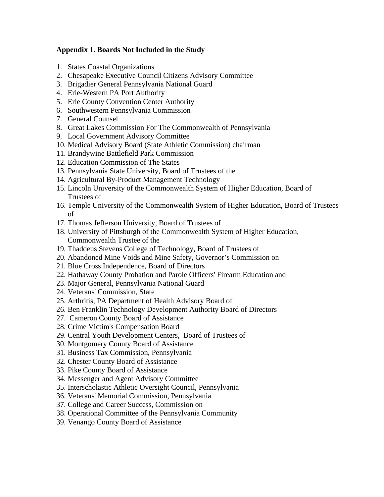#### **Appendix 1. Boards Not Included in the Study**

- 1. States Coastal Organizations
- 2. Chesapeake Executive Council Citizens Advisory Committee
- 3. Brigadier General Pennsylvania National Guard
- 4. Erie-Western PA Port Authority
- 5. Erie County Convention Center Authority
- 6. Southwestern Pennsylvania Commission
- 7. General Counsel
- 8. Great Lakes Commission For The Commonwealth of Pennsylvania
- 9. Local Government Advisory Committee
- 10. Medical Advisory Board (State Athletic Commission) chairman
- 11. Brandywine Battlefield Park Commission
- 12. Education Commission of The States
- 13. Pennsylvania State University, Board of Trustees of the
- 14. Agricultural By-Product Management Technology
- 15. Lincoln University of the Commonwealth System of Higher Education, Board of Trustees of
- 16. Temple University of the Commonwealth System of Higher Education, Board of Trustees of
- 17. Thomas Jefferson University, Board of Trustees of
- 18. University of Pittsburgh of the Commonwealth System of Higher Education, Commonwealth Trustee of the
- 19. Thaddeus Stevens College of Technology, Board of Trustees of
- 20. Abandoned Mine Voids and Mine Safety, Governor's Commission on
- 21. Blue Cross Independence, Board of Directors
- 22. Hathaway County Probation and Parole Officers' Firearm Education and
- 23. Major General, Pennsylvania National Guard
- 24. Veterans' Commission, State
- 25. Arthritis, PA Department of Health Advisory Board of
- 26. Ben Franklin Technology Development Authority Board of Directors
- 27. Cameron County Board of Assistance
- 28. Crime Victim's Compensation Board
- 29. Central Youth Development Centers, Board of Trustees of
- 30. Montgomery County Board of Assistance
- 31. Business Tax Commission, Pennsylvania
- 32. Chester County Board of Assistance
- 33. Pike County Board of Assistance
- 34. Messenger and Agent Advisory Committee
- 35. Interscholastic Athletic Oversight Council, Pennsylvania
- 36. Veterans' Memorial Commission, Pennsylvania
- 37. College and Career Success, Commission on
- 38. Operational Committee of the Pennsylvania Community
- 39. Venango County Board of Assistance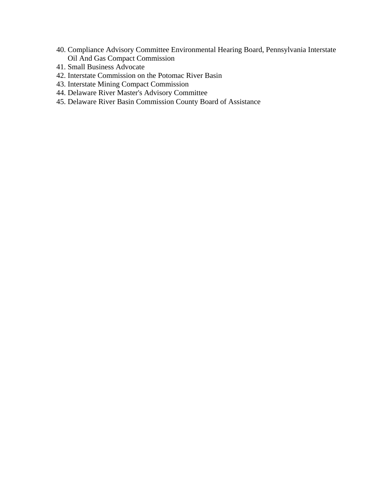- 40. Compliance Advisory Committee Environmental Hearing Board, Pennsylvania Interstate Oil And Gas Compact Commission
- 41. Small Business Advocate
- 42. Interstate Commission on the Potomac River Basin
- 43. Interstate Mining Compact Commission
- 44. Delaware River Master's Advisory Committee
- 45. Delaware River Basin Commission County Board of Assistance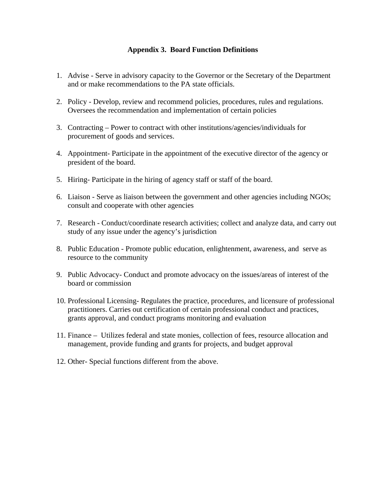#### **Appendix 3. Board Function Definitions**

- 1. Advise Serve in advisory capacity to the Governor or the Secretary of the Department and or make recommendations to the PA state officials.
- 2. Policy Develop, review and recommend policies, procedures, rules and regulations. Oversees the recommendation and implementation of certain policies
- 3. Contracting Power to contract with other institutions/agencies/individuals for procurement of goods and services.
- 4. Appointment- Participate in the appointment of the executive director of the agency or president of the board.
- 5. Hiring- Participate in the hiring of agency staff or staff of the board.
- 6. Liaison Serve as liaison between the government and other agencies including NGOs; consult and cooperate with other agencies
- 7. Research Conduct/coordinate research activities; collect and analyze data, and carry out study of any issue under the agency's jurisdiction
- 8. Public Education Promote public education, enlightenment, awareness, and serve as resource to the community
- 9. Public Advocacy- Conduct and promote advocacy on the issues/areas of interest of the board or commission
- 10. Professional Licensing- Regulates the practice, procedures, and licensure of professional practitioners. Carries out certification of certain professional conduct and practices, grants approval, and conduct programs monitoring and evaluation
- 11. Finance Utilizes federal and state monies, collection of fees, resource allocation and management, provide funding and grants for projects, and budget approval
- 12. Other- Special functions different from the above.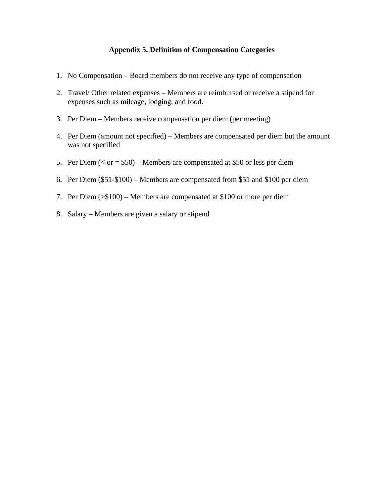#### **Appendix 5. Definition of Compensation Categories**

- 1. No Compensation Board members do not receive any type of compensation
- 2. Travel/ Other related expenses Members are reimbursed or receive a stipend for expenses such as mileage, lodging, and food.
- 3. Per Diem Members receive compensation per diem (per meeting)
- 4. Per Diem (amount not specified) Members are compensated per diem but the amount was not specified
- 5. Per Diem  $( $or = $50$ ) Members are compensated at $50 or less per diem$
- 6. Per Diem (\$51-\$100) Members are compensated from \$51 and \$100 per diem
- 7. Per Diem (>\$100) Members are compensated at \$100 or more per diem
- 8. Salary Members are given a salary or stipend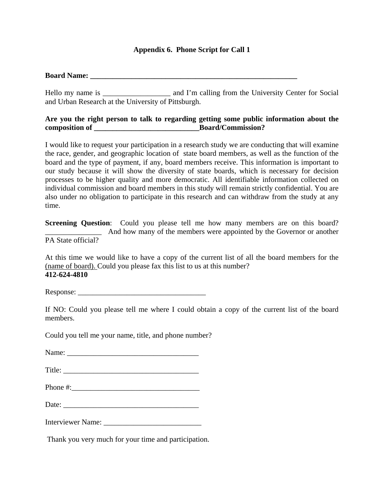#### **Appendix 6. Phone Script for Call 1**

#### **Board Name:**  $\blacksquare$

Hello my name is \_\_\_\_\_\_\_\_\_\_\_\_\_\_\_\_\_\_\_\_\_ and I'm calling from the University Center for Social and Urban Research at the University of Pittsburgh.

#### **Are you the right person to talk to regarding getting some public information about the composition of \_\_\_\_\_\_\_\_\_\_\_\_\_\_\_\_\_\_\_\_\_\_\_\_\_\_\_\_Board/Commission?**

I would like to request your participation in a research study we are conducting that will examine the race, gender, and geographic location of state board members, as well as the function of the board and the type of payment, if any, board members receive. This information is important to our study because it will show the diversity of state boards, which is necessary for decision processes to be higher quality and more democratic. All identifiable information collected on individual commission and board members in this study will remain strictly confidential. You are also under no obligation to participate in this research and can withdraw from the study at any time.

**Screening Question:** Could you please tell me how many members are on this board? And how many of the members were appointed by the Governor or another PA State official?

At this time we would like to have a copy of the current list of all the board members for the (name of board). Could you please fax this list to us at this number? **412-624-4810** 

Response: \_\_\_\_\_\_\_\_\_\_\_\_\_\_\_\_\_\_\_\_\_\_\_\_\_\_\_\_\_\_\_\_\_\_

If NO: Could you please tell me where I could obtain a copy of the current list of the board members.

Could you tell me your name, title, and phone number?

Name: \_\_\_\_\_\_\_\_\_\_\_\_\_\_\_\_\_\_\_\_\_\_\_\_\_\_\_\_\_\_\_\_\_\_\_

Title:

Phone  $\#$ :

Date:

Interviewer Name: \_\_\_\_\_\_\_\_\_\_\_\_\_\_\_\_\_\_\_\_\_\_\_\_\_\_

Thank you very much for your time and participation.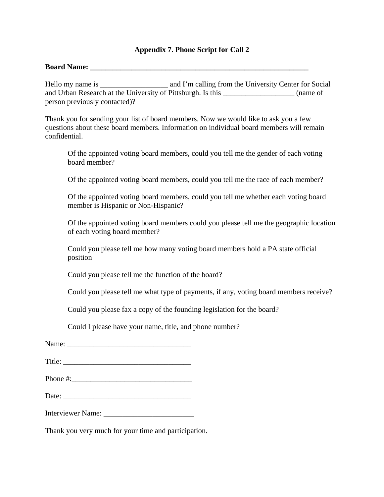#### **Appendix 7. Phone Script for Call 2**

#### **Board Name: \_\_\_\_\_\_\_\_\_\_\_\_\_\_\_\_\_\_\_\_\_\_\_\_\_\_\_\_\_\_\_\_\_\_\_\_\_\_\_\_\_\_\_\_\_\_\_\_\_\_\_\_\_\_\_\_\_\_**

Hello my name is and I'm calling from the University Center for Social and Urban Research at the University of Pittsburgh. Is this \_\_\_\_\_\_\_\_\_\_\_\_\_\_\_\_\_\_\_ (name of person previously contacted)?

Thank you for sending your list of board members. Now we would like to ask you a few questions about these board members. Information on individual board members will remain confidential.

Of the appointed voting board members, could you tell me the gender of each voting board member?

Of the appointed voting board members, could you tell me the race of each member?

Of the appointed voting board members, could you tell me whether each voting board member is Hispanic or Non-Hispanic?

Of the appointed voting board members could you please tell me the geographic location of each voting board member?

Could you please tell me how many voting board members hold a PA state official position

Could you please tell me the function of the board?

Could you please tell me what type of payments, if any, voting board members receive?

Could you please fax a copy of the founding legislation for the board?

Could I please have your name, title, and phone number?

Title:

Phone #:

Date: \_\_\_\_\_\_\_\_\_\_\_\_\_\_\_\_\_\_\_\_\_\_\_\_\_\_\_\_\_\_\_\_\_\_

Interviewer Name: \_\_\_\_\_\_\_\_\_\_\_\_\_\_\_\_\_\_\_\_\_\_\_\_

Thank you very much for your time and participation.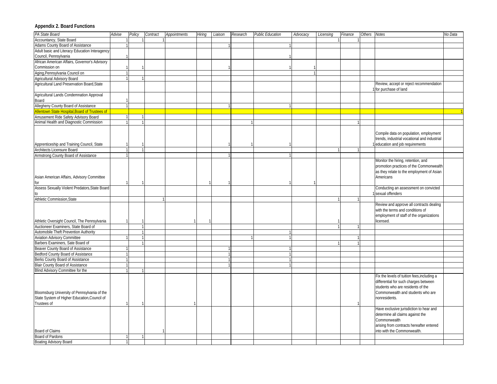#### **Appendix 2. Board Functions**

| PA State Board                                 | Advise | Policy | Contract | <b>Appointments</b> | Hiring | Liaison | Research | <b>Public Education</b> | Advocacy | Licensing | Finance | Others | Notes                                        | No Data |
|------------------------------------------------|--------|--------|----------|---------------------|--------|---------|----------|-------------------------|----------|-----------|---------|--------|----------------------------------------------|---------|
| Accountancy, State Board                       |        |        |          |                     |        |         |          |                         |          |           |         |        |                                              |         |
| Adams County Board of Assistance               |        |        |          |                     |        |         |          |                         |          |           |         |        |                                              |         |
| Adult basic and Literacy Education Interagency |        |        |          |                     |        |         |          |                         |          |           |         |        |                                              |         |
| Council, Pennsylvania                          |        |        |          |                     |        |         |          |                         |          |           |         |        |                                              |         |
| African American Affairs, Governor's Advisory  |        |        |          |                     |        |         |          |                         |          |           |         |        |                                              |         |
| Commission on                                  |        |        |          |                     |        |         |          |                         |          |           |         |        |                                              |         |
| Aging, Pennsylvania Council on                 |        |        |          |                     |        |         |          |                         |          |           |         |        |                                              |         |
| Agricultural Advisory Board                    |        |        |          |                     |        |         |          |                         |          |           |         |        |                                              |         |
| Agricultural Land Preservation Board, State    |        |        |          |                     |        |         |          |                         |          |           |         |        | Review, accept or reject recommendation      |         |
|                                                |        |        |          |                     |        |         |          |                         |          |           |         |        | for purchase of land                         |         |
| Agricultural Lands Condemnation Approval       |        |        |          |                     |        |         |          |                         |          |           |         |        |                                              |         |
| Board                                          |        |        |          |                     |        |         |          |                         |          |           |         |        |                                              |         |
| Allegheny County Board of Assistance           |        |        |          |                     |        |         |          |                         |          |           |         |        |                                              |         |
| Allentown State Hospital, Board of Trustees of |        |        |          |                     |        |         |          |                         |          |           |         |        |                                              |         |
| Amusement Ride Safety Advisory Board           |        |        |          |                     |        |         |          |                         |          |           |         |        |                                              |         |
| Animal Health and Diagnostic Commission        |        |        |          |                     |        |         |          |                         |          |           |         |        |                                              |         |
|                                                |        |        |          |                     |        |         |          |                         |          |           |         |        |                                              |         |
|                                                |        |        |          |                     |        |         |          |                         |          |           |         |        | Compile data on population, employment       |         |
|                                                |        |        |          |                     |        |         |          |                         |          |           |         |        | trends, industrial vocational and industrial |         |
|                                                |        |        |          |                     |        |         |          |                         |          |           |         |        |                                              |         |
| Apprenticeship and Training Council, State     |        |        |          |                     |        |         |          |                         |          |           |         |        | education and job requirements               |         |
| Architects Licensure Board                     |        |        |          |                     |        |         |          |                         |          |           |         |        |                                              |         |
| Armstrong County Board of Assistance           |        |        |          |                     |        |         |          |                         |          |           |         |        |                                              |         |
|                                                |        |        |          |                     |        |         |          |                         |          |           |         |        | Monitor the hiring, retention, and           |         |
|                                                |        |        |          |                     |        |         |          |                         |          |           |         |        | promotion practices of the Commonwealth      |         |
|                                                |        |        |          |                     |        |         |          |                         |          |           |         |        | as they relate to the employment of Asian    |         |
| Asian American Affairs, Advisory Committee     |        |        |          |                     |        |         |          |                         |          |           |         |        | Americans                                    |         |
| for                                            |        |        |          |                     |        |         |          |                         |          |           |         |        |                                              |         |
| Assess Sexually Violent Predators, State Board |        |        |          |                     |        |         |          |                         |          |           |         |        | Conducting an assessment on convicted        |         |
|                                                |        |        |          |                     |        |         |          |                         |          |           |         |        | sexual offenders                             |         |
| <b>Athletic Commission, State</b>              |        |        |          |                     |        |         |          |                         |          |           |         |        |                                              |         |
|                                                |        |        |          |                     |        |         |          |                         |          |           |         |        | Review and approve all contracts dealing     |         |
|                                                |        |        |          |                     |        |         |          |                         |          |           |         |        | with the terms and conditions of             |         |
|                                                |        |        |          |                     |        |         |          |                         |          |           |         |        | employment of staff of the organizations     |         |
| Athletic Oversight Council, The Pennsylvania   |        |        |          |                     |        |         |          |                         |          |           |         |        | licensed.                                    |         |
| Auctioneer Examiners, State Board of           |        |        |          |                     |        |         |          |                         |          |           |         |        |                                              |         |
| Automobile Theft Prevention Authority          |        |        |          |                     |        |         |          |                         |          |           |         |        |                                              |         |
| Aviation Advisory Committee                    |        |        |          |                     |        |         |          |                         |          |           |         |        |                                              |         |
| Barbers Examiners, Sate Board of               |        |        |          |                     |        |         |          |                         |          |           |         |        |                                              |         |
| Beaver County Board of Assistance              |        |        |          |                     |        |         |          |                         |          |           |         |        |                                              |         |
| Bedford County Board of Assistance             |        |        |          |                     |        |         |          |                         |          |           |         |        |                                              |         |
| Berks County Board of Assistance               |        |        |          |                     |        |         |          |                         |          |           |         |        |                                              |         |
| Blair County Board of Assistance               |        |        |          |                     |        |         |          |                         |          |           |         |        |                                              |         |
| Blind Advisory Committee for the               |        |        |          |                     |        |         |          |                         |          |           |         |        |                                              |         |
|                                                |        |        |          |                     |        |         |          |                         |          |           |         |        | Fix the levels of tuition fees, including a  |         |
|                                                |        |        |          |                     |        |         |          |                         |          |           |         |        | differential for such charges between        |         |
|                                                |        |        |          |                     |        |         |          |                         |          |           |         |        | students who are residents of the            |         |
| Bloomsburg University of Pennsylvania of the   |        |        |          |                     |        |         |          |                         |          |           |         |        | Commonwealth and students who are            |         |
| State System of Higher Education, Council of   |        |        |          |                     |        |         |          |                         |          |           |         |        | nonresidents.                                |         |
| Trustees of                                    |        |        |          |                     |        |         |          |                         |          |           |         |        |                                              |         |
|                                                |        |        |          |                     |        |         |          |                         |          |           |         |        | Have exclusive jurisdiction to hear and      |         |
|                                                |        |        |          |                     |        |         |          |                         |          |           |         |        | determine all claims against the             |         |
|                                                |        |        |          |                     |        |         |          |                         |          |           |         |        | Commonwealth                                 |         |
|                                                |        |        |          |                     |        |         |          |                         |          |           |         |        | arising from contracts hereafter entered     |         |
| Board of Claims                                |        |        | -1       |                     |        |         |          |                         |          |           |         |        | into with the Commonwealth.                  |         |
| Board of Pardons                               |        |        |          |                     |        |         |          |                         |          |           |         |        |                                              |         |
| <b>Boating Advisory Board</b>                  |        |        |          |                     |        |         |          |                         |          |           |         |        |                                              |         |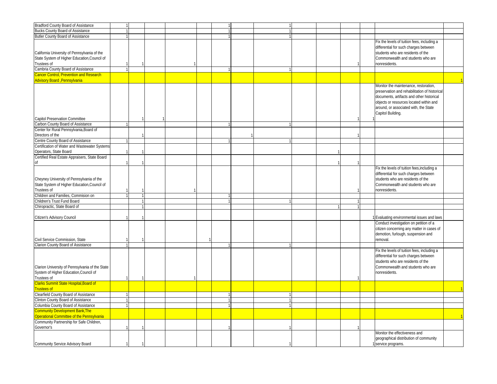| Bradford County Board of Assistance                                                                         |  |  |  |  |  |  |                                                                                                                                                                                                                                             |  |
|-------------------------------------------------------------------------------------------------------------|--|--|--|--|--|--|---------------------------------------------------------------------------------------------------------------------------------------------------------------------------------------------------------------------------------------------|--|
| <b>Bucks County Board of Assistance</b>                                                                     |  |  |  |  |  |  |                                                                                                                                                                                                                                             |  |
| Butler County Board of Assistance                                                                           |  |  |  |  |  |  |                                                                                                                                                                                                                                             |  |
| California University of Pennsylvania of the<br>State System of Higher Education, Council of<br>Trustees of |  |  |  |  |  |  | Fix the levels of tuition fees, including a<br>differential for such charges between<br>students who are residents of the<br>Commonwealth and students who are<br>nonresidents.                                                             |  |
| Cambria County Board of Assistance                                                                          |  |  |  |  |  |  |                                                                                                                                                                                                                                             |  |
| Cancer Control, Prevention and Research<br><b>Advisory Board , Pennsylvania</b>                             |  |  |  |  |  |  |                                                                                                                                                                                                                                             |  |
| <b>Capitol Preservation Committee</b>                                                                       |  |  |  |  |  |  | Monitor the maintenance, restoration,<br>preservation and rehabilitation of historica<br>documents, artifacts and other historical<br>objects or resources located within and<br>around, or associated with, the State<br>Capitol Building. |  |
| Carbon County Board of Assistance                                                                           |  |  |  |  |  |  |                                                                                                                                                                                                                                             |  |
| Center for Rural Pennsylvania, Board of<br>Directors of the                                                 |  |  |  |  |  |  |                                                                                                                                                                                                                                             |  |
| Centre County Board of Assistance                                                                           |  |  |  |  |  |  |                                                                                                                                                                                                                                             |  |
| Certification of Water and Wastewater Systems<br>Operators, State Board                                     |  |  |  |  |  |  |                                                                                                                                                                                                                                             |  |
| Certified Real Estate Appraisers, State Board                                                               |  |  |  |  |  |  |                                                                                                                                                                                                                                             |  |
| Cheyney University of Pennsylvania of the<br>State System of Higher Education, Council of<br>Trustees of    |  |  |  |  |  |  | Fix the levels of tuition fees, including a<br>differential for such charges between<br>students who are residents of the<br>Commonwealth and students who are<br>nonresidents.                                                             |  |
| Children and Families, Commision on                                                                         |  |  |  |  |  |  |                                                                                                                                                                                                                                             |  |
| Children's Trust Fund Board                                                                                 |  |  |  |  |  |  |                                                                                                                                                                                                                                             |  |
| Chiropractic, State Board of                                                                                |  |  |  |  |  |  |                                                                                                                                                                                                                                             |  |
| Citizen's Advisory Council                                                                                  |  |  |  |  |  |  | Evaluating environmental issues and laws                                                                                                                                                                                                    |  |
| Civil Service Commission, State                                                                             |  |  |  |  |  |  | Conduct investigation on petition of a<br>citizen concerning any matter in cases of<br>demotion, furlough, suspension and<br>removal.                                                                                                       |  |
| Clarion County Board of Assistance                                                                          |  |  |  |  |  |  |                                                                                                                                                                                                                                             |  |
| Clarion University of Pennsylvania of the State<br>System of Higher Education, Council of<br>Trustees of    |  |  |  |  |  |  | Fix the levels of tuition fees, including a<br>differential for such charges between<br>students who are residents of the<br>Commonwealth and students who are<br>nonresidents.                                                             |  |
| <b>Clarks Summit State Hospital, Board of</b><br>rustees of                                                 |  |  |  |  |  |  |                                                                                                                                                                                                                                             |  |
| <b>Clearfield County Board of Assistance</b>                                                                |  |  |  |  |  |  |                                                                                                                                                                                                                                             |  |
| Clinton County Board of Assistance                                                                          |  |  |  |  |  |  |                                                                                                                                                                                                                                             |  |
|                                                                                                             |  |  |  |  |  |  |                                                                                                                                                                                                                                             |  |
| Columbia County Board of Assistance                                                                         |  |  |  |  |  |  |                                                                                                                                                                                                                                             |  |
| <b>Community Development Bank, The</b><br>Operational Committee of the Pennsylvania                         |  |  |  |  |  |  |                                                                                                                                                                                                                                             |  |
| Community Partnership for Safe Children,<br>Governor's                                                      |  |  |  |  |  |  |                                                                                                                                                                                                                                             |  |
| Community Service Advisory Board                                                                            |  |  |  |  |  |  | Monitor the effectiveness and<br>geographical distribution of community<br>1 service programs.                                                                                                                                              |  |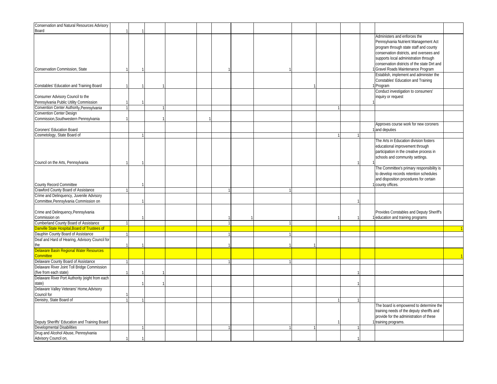| Conservation and Natural Resources Advisory                                |  |  |  |  |  |  |                                                                                                                                                                                                                                                     |  |
|----------------------------------------------------------------------------|--|--|--|--|--|--|-----------------------------------------------------------------------------------------------------------------------------------------------------------------------------------------------------------------------------------------------------|--|
| Board                                                                      |  |  |  |  |  |  |                                                                                                                                                                                                                                                     |  |
|                                                                            |  |  |  |  |  |  | Administers and enforces the<br>Pennsylvania Nutrient Management Act<br>program through state staff and county<br>conservation districts, and oversees and<br>supports local administration through<br>conservation districts of the state Dirt and |  |
| Conservation Commission, State                                             |  |  |  |  |  |  | Gravel Roads Maintenance Program                                                                                                                                                                                                                    |  |
| Constables' Education and Training Board                                   |  |  |  |  |  |  | Establish, implement and administer the<br>Constables' Education and Training<br>Program                                                                                                                                                            |  |
| Consumer Advisory Council to the<br>Pennsylvania Public Utility Commission |  |  |  |  |  |  | Conduct investigation to consumers'<br>inquiry or request                                                                                                                                                                                           |  |
| Convention Center Authority, Pennsylvania                                  |  |  |  |  |  |  |                                                                                                                                                                                                                                                     |  |
| <b>Convention Center Design</b>                                            |  |  |  |  |  |  |                                                                                                                                                                                                                                                     |  |
| Commission, Southwestern Pennsylvania                                      |  |  |  |  |  |  |                                                                                                                                                                                                                                                     |  |
| Coroners' Education Board                                                  |  |  |  |  |  |  | Approves course work for new coroners<br>and deputies                                                                                                                                                                                               |  |
| Cosmetology, State Board of                                                |  |  |  |  |  |  |                                                                                                                                                                                                                                                     |  |
| Council on the Arts, Pennsylvania                                          |  |  |  |  |  |  | The Arts in Education division fosters<br>educational improvement through<br>participation in the creative process in<br>schools and community settings.                                                                                            |  |
| County Record Committee                                                    |  |  |  |  |  |  | The Committee's primary responsibility is<br>to develop records retention schedules<br>and disposition procedures for certain<br>county offices.                                                                                                    |  |
| Crawford County Board of Assistance                                        |  |  |  |  |  |  |                                                                                                                                                                                                                                                     |  |
| Crime and Delinquency, Juvenile Advisory                                   |  |  |  |  |  |  |                                                                                                                                                                                                                                                     |  |
| Committee, Pennsylvania Commission on                                      |  |  |  |  |  |  |                                                                                                                                                                                                                                                     |  |
| Crime and Delinquency, Pennsylvania<br>Commission on                       |  |  |  |  |  |  | Provides Constables and Deputy Sheriff's<br>education and training programs                                                                                                                                                                         |  |
| Cumberland County Board of Assistance                                      |  |  |  |  |  |  |                                                                                                                                                                                                                                                     |  |
| <b>Danville State Hospital, Board of Trustees of</b>                       |  |  |  |  |  |  |                                                                                                                                                                                                                                                     |  |
| Dauphin County Board of Assistance                                         |  |  |  |  |  |  |                                                                                                                                                                                                                                                     |  |
| Deaf and Hard of Hearing, Advisory Council for<br>the                      |  |  |  |  |  |  |                                                                                                                                                                                                                                                     |  |
| Delaware Basin Regional Water Resources<br><b>Committee</b>                |  |  |  |  |  |  |                                                                                                                                                                                                                                                     |  |
| Delaware County Board of Assistance                                        |  |  |  |  |  |  |                                                                                                                                                                                                                                                     |  |
| Delaware River Joint Toll Bridge Commission<br>(five from each state)      |  |  |  |  |  |  |                                                                                                                                                                                                                                                     |  |
| Delaware River Port Authority (eight from each<br>state)                   |  |  |  |  |  |  |                                                                                                                                                                                                                                                     |  |
| Delaware Valley Veterans' Home, Advisory<br>Council for                    |  |  |  |  |  |  |                                                                                                                                                                                                                                                     |  |
| Denistry, State Board of                                                   |  |  |  |  |  |  |                                                                                                                                                                                                                                                     |  |
| Deputy Sheriffs' Education and Training Board                              |  |  |  |  |  |  | The board is empowered to determine the<br>training needs of the deputy sheriffs and<br>provide for the administration of these<br>training programs.                                                                                               |  |
| Developmental Disabilities                                                 |  |  |  |  |  |  |                                                                                                                                                                                                                                                     |  |
| Drug and Alcohol Abuse, Pennsylvania<br>Advisory Council on,               |  |  |  |  |  |  |                                                                                                                                                                                                                                                     |  |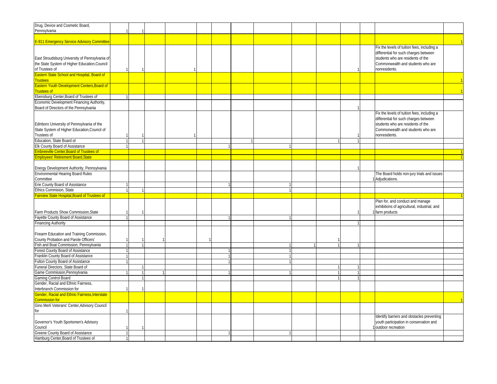| Drug, Device and Cosmetic Board,                   |  |  |   |  |  |              |                                              |  |
|----------------------------------------------------|--|--|---|--|--|--------------|----------------------------------------------|--|
| Pennsylvania                                       |  |  |   |  |  |              |                                              |  |
|                                                    |  |  |   |  |  |              |                                              |  |
| E-911 Emergency Service Advisory Committee         |  |  |   |  |  |              |                                              |  |
|                                                    |  |  |   |  |  |              | Fix the levels of tuition fees, including a  |  |
|                                                    |  |  |   |  |  |              | differential for such charges between        |  |
|                                                    |  |  |   |  |  |              |                                              |  |
| East Stroudsburg University of Pennsylvania of     |  |  |   |  |  |              | students who are residents of the            |  |
| the State System of Higher Education, Council      |  |  |   |  |  |              | Commonwealth and students who are            |  |
| of Trustees of                                     |  |  |   |  |  |              | nonresidents.                                |  |
| <b>Eastern State School and Hospital, Board of</b> |  |  |   |  |  |              |                                              |  |
| <b>Trustees</b>                                    |  |  |   |  |  |              |                                              |  |
| Eastern Youth Development Centers, Board of        |  |  |   |  |  |              |                                              |  |
| rustees of                                         |  |  |   |  |  |              |                                              |  |
| Ebensburg Center, Board of Trustees of             |  |  |   |  |  |              |                                              |  |
| Economic Development Financing Authority,          |  |  |   |  |  |              |                                              |  |
|                                                    |  |  |   |  |  |              |                                              |  |
| Board of Directors of the Pennsylvania             |  |  |   |  |  |              |                                              |  |
|                                                    |  |  |   |  |  |              | Fix the levels of tuition fees, including a  |  |
|                                                    |  |  |   |  |  |              | differential for such charges between        |  |
| Edinboro University of Pennsylvania of the         |  |  |   |  |  |              | students who are residents of the            |  |
| State System of Higher Education, Council of       |  |  |   |  |  |              | Commonwealth and students who are            |  |
| Trustees of                                        |  |  |   |  |  |              | nonresidents.                                |  |
| Education, State Board of                          |  |  |   |  |  | $\mathbf{1}$ |                                              |  |
| Elk County Board of Assistance                     |  |  |   |  |  |              |                                              |  |
| <b>Embreeville Center, Board of Trustees of</b>    |  |  |   |  |  |              |                                              |  |
| <b>Employees' Retirement Board, State</b>          |  |  |   |  |  |              |                                              |  |
|                                                    |  |  |   |  |  |              |                                              |  |
|                                                    |  |  |   |  |  |              |                                              |  |
| Energy Development Authority, Pennsylvania         |  |  |   |  |  |              |                                              |  |
| <b>Environmental Hearing Board Rules</b>           |  |  |   |  |  |              | The Board holds non-jury trials and issues   |  |
| Committee                                          |  |  |   |  |  |              | Adjudications.                               |  |
| Erie County Board of Assistance                    |  |  |   |  |  |              |                                              |  |
| Ethics Commision, State                            |  |  |   |  |  |              |                                              |  |
| airview State Hospital, Board of Trustees of       |  |  |   |  |  |              |                                              |  |
|                                                    |  |  |   |  |  |              | Plan for, and conduct and manage             |  |
|                                                    |  |  |   |  |  |              | exhibitions of agricultural, industrial, and |  |
| Farm Products Show Commission, State               |  |  |   |  |  |              | farm products                                |  |
| Fayette County Board of Assistance                 |  |  | 1 |  |  |              |                                              |  |
| <b>Financing Authority</b>                         |  |  |   |  |  |              |                                              |  |
|                                                    |  |  |   |  |  |              |                                              |  |
|                                                    |  |  |   |  |  |              |                                              |  |
| Firearm Education and Training Commission,         |  |  |   |  |  |              |                                              |  |
| County Probation and Parole Officers'              |  |  |   |  |  |              |                                              |  |
| Fish and Boat Commission, Pennsylvania             |  |  |   |  |  |              |                                              |  |
| Forest County Board of Assistance                  |  |  |   |  |  |              |                                              |  |
| Franklin County Board of Assistance                |  |  | 1 |  |  |              |                                              |  |
| Fulton County Board of Assistance                  |  |  |   |  |  |              |                                              |  |
| Funeral Directors, State Board of                  |  |  |   |  |  |              |                                              |  |
| Game Commission, Pennsylvania                      |  |  |   |  |  |              |                                              |  |
| Gaming Control Board                               |  |  |   |  |  |              |                                              |  |
| Gender, Racial and Ethnic Fairness,                |  |  |   |  |  |              |                                              |  |
|                                                    |  |  |   |  |  |              |                                              |  |
| Interbranch Commission for                         |  |  |   |  |  |              |                                              |  |
| Gender, Racial and Ethnic Fairness, Interstate     |  |  |   |  |  |              |                                              |  |
| Commission for                                     |  |  |   |  |  |              |                                              |  |
| Gino Merli Veterans' Center, Advisory Council      |  |  |   |  |  |              |                                              |  |
| for                                                |  |  |   |  |  |              |                                              |  |
|                                                    |  |  |   |  |  |              | Identify barriers and obstacles preventing   |  |
| Governor's Youth Sportsmen's Advisory              |  |  |   |  |  |              | youth participation in conservation and      |  |
| Council                                            |  |  |   |  |  |              | outdoor recreation                           |  |
| Greene County Board of Assistance                  |  |  | 1 |  |  |              |                                              |  |
|                                                    |  |  |   |  |  |              |                                              |  |
| Hamburg Center, Board of Trustees of               |  |  |   |  |  |              |                                              |  |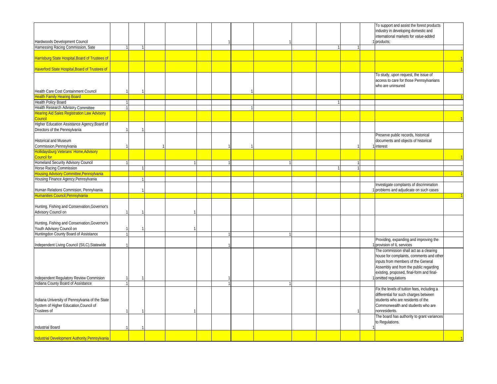|                                                                               |  |  |  |  |   |  | To support and assist the forest products                                    |  |
|-------------------------------------------------------------------------------|--|--|--|--|---|--|------------------------------------------------------------------------------|--|
|                                                                               |  |  |  |  |   |  | industry in developing domestic and<br>international markets for value-added |  |
| Hardwoods Development Council                                                 |  |  |  |  |   |  | products;                                                                    |  |
| Harnessing Racing Commission, Sate                                            |  |  |  |  |   |  |                                                                              |  |
|                                                                               |  |  |  |  |   |  |                                                                              |  |
| <b>Harrisburg State Hospital, Board of Trustees of</b>                        |  |  |  |  |   |  |                                                                              |  |
| Haverford State Hospital, Board of Trustees of                                |  |  |  |  |   |  |                                                                              |  |
|                                                                               |  |  |  |  |   |  | To study, upon request, the issue of                                         |  |
|                                                                               |  |  |  |  |   |  | access to care for those Pennsylvanians<br>who are uninsured                 |  |
| Health Care Cost Containment Council                                          |  |  |  |  |   |  |                                                                              |  |
| <b>Health Family Hearing Board</b>                                            |  |  |  |  |   |  |                                                                              |  |
| Health Policy Board                                                           |  |  |  |  | 1 |  |                                                                              |  |
| Health Research Advisory Committee                                            |  |  |  |  |   |  |                                                                              |  |
| <b>Hearing Aid Sales Registration Law Advisory</b><br>bouncil                 |  |  |  |  |   |  |                                                                              |  |
| Higher Education Assistance Agency, Board of                                  |  |  |  |  |   |  |                                                                              |  |
| Directors of the Pennsylvania                                                 |  |  |  |  |   |  |                                                                              |  |
|                                                                               |  |  |  |  |   |  | Preserve public records, historical                                          |  |
| Historical and Museum                                                         |  |  |  |  |   |  | documents and objects of historical                                          |  |
| Commission, Pennsylvania                                                      |  |  |  |  |   |  | interest                                                                     |  |
| Hollidaysburg Veterans' Home, Advisory                                        |  |  |  |  |   |  |                                                                              |  |
| Council for<br>Homeland Security Advisory Council                             |  |  |  |  |   |  |                                                                              |  |
| Horse Racing Commission                                                       |  |  |  |  |   |  |                                                                              |  |
| <b>Housing Advisory Committee, Pennsylvania</b>                               |  |  |  |  |   |  |                                                                              |  |
| Housing Finance Agency, Pennsylvania                                          |  |  |  |  |   |  |                                                                              |  |
|                                                                               |  |  |  |  |   |  | Investigate complaints of discrimination                                     |  |
| Human Relations Commision, Pennylvania                                        |  |  |  |  |   |  | problems and adjudicate on such cases                                        |  |
| Humanities Council, Pennsylvania                                              |  |  |  |  |   |  |                                                                              |  |
|                                                                               |  |  |  |  |   |  |                                                                              |  |
| Hunting, Fishing and Conservation, Governor's                                 |  |  |  |  |   |  |                                                                              |  |
| Advisory Council on                                                           |  |  |  |  |   |  |                                                                              |  |
|                                                                               |  |  |  |  |   |  |                                                                              |  |
| Hunting, Fishing and Conservation, Governor's                                 |  |  |  |  |   |  |                                                                              |  |
| Youth Advisory Council on                                                     |  |  |  |  |   |  |                                                                              |  |
| Huntingdon County Board of Assistance                                         |  |  |  |  |   |  |                                                                              |  |
|                                                                               |  |  |  |  |   |  | Providing, expanding and improving the                                       |  |
| Independent Living Council (SILC), Statewide                                  |  |  |  |  |   |  | provision of IL services                                                     |  |
|                                                                               |  |  |  |  |   |  | The commission shall act as a clearing                                       |  |
|                                                                               |  |  |  |  |   |  | house for complaints, comments and other                                     |  |
|                                                                               |  |  |  |  |   |  | inputs from members of the General                                           |  |
|                                                                               |  |  |  |  |   |  | Assembly and from the public regarding                                       |  |
|                                                                               |  |  |  |  |   |  | existing, proposed, final-form and final-                                    |  |
| Independent Regulatory Review Commision<br>Indiana County Board of Assistance |  |  |  |  |   |  | omitted regulations                                                          |  |
|                                                                               |  |  |  |  |   |  | Fix the levels of tuition fees, including a                                  |  |
|                                                                               |  |  |  |  |   |  | differential for such charges between                                        |  |
| Indiana University of Pennsylvania of the State                               |  |  |  |  |   |  | students who are residents of the                                            |  |
| System of Higher Education, Council of                                        |  |  |  |  |   |  | Commonwealth and students who are                                            |  |
| Trustees of                                                                   |  |  |  |  |   |  | nonresidents.                                                                |  |
|                                                                               |  |  |  |  |   |  | The board has authority to grant variances                                   |  |
|                                                                               |  |  |  |  |   |  | to Regulations.                                                              |  |
| <b>Industrial Board</b>                                                       |  |  |  |  |   |  |                                                                              |  |
|                                                                               |  |  |  |  |   |  |                                                                              |  |
| Industrial Development Authority, Pennsylvania                                |  |  |  |  |   |  |                                                                              |  |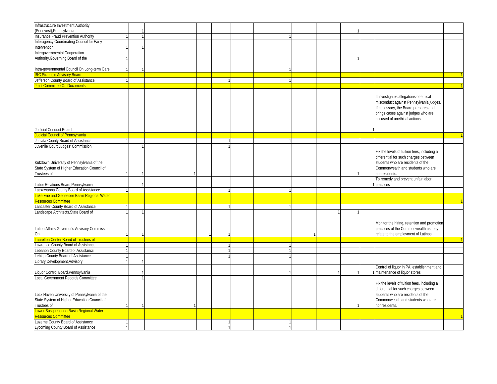| Infrastructure Investment Authority            |  |  |  |  |  |  |                                             |  |
|------------------------------------------------|--|--|--|--|--|--|---------------------------------------------|--|
| (Pennvest), Pennsylvania                       |  |  |  |  |  |  |                                             |  |
| Insurance Fraud Prevention Authority           |  |  |  |  |  |  |                                             |  |
|                                                |  |  |  |  |  |  |                                             |  |
| Interagency Coordinating Council for Early     |  |  |  |  |  |  |                                             |  |
| Intervention                                   |  |  |  |  |  |  |                                             |  |
| Intergovernmental Cooperation                  |  |  |  |  |  |  |                                             |  |
| Authority, Governing Board of the              |  |  |  |  |  |  |                                             |  |
|                                                |  |  |  |  |  |  |                                             |  |
| Intra-governmental Council On Long-term Care   |  |  |  |  |  |  |                                             |  |
| <b>IRC Strategic Advisory Board</b>            |  |  |  |  |  |  |                                             |  |
| Jefferson County Board of Assistance           |  |  |  |  |  |  |                                             |  |
| <b>Joint Committee On Documents</b>            |  |  |  |  |  |  |                                             |  |
|                                                |  |  |  |  |  |  |                                             |  |
|                                                |  |  |  |  |  |  |                                             |  |
|                                                |  |  |  |  |  |  | It investigates allegations of ethical      |  |
|                                                |  |  |  |  |  |  | misconduct against Pennsylvania judges.     |  |
|                                                |  |  |  |  |  |  | If necessary, the Board prepares and        |  |
|                                                |  |  |  |  |  |  | brings cases against judges who are         |  |
|                                                |  |  |  |  |  |  | accused of unethical actions.               |  |
|                                                |  |  |  |  |  |  |                                             |  |
| Judicial Conduct Board                         |  |  |  |  |  |  |                                             |  |
| Judicial Council of Pennsylvania               |  |  |  |  |  |  |                                             |  |
|                                                |  |  |  |  |  |  |                                             |  |
| Juniata County Board of Assistance             |  |  |  |  |  |  |                                             |  |
| Juvenile Court Judges' Commission              |  |  |  |  |  |  |                                             |  |
|                                                |  |  |  |  |  |  | Fix the levels of tuition fees, including a |  |
|                                                |  |  |  |  |  |  | differential for such charges between       |  |
| Kutztown University of Pennsylvania of the     |  |  |  |  |  |  | students who are residents of the           |  |
| State System of Higher Education, Council of   |  |  |  |  |  |  | Commonwealth and students who are           |  |
| Trustees of                                    |  |  |  |  |  |  | nonresidents.                               |  |
|                                                |  |  |  |  |  |  | To remedy and prevent unfair labor          |  |
|                                                |  |  |  |  |  |  |                                             |  |
| Labor Relations Board, Pennsylvania            |  |  |  |  |  |  | practices                                   |  |
| Lackawanna County Board of Assistance          |  |  |  |  |  |  |                                             |  |
| Lake Erie and Genessee Basin Regional Water    |  |  |  |  |  |  |                                             |  |
| Resources Committee                            |  |  |  |  |  |  |                                             |  |
| Lancaster County Board of Assistance           |  |  |  |  |  |  |                                             |  |
| Landscape Architects, State Board of           |  |  |  |  |  |  |                                             |  |
|                                                |  |  |  |  |  |  |                                             |  |
|                                                |  |  |  |  |  |  | Monitor the hiring, retention and promotion |  |
| Latino Affairs, Governor's Advisory Commission |  |  |  |  |  |  | practices of the Commonwealth as they       |  |
| On                                             |  |  |  |  |  |  | relate to the employment of Latinos         |  |
|                                                |  |  |  |  |  |  |                                             |  |
| <b>Laurelton Center, Board of Trustees of</b>  |  |  |  |  |  |  |                                             |  |
| Lawrence County Board of Assistance            |  |  |  |  |  |  |                                             |  |
| Lebanon County Board of Assistance             |  |  |  |  |  |  |                                             |  |
| Lehigh County Board of Assistance              |  |  |  |  |  |  |                                             |  |
| Library Development, Advisory                  |  |  |  |  |  |  |                                             |  |
|                                                |  |  |  |  |  |  | Control of liquor in PA, establishment and  |  |
| Liquor Control Board, Pennsylvania             |  |  |  |  |  |  | maintenance of liquor stores                |  |
| Local Government Records Committee             |  |  |  |  |  |  |                                             |  |
|                                                |  |  |  |  |  |  |                                             |  |
|                                                |  |  |  |  |  |  | Fix the levels of tuition fees, including a |  |
|                                                |  |  |  |  |  |  | differential for such charges between       |  |
| Lock Haven University of Pennsylvania of the   |  |  |  |  |  |  | students who are residents of the           |  |
| State System of Higher Education, Council of   |  |  |  |  |  |  | Commonwealth and students who are           |  |
| Trustees of                                    |  |  |  |  |  |  | nonresidents.                               |  |
| Lower Susquehanna Basin Regional Water         |  |  |  |  |  |  |                                             |  |
| Resources Committee                            |  |  |  |  |  |  |                                             |  |
| Luzerne County Board of Assistance             |  |  |  |  |  |  |                                             |  |
| Lycoming County Board of Assistance            |  |  |  |  |  |  |                                             |  |
|                                                |  |  |  |  |  |  |                                             |  |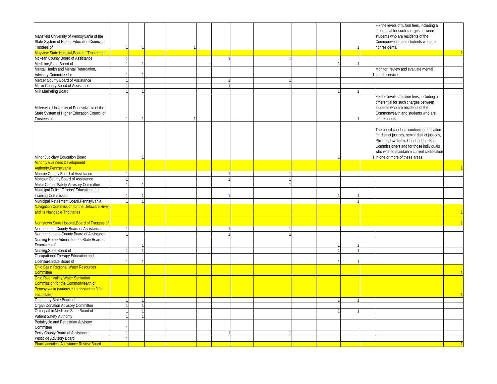|                                                                         |  |  |  |              |  |              | Fix the levels of tuition fees, including a      |  |
|-------------------------------------------------------------------------|--|--|--|--------------|--|--------------|--------------------------------------------------|--|
|                                                                         |  |  |  |              |  |              | differential for such charges between            |  |
| Mansfield University of Pennsylvania of the                             |  |  |  |              |  |              | students who are residents of the                |  |
| State System of Higher Education, Council of                            |  |  |  |              |  |              | Commonwealth and students who are                |  |
| Trustees of                                                             |  |  |  |              |  |              | nonresidents.                                    |  |
| Mayview State Hospital, Board of Trustees of                            |  |  |  |              |  |              |                                                  |  |
| Mckean County Board of Assistance                                       |  |  |  |              |  |              |                                                  |  |
| Medicine, State Board of                                                |  |  |  |              |  |              |                                                  |  |
| Mental Health and Mental Retardation,                                   |  |  |  |              |  |              | Monitor, review and evaluate mental              |  |
| Advisory Committee for                                                  |  |  |  |              |  |              | health services                                  |  |
| Mercer County Board of Assistance                                       |  |  |  |              |  |              |                                                  |  |
| Mifflin County Board of Assistance                                      |  |  |  | $\mathbf{1}$ |  |              |                                                  |  |
| Milk Marketing Board                                                    |  |  |  |              |  |              |                                                  |  |
|                                                                         |  |  |  |              |  |              | Fix the levels of tuition fees, including a      |  |
|                                                                         |  |  |  |              |  |              | differential for such charges between            |  |
| Millersville University of Pennsylvania of the                          |  |  |  |              |  |              | students who are residents of the                |  |
| State System of Higher Education, Council of                            |  |  |  |              |  |              | Commonwealth and students who are                |  |
| Trustees of                                                             |  |  |  |              |  |              | nonresidents.                                    |  |
|                                                                         |  |  |  |              |  |              |                                                  |  |
|                                                                         |  |  |  |              |  |              | The board conducts continuing education          |  |
|                                                                         |  |  |  |              |  |              | for district justices, senior district justices, |  |
|                                                                         |  |  |  |              |  |              | Philadelphia Traffic Court judges, Bail          |  |
|                                                                         |  |  |  |              |  |              | Commissioners and for those individuals          |  |
|                                                                         |  |  |  |              |  |              | who wish to maintain a current certification     |  |
|                                                                         |  |  |  |              |  |              | in one or more of these areas.                   |  |
| Minor Judiciary Education Board<br><b>Minority Business Development</b> |  |  |  |              |  |              |                                                  |  |
| Authority, Pennsylvania                                                 |  |  |  |              |  |              |                                                  |  |
| Monroe County Board of Assistance                                       |  |  |  |              |  |              |                                                  |  |
| Montour County Board of Assistance                                      |  |  |  | $\mathbf{1}$ |  |              |                                                  |  |
| Motor Carrier Safety Advisory Committee                                 |  |  |  | $\mathbf{1}$ |  |              |                                                  |  |
| Municipal Police Officers' Education and                                |  |  |  |              |  |              |                                                  |  |
| <b>Training Commission</b>                                              |  |  |  |              |  |              |                                                  |  |
| Municipal Retirement Board, Pennsylvania                                |  |  |  |              |  | 1            |                                                  |  |
|                                                                         |  |  |  |              |  |              |                                                  |  |
| Navigation Commission for the Delaware River                            |  |  |  |              |  |              |                                                  |  |
| and its Navigable Tributaries                                           |  |  |  |              |  |              |                                                  |  |
| Norristown State Hospital, Board of Trustees of                         |  |  |  |              |  |              |                                                  |  |
| Northampton County Board of Assistance                                  |  |  |  |              |  |              |                                                  |  |
| Northumberland County Board of Assistance                               |  |  |  |              |  |              |                                                  |  |
| Nursing Home Administrators, State Board of                             |  |  |  |              |  |              |                                                  |  |
| Examiners of                                                            |  |  |  |              |  |              |                                                  |  |
| Nursing, State Board of                                                 |  |  |  |              |  | $\mathbf{1}$ |                                                  |  |
| Occupational Therapy Education and                                      |  |  |  |              |  |              |                                                  |  |
| Licensure, State Board of                                               |  |  |  |              |  |              |                                                  |  |
| Ohio Basin Regional Water Resources                                     |  |  |  |              |  |              |                                                  |  |
| <b>Committee</b>                                                        |  |  |  |              |  |              |                                                  |  |
| Ohio River Valley Water Sanitation                                      |  |  |  |              |  |              |                                                  |  |
| Commission for the Commonwealth of                                      |  |  |  |              |  |              |                                                  |  |
| Pennsylvania (various commissioners 3 for                               |  |  |  |              |  |              |                                                  |  |
| each state)                                                             |  |  |  |              |  |              |                                                  |  |
| Optometry, State Board of                                               |  |  |  |              |  |              |                                                  |  |
| Organ Donation Advisory Committee                                       |  |  |  |              |  |              |                                                  |  |
| Osteopathic Medicine, State Board of                                    |  |  |  |              |  |              |                                                  |  |
| Patient Safety Authority                                                |  |  |  |              |  |              |                                                  |  |
| Pedalcycle and Pedestrian Advisory                                      |  |  |  |              |  |              |                                                  |  |
| Committee                                                               |  |  |  |              |  |              |                                                  |  |
| Perry County Board of Assistance                                        |  |  |  |              |  |              |                                                  |  |
|                                                                         |  |  |  |              |  |              |                                                  |  |
| Pesticide Advisory Board                                                |  |  |  |              |  |              |                                                  |  |
| <b>Pharmaceutical Assistance Review Board</b>                           |  |  |  |              |  |              |                                                  |  |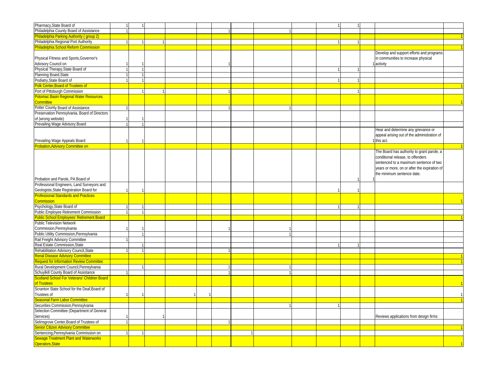| Pharmacy, State Board of                        |   |              |  |  |  |   |  |                                              |  |
|-------------------------------------------------|---|--------------|--|--|--|---|--|----------------------------------------------|--|
| Philadelphia County Board of Assistance         |   |              |  |  |  |   |  |                                              |  |
| Philadelphia Parking Authority (group 2)        |   |              |  |  |  |   |  |                                              |  |
| Philadelphia Regional Port Authority            |   |              |  |  |  |   |  |                                              |  |
| <b>Philadelphia School Reform Commission</b>    |   |              |  |  |  |   |  |                                              |  |
|                                                 |   |              |  |  |  |   |  |                                              |  |
|                                                 |   |              |  |  |  |   |  | Develop and support efforts and programs     |  |
| Physical Fitness and Sports, Governor's         |   |              |  |  |  |   |  | in communities to increase physical          |  |
| Advisory Council on                             |   |              |  |  |  |   |  | activity                                     |  |
| Physical Therapy, State Board of                |   |              |  |  |  |   |  |                                              |  |
| Planning Board, State                           |   |              |  |  |  |   |  |                                              |  |
| Podiatry, State Board of                        |   |              |  |  |  |   |  |                                              |  |
| Polk Center, Board of Trustees of               |   |              |  |  |  |   |  |                                              |  |
| Port of Pittsburgh Commission                   |   |              |  |  |  |   |  |                                              |  |
| <b>Potomac Basin Regional Water Resources</b>   |   |              |  |  |  |   |  |                                              |  |
| <b>Committee</b>                                |   |              |  |  |  |   |  |                                              |  |
| Potter County Board of Assistance               |   |              |  |  |  |   |  |                                              |  |
| Preservation Pennsylvania, Board of Directors   |   |              |  |  |  |   |  |                                              |  |
| of (wrong website)                              |   |              |  |  |  |   |  |                                              |  |
|                                                 |   |              |  |  |  |   |  |                                              |  |
| Prevailing Wage Advisory Board                  |   |              |  |  |  |   |  |                                              |  |
|                                                 |   |              |  |  |  |   |  | Hear and determine any grievance or          |  |
|                                                 |   |              |  |  |  |   |  | appeal arising out of the administration of  |  |
| Prevailing Wage Appeals Board                   |   |              |  |  |  |   |  | this act.                                    |  |
| <b>Probation, Advisory Committee on</b>         |   |              |  |  |  |   |  |                                              |  |
|                                                 |   |              |  |  |  |   |  | The Board has authority to grant parole, a   |  |
|                                                 |   |              |  |  |  |   |  | conditional release, to offenders            |  |
|                                                 |   |              |  |  |  |   |  | sentenced to a maximum sentence of two       |  |
|                                                 |   |              |  |  |  |   |  | years or more, on or after the expiration of |  |
|                                                 |   |              |  |  |  |   |  | the minimum sentence date.                   |  |
| Probation and Parole, PA Board of               |   |              |  |  |  |   |  |                                              |  |
| Professional Engineers, Land Surveyors and      |   |              |  |  |  |   |  |                                              |  |
| Geologists, State Registration Board for        |   |              |  |  |  | 1 |  |                                              |  |
| <b>Professional Standards and Practices</b>     |   |              |  |  |  |   |  |                                              |  |
| ommission                                       |   |              |  |  |  |   |  |                                              |  |
| Psychology, State Board of                      |   |              |  |  |  |   |  |                                              |  |
|                                                 |   |              |  |  |  |   |  |                                              |  |
| Public Employee Retirement Commission           |   |              |  |  |  |   |  |                                              |  |
| ublic School Employees' Retirement Board        |   |              |  |  |  |   |  |                                              |  |
| Public Television Network                       |   |              |  |  |  |   |  |                                              |  |
| Commission, Pennsylvania                        |   |              |  |  |  |   |  |                                              |  |
| Public Utility Commission, Pennsylvania         | 1 |              |  |  |  |   |  |                                              |  |
| Rail Freight Advisory Committee                 |   |              |  |  |  |   |  |                                              |  |
| Real Estate Commission, State                   |   |              |  |  |  |   |  |                                              |  |
| Rehabilitation Advisory Council, State          |   |              |  |  |  |   |  |                                              |  |
| <b>Renal Disease Advisory Committee</b>         |   |              |  |  |  |   |  |                                              |  |
| <b>Request for Information Review Committee</b> |   |              |  |  |  |   |  |                                              |  |
| Rural Development Council, Pennsylvania         |   |              |  |  |  |   |  |                                              |  |
| Schuylkill County Board of Assistance           |   |              |  |  |  |   |  |                                              |  |
| Scotland School For Veterans' Children Board    |   |              |  |  |  |   |  |                                              |  |
| of Trustees                                     |   |              |  |  |  |   |  |                                              |  |
| Scranton State School for the Deaf, Board of    |   |              |  |  |  |   |  |                                              |  |
|                                                 |   |              |  |  |  |   |  |                                              |  |
| Trustees of                                     |   |              |  |  |  |   |  |                                              |  |
| Seasonal Farm Labor Committee                   |   |              |  |  |  |   |  |                                              |  |
| Securities Commission, Pennsylvania             |   |              |  |  |  | 1 |  |                                              |  |
| Selection Committee (Department of General      |   |              |  |  |  |   |  |                                              |  |
| Services)                                       |   | $\mathbf{1}$ |  |  |  |   |  | Reviews applications from design firms       |  |
| Selinsgrove Center, Board of Trustees of        |   |              |  |  |  |   |  |                                              |  |
| Senior Citizen Advisory Committee               |   |              |  |  |  |   |  |                                              |  |
| Sentencing, Pennsylvania Commission on          |   |              |  |  |  |   |  |                                              |  |
| <b>Sewage Treatment Plant and Waterworks</b>    |   |              |  |  |  |   |  |                                              |  |
| Operators, State                                |   |              |  |  |  |   |  |                                              |  |
|                                                 |   |              |  |  |  |   |  |                                              |  |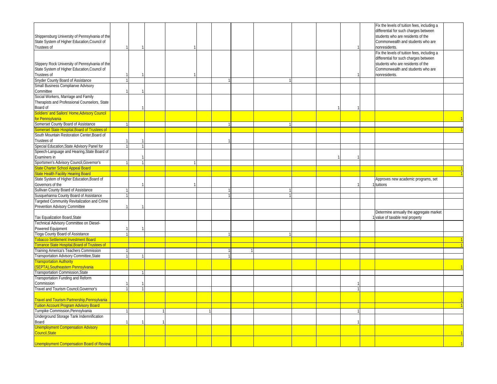|                                                      |  |  |  |  |  |  | Fix the levels of tuition fees, including a |  |
|------------------------------------------------------|--|--|--|--|--|--|---------------------------------------------|--|
|                                                      |  |  |  |  |  |  | differential for such charges between       |  |
| Shippensburg University of Pennsylvania of the       |  |  |  |  |  |  | students who are residents of the           |  |
| State System of Higher Education, Council of         |  |  |  |  |  |  | Commonwealth and students who are           |  |
| Trustees of                                          |  |  |  |  |  |  | nonresidents.                               |  |
|                                                      |  |  |  |  |  |  | Fix the levels of tuition fees, including a |  |
|                                                      |  |  |  |  |  |  | differential for such charges between       |  |
| Slippery Rock University of Pennsylvania of the      |  |  |  |  |  |  | students who are residents of the           |  |
| State System of Higher Education, Council of         |  |  |  |  |  |  | Commonwealth and students who are           |  |
| Trustees of                                          |  |  |  |  |  |  | nonresidents.                               |  |
| Snyder County Board of Assistance                    |  |  |  |  |  |  |                                             |  |
| Small Business Complianxe Advisory                   |  |  |  |  |  |  |                                             |  |
| Committee                                            |  |  |  |  |  |  |                                             |  |
| Social Workers, Marriage and Family                  |  |  |  |  |  |  |                                             |  |
| Therapists and Professional Counselors, State        |  |  |  |  |  |  |                                             |  |
| Board of                                             |  |  |  |  |  |  |                                             |  |
| <b>Soldiers' and Sailors' Home, Advisory Council</b> |  |  |  |  |  |  |                                             |  |
| for Pennsylvania                                     |  |  |  |  |  |  |                                             |  |
| Somerset County Board of Assistance                  |  |  |  |  |  |  |                                             |  |
| <b>Somerset State Hospital, Board of Trustees of</b> |  |  |  |  |  |  |                                             |  |
| South Mountain Restoration Center, Board of          |  |  |  |  |  |  |                                             |  |
|                                                      |  |  |  |  |  |  |                                             |  |
| Trustees of                                          |  |  |  |  |  |  |                                             |  |
| Special Education, State Advisory Panel for          |  |  |  |  |  |  |                                             |  |
| Speech-Language and Hearing, State Board of          |  |  |  |  |  |  |                                             |  |
| Examiners in                                         |  |  |  |  |  |  |                                             |  |
| Sportsmen's Advisory Council, Governor's             |  |  |  |  |  |  |                                             |  |
| <b>State Charter School Appeal Board</b>             |  |  |  |  |  |  |                                             |  |
| <b>Itate Health Facility Hearing Board</b>           |  |  |  |  |  |  |                                             |  |
| State System of Higher Education, Board of           |  |  |  |  |  |  | Approves new academic programs, set         |  |
| Governors of the                                     |  |  |  |  |  |  | tuitions                                    |  |
| Sullivan County Board of Assistance                  |  |  |  |  |  |  |                                             |  |
| Susquehanna County Board of Assistance               |  |  |  |  |  |  |                                             |  |
| Targeted Community Revitalization and Crime          |  |  |  |  |  |  |                                             |  |
| Prevention Advisory Committee                        |  |  |  |  |  |  |                                             |  |
|                                                      |  |  |  |  |  |  | Determine annually the aggregate market     |  |
| Tax Equalization Board, State                        |  |  |  |  |  |  | value of taxable real property              |  |
| Technical Advisory Committee on Diesel-              |  |  |  |  |  |  |                                             |  |
| Powered Equipment                                    |  |  |  |  |  |  |                                             |  |
| Tioga County Board of Assistance                     |  |  |  |  |  |  |                                             |  |
| obacco Settlement Investment Board                   |  |  |  |  |  |  |                                             |  |
| orrance State Hospital, Board of Trustees of         |  |  |  |  |  |  |                                             |  |
| Training America's Teachers Commission               |  |  |  |  |  |  |                                             |  |
| Transportation Advisory Committee, State             |  |  |  |  |  |  |                                             |  |
| ransportation Authority                              |  |  |  |  |  |  |                                             |  |
| SEPTA), Southeastern Pennsylvania                    |  |  |  |  |  |  |                                             |  |
| Transportation Commission, State                     |  |  |  |  |  |  |                                             |  |
| Transportation Funding and Reform                    |  |  |  |  |  |  |                                             |  |
| Commission                                           |  |  |  |  |  |  |                                             |  |
| Travel and Tourism Council, Governor's               |  |  |  |  |  |  |                                             |  |
|                                                      |  |  |  |  |  |  |                                             |  |
| ravel and Tourism Partnership, Pennsylvania          |  |  |  |  |  |  |                                             |  |
| <b>Tuition Account Program Advisory Board</b>        |  |  |  |  |  |  |                                             |  |
| Turnpike Commission, Pennsylvania                    |  |  |  |  |  |  |                                             |  |
| Underground Storage Tank Indemnification             |  |  |  |  |  |  |                                             |  |
| Board                                                |  |  |  |  |  |  |                                             |  |
| <b>Unemployment Compensation Advisory</b>            |  |  |  |  |  |  |                                             |  |
| Council, State                                       |  |  |  |  |  |  |                                             |  |
|                                                      |  |  |  |  |  |  |                                             |  |
|                                                      |  |  |  |  |  |  |                                             |  |
| <b>Unemployment Compensation Board of Review</b>     |  |  |  |  |  |  |                                             |  |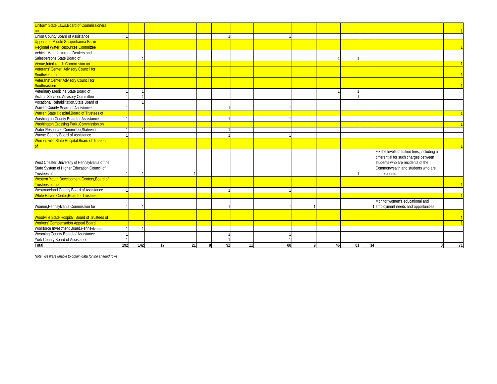| <b>Uniform State Laws. Board of Commissioners</b>     |     |     |    |    |   |    |    |    |    |    |    |                                             |    |
|-------------------------------------------------------|-----|-----|----|----|---|----|----|----|----|----|----|---------------------------------------------|----|
| $_{\text{on}}$                                        |     |     |    |    |   |    |    |    |    |    |    |                                             |    |
| Union County Board of Assistance                      |     |     |    |    |   |    |    |    |    |    |    |                                             |    |
| <b>Upper and Middle Susquehanna Basin</b>             |     |     |    |    |   |    |    |    |    |    |    |                                             |    |
| <b>Regional Water Resources Committee</b>             |     |     |    |    |   |    |    |    |    |    |    |                                             |    |
| Vehicle Manufacturers, Dealers and                    |     |     |    |    |   |    |    |    |    |    |    |                                             |    |
| Salespersons, State Board of                          |     |     |    |    |   |    |    |    |    |    |    |                                             |    |
| Venue, Interbranch Commission on                      |     |     |    |    |   |    |    |    |    |    |    |                                             |    |
| Veterans' Center, Advisory Council for                |     |     |    |    |   |    |    |    |    |    |    |                                             |    |
| Southwestern                                          |     |     |    |    |   |    |    |    |    |    |    |                                             |    |
| Veterans' Center, Advisory Council for                |     |     |    |    |   |    |    |    |    |    |    |                                             |    |
| Southeastern                                          |     |     |    |    |   |    |    |    |    |    |    |                                             |    |
| Veterinary Medicine, State Board of                   |     |     |    |    |   |    |    |    |    |    |    |                                             |    |
| Victims Services Advisory Committee                   |     |     |    |    |   |    |    |    |    |    |    |                                             |    |
| Vocational Rehabilitation, State Board of             |     |     |    |    |   |    |    |    |    |    |    |                                             |    |
| Warren County Board of Assistance                     |     |     |    |    |   |    |    |    |    |    |    |                                             |    |
| Warren State Hospital, Board of Trustees of           |     |     |    |    |   |    |    |    |    |    |    |                                             |    |
| Washington County Board of Assistance                 |     |     |    |    |   |    |    |    |    |    |    |                                             |    |
| <b>Washington Crossing Park , Commission on</b>       |     |     |    |    |   |    |    |    |    |    |    |                                             |    |
| Water Resources Committee, Statewide                  |     |     |    |    |   |    |    |    |    |    |    |                                             |    |
| Wayne County Board of Assistance                      |     |     |    |    |   |    |    |    |    |    |    |                                             |    |
| <b>Wernersville State Hospital, Board of Trustees</b> |     |     |    |    |   |    |    |    |    |    |    |                                             |    |
|                                                       |     |     |    |    |   |    |    |    |    |    |    |                                             |    |
|                                                       |     |     |    |    |   |    |    |    |    |    |    | Fix the levels of tuition fees, including a |    |
|                                                       |     |     |    |    |   |    |    |    |    |    |    | differential for such charges between       |    |
| West Chester University of Pennsylvania of the        |     |     |    |    |   |    |    |    |    |    |    | students who are residents of the           |    |
| State System of Higher Education, Council of          |     |     |    |    |   |    |    |    |    |    |    | Commonwealth and students who are           |    |
| Trustees of                                           |     |     |    |    |   |    |    |    |    |    |    | nonresidents.                               |    |
| Western Youth Development Centers, Board of           |     |     |    |    |   |    |    |    |    |    |    |                                             |    |
| Trustees of the                                       |     |     |    |    |   |    |    |    |    |    |    |                                             |    |
| Westmoreland County Board of Assistance               |     |     |    |    |   |    |    |    |    |    |    |                                             |    |
| White Haven Center, Board of Trustees of              |     |     |    |    |   |    |    |    |    |    |    |                                             |    |
|                                                       |     |     |    |    |   |    |    |    |    |    |    | Monitor women's educational and             |    |
| Women, Pennsylvania Commission for                    |     |     |    |    |   |    |    |    |    |    |    | 1 employment needs and opportunities        |    |
|                                                       |     |     |    |    |   |    |    |    |    |    |    |                                             |    |
| Woodville State Hospital, Board of Trustees of        |     |     |    |    |   |    |    |    |    |    |    |                                             |    |
| <b>Workers' Compensation Appeal Board</b>             |     |     |    |    |   |    |    |    |    |    |    |                                             |    |
| Workforce Investment Board, Pennsylvania              |     |     |    |    |   |    |    |    |    |    |    |                                             |    |
| Wyoming County Board of Assistance                    |     |     |    |    |   |    |    |    |    |    |    |                                             |    |
| York County Board of Assistance                       |     |     |    |    |   |    |    |    |    |    |    |                                             |    |
| Total                                                 | 192 | 142 | 17 | 21 | R | 92 | 11 | 88 | 46 | 81 | 34 |                                             | 71 |

*Note: We were unable to obtain data for the shaded rows.*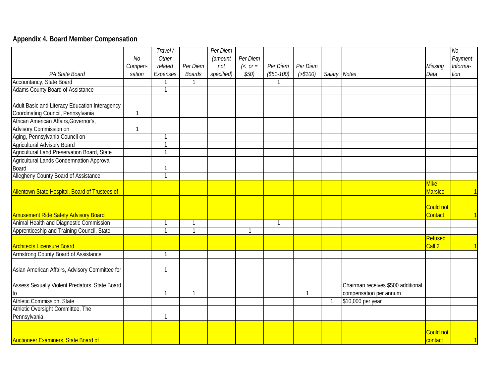# **Appendix 4. Board Member Compensation**

|                                                |                | Travel/      |               | Per Diem   |                 |             |              |              |                                    |                  | No       |
|------------------------------------------------|----------------|--------------|---------------|------------|-----------------|-------------|--------------|--------------|------------------------------------|------------------|----------|
|                                                | N <sub>O</sub> | Other        |               | (amount    | Per Diem        |             |              |              |                                    |                  | Payment  |
|                                                | Compen-        | related      | Per Diem      | not        | $\left( <$ or = | Per Diem    | Per Diem     |              |                                    | Missing          | Informa- |
| PA State Board                                 | sation         |              |               | specified) | \$50)           | $($51-100)$ | ( > \$100)   | Salary Notes |                                    | Data             | tion     |
| Accountancy, State Board                       |                | Expenses     | <b>Boards</b> |            |                 |             |              |              |                                    |                  |          |
| <b>Adams County Board of Assistance</b>        |                |              |               |            |                 |             |              |              |                                    |                  |          |
|                                                |                |              |               |            |                 |             |              |              |                                    |                  |          |
| Adult Basic and Literacy Education Interagency |                |              |               |            |                 |             |              |              |                                    |                  |          |
| Coordinating Council, Pennsylvania             | $\mathbf{1}$   |              |               |            |                 |             |              |              |                                    |                  |          |
| African American Affairs, Governor's,          |                |              |               |            |                 |             |              |              |                                    |                  |          |
| Advisory Commission on                         | $\overline{1}$ |              |               |            |                 |             |              |              |                                    |                  |          |
| Aging, Pennsylvania Council on                 |                | 1            |               |            |                 |             |              |              |                                    |                  |          |
| <b>Agricultural Advisory Board</b>             |                | 1            |               |            |                 |             |              |              |                                    |                  |          |
| Agricultural Land Preservation Board, State    |                | 1            |               |            |                 |             |              |              |                                    |                  |          |
| Agricultural Lands Condemnation Approval       |                |              |               |            |                 |             |              |              |                                    |                  |          |
| Board                                          |                | $\mathbf{1}$ |               |            |                 |             |              |              |                                    |                  |          |
| Allegheny County Board of Assistance           |                | $\mathbf{1}$ |               |            |                 |             |              |              |                                    |                  |          |
|                                                |                |              |               |            |                 |             |              |              |                                    | <b>Mike</b>      |          |
| Allentown State Hospital, Board of Trustees of |                |              |               |            |                 |             |              |              |                                    | <b>Marsico</b>   |          |
|                                                |                |              |               |            |                 |             |              |              |                                    |                  |          |
|                                                |                |              |               |            |                 |             |              |              |                                    | <b>Could not</b> |          |
| <b>Amusement Ride Safety Advisory Board</b>    |                |              |               |            |                 |             |              |              |                                    | Contact          |          |
| Animal Health and Diagnostic Commission        |                | -1           | 1             |            |                 |             |              |              |                                    |                  |          |
| Apprenticeship and Training Council, State     |                | $\mathbf{1}$ | $\mathbf{1}$  |            | $\mathbf{1}$    |             |              |              |                                    |                  |          |
|                                                |                |              |               |            |                 |             |              |              |                                    | Refused          |          |
| <b>Architects Licensure Board</b>              |                |              |               |            |                 |             |              |              |                                    | Call 2           |          |
| Armstrong County Board of Assistance           |                | 1            |               |            |                 |             |              |              |                                    |                  |          |
|                                                |                |              |               |            |                 |             |              |              |                                    |                  |          |
| Asian American Affairs, Advisory Committee for |                | $\mathbf{1}$ |               |            |                 |             |              |              |                                    |                  |          |
|                                                |                |              |               |            |                 |             |              |              |                                    |                  |          |
| Assess Sexually Violent Predators, State Board |                |              |               |            |                 |             |              |              | Chairman receives \$500 additional |                  |          |
| to                                             |                | $\mathbf{1}$ | $\mathbf{1}$  |            |                 |             | $\mathbf{1}$ |              | compensation per annum             |                  |          |
| Athletic Commission, State                     |                |              |               |            |                 |             |              | -1           | \$10,000 per year                  |                  |          |
| Athletic Oversight Committee, The              |                |              |               |            |                 |             |              |              |                                    |                  |          |
| Pennsylvania                                   |                | 1            |               |            |                 |             |              |              |                                    |                  |          |
|                                                |                |              |               |            |                 |             |              |              |                                    |                  |          |
|                                                |                |              |               |            |                 |             |              |              |                                    | <b>Could not</b> |          |
| <b>Auctioneer Examiners, State Board of</b>    |                |              |               |            |                 |             |              |              |                                    | contact          |          |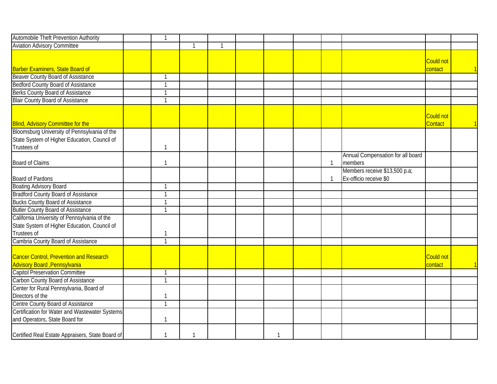| <b>Automobile Theft Prevention Authority</b>                                                                | $\overline{\mathbf{1}}$  |   |                |  |              |                                                         |                             |  |
|-------------------------------------------------------------------------------------------------------------|--------------------------|---|----------------|--|--------------|---------------------------------------------------------|-----------------------------|--|
| <b>Aviation Advisory Committee</b>                                                                          |                          | 1 | $\overline{1}$ |  |              |                                                         |                             |  |
|                                                                                                             |                          |   |                |  |              |                                                         | <b>Could not</b>            |  |
| <b>Barber Examiners, State Board of</b>                                                                     |                          |   |                |  |              |                                                         | contact                     |  |
| <b>Beaver County Board of Assistance</b>                                                                    | -1                       |   |                |  |              |                                                         |                             |  |
| <b>Bedford County Board of Assistance</b>                                                                   | $\overline{1}$           |   |                |  |              |                                                         |                             |  |
| Berks County Board of Assistance                                                                            | $\overline{1}$           |   |                |  |              |                                                         |                             |  |
| <b>Blair County Board of Assistance</b>                                                                     | $\overline{1}$           |   |                |  |              |                                                         |                             |  |
| <b>Blind, Advisory Committee for the</b>                                                                    |                          |   |                |  |              |                                                         | <b>Could not</b><br>Contact |  |
| Bloomsburg University of Pennsylvania of the<br>State System of Higher Education, Council of<br>Trustees of | 1                        |   |                |  |              |                                                         |                             |  |
| <b>Board of Claims</b>                                                                                      | -1                       |   |                |  | $\mathbf{1}$ | Annual Compensation for all board<br>members            |                             |  |
| Board of Pardons                                                                                            |                          |   |                |  | 1            | Members receive \$13,500 p.a;<br>Ex-officio receive \$0 |                             |  |
| <b>Boating Advisory Board</b>                                                                               | $\overline{\phantom{0}}$ |   |                |  |              |                                                         |                             |  |
| <b>Bradford County Board of Assistance</b>                                                                  | $\mathbf{1}$             |   |                |  |              |                                                         |                             |  |
| <b>Bucks County Board of Assistance</b>                                                                     | $\overline{1}$           |   |                |  |              |                                                         |                             |  |
| <b>Butler County Board of Assistance</b>                                                                    | $\overline{1}$           |   |                |  |              |                                                         |                             |  |
| California University of Pennsylvania of the<br>State System of Higher Education, Council of<br>Trustees of | 1                        |   |                |  |              |                                                         |                             |  |
| Cambria County Board of Assistance                                                                          | $\overline{1}$           |   |                |  |              |                                                         |                             |  |
| <b>Cancer Control, Prevention and Research</b><br><b>Advisory Board</b> , Pennsylvania                      |                          |   |                |  |              |                                                         | <b>Could not</b><br>contact |  |
| <b>Capitol Preservation Committee</b>                                                                       | $\overline{1}$           |   |                |  |              |                                                         |                             |  |
| Carbon County Board of Assistance                                                                           | $\mathbf{1}$             |   |                |  |              |                                                         |                             |  |
| Center for Rural Pennsylvania, Board of                                                                     |                          |   |                |  |              |                                                         |                             |  |
| Directors of the                                                                                            | $\mathbf{1}$             |   |                |  |              |                                                         |                             |  |
| Centre County Board of Assistance                                                                           | $\overline{1}$           |   |                |  |              |                                                         |                             |  |
| Certification for Water and Wastewater Systems                                                              |                          |   |                |  |              |                                                         |                             |  |
| and Operators, State Board for                                                                              | $\mathbf{1}$             |   |                |  |              |                                                         |                             |  |
| Certified Real Estate Appraisers, State Board of                                                            | -1                       | 1 |                |  |              |                                                         |                             |  |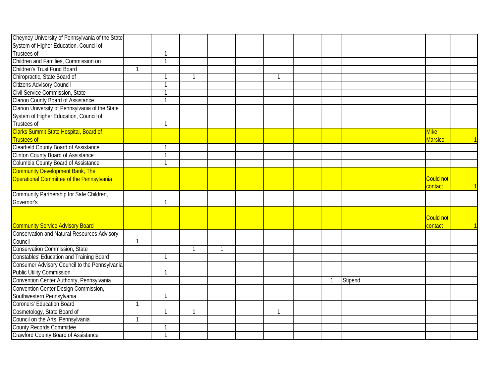| Cheyney University of Pennsylvania of the State    |              |                |              |                |   |              |         |                |  |
|----------------------------------------------------|--------------|----------------|--------------|----------------|---|--------------|---------|----------------|--|
| System of Higher Education, Council of             |              |                |              |                |   |              |         |                |  |
| Trustees of                                        |              | $\mathbf{1}$   |              |                |   |              |         |                |  |
| Children and Families, Commission on               |              | $\overline{1}$ |              |                |   |              |         |                |  |
| Children's Trust Fund Board                        |              |                |              |                |   |              |         |                |  |
| Chiropractic, State Board of                       |              | $\mathbf{1}$   |              |                | 1 |              |         |                |  |
| Citizens Advisory Council                          |              | $\overline{1}$ |              |                |   |              |         |                |  |
| Civil Service Commission, State                    |              | $\mathbf{1}$   |              |                |   |              |         |                |  |
| <b>Clarion County Board of Assistance</b>          |              | $\mathbf{1}$   |              |                |   |              |         |                |  |
| Clarion University of Pennsylvania of the State    |              |                |              |                |   |              |         |                |  |
| System of Higher Education, Council of             |              |                |              |                |   |              |         |                |  |
| Trustees of                                        |              | $\mathbf{1}$   |              |                |   |              |         |                |  |
| Clarks Summit State Hospital, Board of             |              |                |              |                |   |              |         | <b>Mike</b>    |  |
| <b>Trustees of</b>                                 |              |                |              |                |   |              |         | <b>Marsico</b> |  |
| <b>Clearfield County Board of Assistance</b>       |              | $\mathbf{1}$   |              |                |   |              |         |                |  |
| <b>Clinton County Board of Assistance</b>          |              | $\mathbf{1}$   |              |                |   |              |         |                |  |
| Columbia County Board of Assistance                |              | $\mathbf{1}$   |              |                |   |              |         |                |  |
| <b>Community Development Bank, The</b>             |              |                |              |                |   |              |         |                |  |
| Operational Committee of the Pennsylvania          |              |                |              |                |   |              |         | Could not      |  |
|                                                    |              |                |              |                |   |              |         | contact        |  |
| Community Partnership for Safe Children,           |              |                |              |                |   |              |         |                |  |
| Governor's                                         |              | $\mathbf{1}$   |              |                |   |              |         |                |  |
|                                                    |              |                |              |                |   |              |         |                |  |
|                                                    |              |                |              |                |   |              |         | Could not      |  |
| <b>Community Service Advisory Board</b>            |              |                |              |                |   |              |         | contact        |  |
| <b>Conservation and Natural Resources Advisory</b> |              |                |              |                |   |              |         |                |  |
| Council                                            | 1            |                |              |                |   |              |         |                |  |
| Conservation Commission, State                     |              |                | $\mathbf{1}$ | $\overline{1}$ |   |              |         |                |  |
| <b>Constables' Education and Training Board</b>    |              | $\mathbf{1}$   |              |                |   |              |         |                |  |
| Consumer Advisory Council to the Pennsylvania      |              |                |              |                |   |              |         |                |  |
| <b>Public Utility Commission</b>                   |              | $\mathbf{1}$   |              |                |   |              |         |                |  |
| Convention Center Authority, Pennsylvania          |              |                |              |                |   | $\mathbf{1}$ | Stipend |                |  |
| Convention Center Design Commission,               |              |                |              |                |   |              |         |                |  |
| Southwestern Pennsylvania                          |              | $\mathbf{1}$   |              |                |   |              |         |                |  |
| <b>Coroners' Education Board</b>                   | $\mathbf{1}$ |                |              |                |   |              |         |                |  |
| Cosmetology, State Board of                        |              | $\mathbf{1}$   |              |                |   |              |         |                |  |
| Council on the Arts, Pennsylvania                  |              |                |              |                |   |              |         |                |  |
| <b>County Records Committee</b>                    |              | 1              |              |                |   |              |         |                |  |
| Crawford County Board of Assistance                |              | $\mathbf{1}$   |              |                |   |              |         |                |  |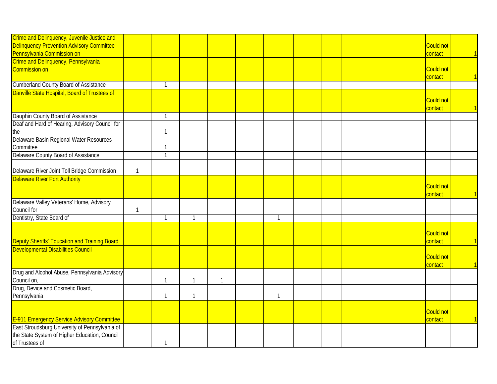| Crime and Delinquency, Juvenile Justice and<br><b>Delinquency Prevention Advisory Committee</b>                                                             |              |              |              |              |   |  | <b>Could not</b>            |  |
|-------------------------------------------------------------------------------------------------------------------------------------------------------------|--------------|--------------|--------------|--------------|---|--|-----------------------------|--|
|                                                                                                                                                             |              |              |              |              |   |  | contact                     |  |
| <b>Pennsylvania Commission on</b><br>Crime and Delinquency, Pennsylvania                                                                                    |              |              |              |              |   |  |                             |  |
| Commission on                                                                                                                                               |              |              |              |              |   |  | <b>Could not</b><br>contact |  |
| <b>Cumberland County Board of Assistance</b>                                                                                                                |              | $\mathbf{1}$ |              |              |   |  |                             |  |
| Danville State Hospital, Board of Trustees of                                                                                                               |              |              |              |              |   |  | Could not<br>contact        |  |
| Dauphin County Board of Assistance                                                                                                                          |              | $\mathbf{1}$ |              |              |   |  |                             |  |
| Deaf and Hard of Hearing, Advisory Council for<br>the                                                                                                       |              |              |              |              |   |  |                             |  |
| Delaware Basin Regional Water Resources<br>Committee                                                                                                        |              |              |              |              |   |  |                             |  |
| Delaware County Board of Assistance                                                                                                                         |              |              |              |              |   |  |                             |  |
| Delaware River Joint Toll Bridge Commission                                                                                                                 | $\mathbf{1}$ |              |              |              |   |  |                             |  |
| <b>Delaware River Port Authority</b>                                                                                                                        |              |              |              |              |   |  |                             |  |
|                                                                                                                                                             |              |              |              |              |   |  | <b>Could not</b><br>contact |  |
| Delaware Valley Veterans' Home, Advisory<br>Council for                                                                                                     | $\mathbf{1}$ |              |              |              |   |  |                             |  |
| Dentistry, State Board of                                                                                                                                   |              |              | $\mathbf{1}$ |              | 1 |  |                             |  |
| Deputy Sheriffs' Education and Training Board                                                                                                               |              |              |              |              |   |  | <b>Could not</b><br>contact |  |
| Developmental Disabilities Council                                                                                                                          |              |              |              |              |   |  | <b>Could not</b><br>contact |  |
| Drug and Alcohol Abuse, Pennsylvania Advisory<br>Council on,                                                                                                |              | 1            | $\mathbf{1}$ | $\mathbf{1}$ |   |  |                             |  |
| Drug, Device and Cosmetic Board,<br>Pennsylvania                                                                                                            |              | -1           | $\mathbf 1$  |              |   |  |                             |  |
|                                                                                                                                                             |              |              |              |              |   |  | <b>Could not</b><br>contact |  |
| <b>E-911 Emergency Service Advisory Committee</b><br><b>East Stroudsburg University of Pennsylvania of</b><br>the State System of Higher Education, Council |              |              |              |              |   |  |                             |  |
| of Trustees of                                                                                                                                              |              |              |              |              |   |  |                             |  |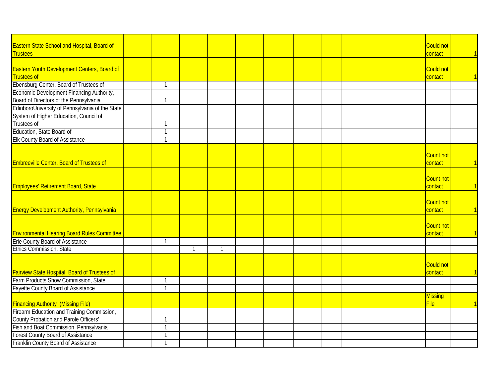| Eastern State School and Hospital, Board of        |              |             |                |  |  | <b>Could not</b> |  |
|----------------------------------------------------|--------------|-------------|----------------|--|--|------------------|--|
| <b>Trustees</b>                                    |              |             |                |  |  | contact          |  |
|                                                    |              |             |                |  |  |                  |  |
| Eastern Youth Development Centers, Board of        |              |             |                |  |  | <b>Could not</b> |  |
| <b>Trustees of</b>                                 |              |             |                |  |  | contact          |  |
| Ebensburg Center, Board of Trustees of             |              |             |                |  |  |                  |  |
| Economic Development Financing Authority,          |              |             |                |  |  |                  |  |
| Board of Directors of the Pennsylvania             |              |             |                |  |  |                  |  |
| EdinboroUniversity of Pennsylvania of the State    |              |             |                |  |  |                  |  |
| System of Higher Education, Council of             |              |             |                |  |  |                  |  |
| Trustees of                                        |              |             |                |  |  |                  |  |
| Education, State Board of                          |              |             |                |  |  |                  |  |
| Elk County Board of Assistance                     | $\mathbf{1}$ |             |                |  |  |                  |  |
|                                                    |              |             |                |  |  |                  |  |
|                                                    |              |             |                |  |  | Count not        |  |
| <b>Embreeville Center, Board of Trustees of</b>    |              |             |                |  |  | contact          |  |
|                                                    |              |             |                |  |  |                  |  |
|                                                    |              |             |                |  |  | Count not        |  |
| Employees' Retirement Board, State                 |              |             |                |  |  | contact          |  |
|                                                    |              |             |                |  |  |                  |  |
|                                                    |              |             |                |  |  |                  |  |
|                                                    |              |             |                |  |  | <b>Count not</b> |  |
| <b>Energy Development Authority, Pennsylvania</b>  |              |             |                |  |  | contact          |  |
|                                                    |              |             |                |  |  |                  |  |
|                                                    |              |             |                |  |  | Count not        |  |
| <b>Environmental Hearing Board Rules Committee</b> |              |             |                |  |  | contact          |  |
| Erie County Board of Assistance                    | -1           |             |                |  |  |                  |  |
| Ethics Commission, State                           |              | $\mathbf 1$ | $\overline{1}$ |  |  |                  |  |
|                                                    |              |             |                |  |  |                  |  |
|                                                    |              |             |                |  |  | <b>Could not</b> |  |
| Fairview State Hospital, Board of Trustees of      |              |             |                |  |  | contact          |  |
| Farm Products Show Commission, State               | $\mathbf{1}$ |             |                |  |  |                  |  |
| <b>Fayette County Board of Assistance</b>          | $\mathbf{1}$ |             |                |  |  |                  |  |
|                                                    |              |             |                |  |  | <b>Missing</b>   |  |
| <b>Financing Authority (Missing File)</b>          |              |             |                |  |  | File             |  |
| Firearm Education and Training Commission,         |              |             |                |  |  |                  |  |
| County Probation and Parole Officers'              | -1           |             |                |  |  |                  |  |
| Fish and Boat Commission, Pennsylvania             |              |             |                |  |  |                  |  |
| <b>Forest County Board of Assistance</b>           |              |             |                |  |  |                  |  |
| Franklin County Board of Assistance                |              |             |                |  |  |                  |  |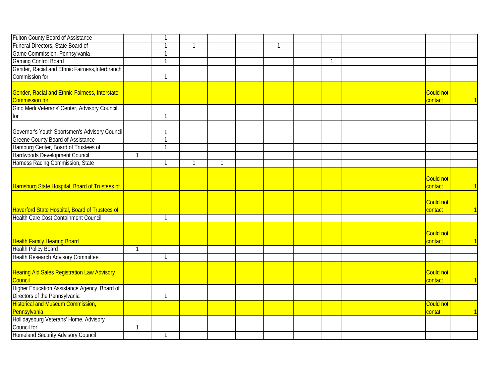| <b>Fulton County Board of Assistance</b>           |              | -1             |              |                |  |              |                  |  |
|----------------------------------------------------|--------------|----------------|--------------|----------------|--|--------------|------------------|--|
| Funeral Directors, State Board of                  |              |                | -1           |                |  |              |                  |  |
| Game Commission, Pennsylvania                      |              | $\mathbf{1}$   |              |                |  |              |                  |  |
| <b>Gaming Control Board</b>                        |              | $\overline{1}$ |              |                |  | $\mathbf{1}$ |                  |  |
| Gender, Racial and Ethnic Fairness, Interbranch    |              |                |              |                |  |              |                  |  |
| Commission for                                     |              | $\mathbf{1}$   |              |                |  |              |                  |  |
|                                                    |              |                |              |                |  |              |                  |  |
| Gender, Racial and Ethnic Fairness, Interstate     |              |                |              |                |  |              | <b>Could not</b> |  |
| <b>Commission for</b>                              |              |                |              |                |  |              | contact          |  |
| Gino Merli Veterans' Center, Advisory Council      |              |                |              |                |  |              |                  |  |
| for                                                |              | $\overline{1}$ |              |                |  |              |                  |  |
|                                                    |              |                |              |                |  |              |                  |  |
| Governor's Youth Sportsmen's Advisory Council      |              | $\mathbf{1}$   |              |                |  |              |                  |  |
| <b>Greene County Board of Assistance</b>           |              | $\overline{1}$ |              |                |  |              |                  |  |
| Hamburg Center, Board of Trustees of               |              | $\mathbf{1}$   |              |                |  |              |                  |  |
| Hardwoods Development Council                      | 1            |                |              |                |  |              |                  |  |
| Harness Racing Commission, State                   |              | $\overline{1}$ | $\mathbf{1}$ | $\overline{1}$ |  |              |                  |  |
|                                                    |              |                |              |                |  |              |                  |  |
|                                                    |              |                |              |                |  |              | <b>Could not</b> |  |
| Harrisburg State Hospital, Board of Trustees of    |              |                |              |                |  |              | contact          |  |
|                                                    |              |                |              |                |  |              |                  |  |
|                                                    |              |                |              |                |  |              | <b>Could not</b> |  |
| Haverford State Hospital, Board of Trustees of     |              |                |              |                |  |              | contact          |  |
| <b>Health Care Cost Containment Council</b>        |              |                |              |                |  |              |                  |  |
|                                                    |              |                |              |                |  |              |                  |  |
|                                                    |              |                |              |                |  |              | <b>Could not</b> |  |
| <b>Health Family Hearing Board</b>                 |              |                |              |                |  |              | contact          |  |
| <b>Health Policy Board</b>                         | $\mathbf{1}$ |                |              |                |  |              |                  |  |
| <b>Health Research Advisory Committee</b>          |              | $\mathbf{1}$   |              |                |  |              |                  |  |
|                                                    |              |                |              |                |  |              |                  |  |
| <b>Hearing Aid Sales Registration Law Advisory</b> |              |                |              |                |  |              | Could not        |  |
| Council                                            |              |                |              |                |  |              | contact          |  |
| Higher Education Assistance Agency, Board of       |              |                |              |                |  |              |                  |  |
| Directors of the Pennsylvania                      |              | $\mathbf{1}$   |              |                |  |              |                  |  |
| <b>Historical and Museum Commission,</b>           |              |                |              |                |  |              | <b>Could not</b> |  |
| Pennsylvania                                       |              |                |              |                |  |              | contat           |  |
| Hollidaysburg Veterans' Home, Advisory             |              |                |              |                |  |              |                  |  |
| Council for                                        | $\mathbf{1}$ |                |              |                |  |              |                  |  |
| Homeland Security Advisory Council                 |              | $\mathbf{1}$   |              |                |  |              |                  |  |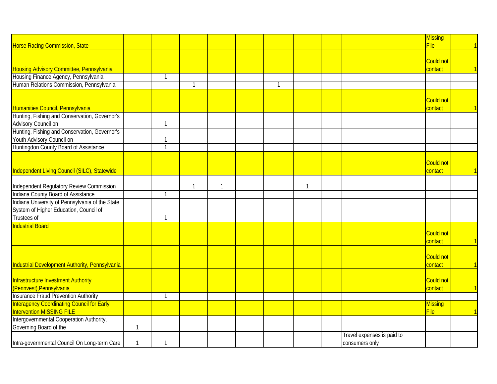|                                                   |             |                |                |              |    |              |                            | <b>Missing</b>   |  |
|---------------------------------------------------|-------------|----------------|----------------|--------------|----|--------------|----------------------------|------------------|--|
| <b>Horse Racing Commission, State</b>             |             |                |                |              |    |              |                            | File             |  |
|                                                   |             |                |                |              |    |              |                            |                  |  |
|                                                   |             |                |                |              |    |              |                            | <b>Could not</b> |  |
| Housing Advisory Committee, Pennsylvania          |             |                |                |              |    |              |                            | contact          |  |
| Housing Finance Agency, Pennsylvania              |             | $\mathbf{1}$   |                |              |    |              |                            |                  |  |
| Human Relations Commission, Pennsylvania          |             |                | $\overline{1}$ |              | -1 |              |                            |                  |  |
|                                                   |             |                |                |              |    |              |                            |                  |  |
|                                                   |             |                |                |              |    |              |                            | Could not        |  |
| Humanities Council, Pennsylvania                  |             |                |                |              |    |              |                            | contact          |  |
| Hunting, Fishing and Conservation, Governor's     |             |                |                |              |    |              |                            |                  |  |
| Advisory Council on                               |             | $\mathbf{1}$   |                |              |    |              |                            |                  |  |
| Hunting, Fishing and Conservation, Governor's     |             |                |                |              |    |              |                            |                  |  |
| Youth Advisory Council on                         |             | $\mathbf{1}$   |                |              |    |              |                            |                  |  |
| Huntingdon County Board of Assistance             |             | $\mathbf{1}$   |                |              |    |              |                            |                  |  |
|                                                   |             |                |                |              |    |              |                            |                  |  |
|                                                   |             |                |                |              |    |              |                            | Could not        |  |
| Independent Living Council (SILC), Statewide      |             |                |                |              |    |              |                            | contact          |  |
|                                                   |             |                |                |              |    |              |                            |                  |  |
| Independent Regulatory Review Commission          |             |                | $\mathbf{1}$   | $\mathbf{1}$ |    | $\mathbf{1}$ |                            |                  |  |
| Indiana County Board of Assistance                |             | $\overline{1}$ |                |              |    |              |                            |                  |  |
| Indiana University of Pennsylvania of the State   |             |                |                |              |    |              |                            |                  |  |
| System of Higher Education, Council of            |             |                |                |              |    |              |                            |                  |  |
| Trustees of                                       |             | $\mathbf{1}$   |                |              |    |              |                            |                  |  |
| <b>Industrial Board</b>                           |             |                |                |              |    |              |                            |                  |  |
|                                                   |             |                |                |              |    |              |                            | Could not        |  |
|                                                   |             |                |                |              |    |              |                            | contact          |  |
|                                                   |             |                |                |              |    |              |                            |                  |  |
|                                                   |             |                |                |              |    |              |                            | Could not        |  |
| Industrial Development Authority, Pennsylvania    |             |                |                |              |    |              |                            | contact          |  |
|                                                   |             |                |                |              |    |              |                            |                  |  |
| Infrastructure Investment Authority               |             |                |                |              |    |              |                            | Could not        |  |
| (Pennvest), Pennsylvania                          |             |                |                |              |    |              |                            | contact          |  |
| <b>Insurance Fraud Prevention Authority</b>       |             | $\mathbf{1}$   |                |              |    |              |                            |                  |  |
| <b>Interagency Coordinating Council for Early</b> |             |                |                |              |    |              |                            | <b>Missing</b>   |  |
| Intervention MISSING FILE                         |             |                |                |              |    |              |                            | File             |  |
| Intergovernmental Cooperation Authority,          |             |                |                |              |    |              |                            |                  |  |
| Governing Board of the                            | 1           |                |                |              |    |              |                            |                  |  |
|                                                   |             |                |                |              |    |              | Travel expenses is paid to |                  |  |
| Intra-governmental Council On Long-term Care      | $\mathbf 1$ | -1             |                |              |    |              | consumers only             |                  |  |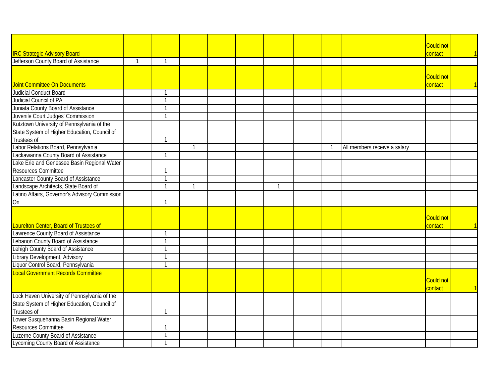|                                                |              |   |  |    |    |                              | Could not        |  |
|------------------------------------------------|--------------|---|--|----|----|------------------------------|------------------|--|
| <b>IRC Strategic Advisory Board</b>            |              |   |  |    |    |                              | contact          |  |
| Jefferson County Board of Assistance           | $\mathbf{1}$ |   |  |    |    |                              |                  |  |
|                                                |              |   |  |    |    |                              |                  |  |
|                                                |              |   |  |    |    |                              | <b>Could not</b> |  |
| Joint Committee On Documents                   |              |   |  |    |    |                              | contact          |  |
| Judicial Conduct Board                         |              |   |  |    |    |                              |                  |  |
| Judicial Council of PA                         | $\mathbf{1}$ |   |  |    |    |                              |                  |  |
| Juniata County Board of Assistance             | $\mathbf{1}$ |   |  |    |    |                              |                  |  |
| Juvenile Court Judges' Commission              |              |   |  |    |    |                              |                  |  |
| Kutztown University of Pennsylvania of the     |              |   |  |    |    |                              |                  |  |
| State System of Higher Education, Council of   |              |   |  |    |    |                              |                  |  |
| Trustees of                                    | $\mathbf{1}$ |   |  |    |    |                              |                  |  |
| Labor Relations Board, Pennsylvania            |              | 1 |  |    | -1 | All members receive a salary |                  |  |
| Lackawanna County Board of Assistance          | $\mathbf{1}$ |   |  |    |    |                              |                  |  |
| Lake Erie and Genessee Basin Regional Water    |              |   |  |    |    |                              |                  |  |
| Resources Committee                            | $\mathbf{1}$ |   |  |    |    |                              |                  |  |
| Lancaster County Board of Assistance           | $\mathbf{1}$ |   |  |    |    |                              |                  |  |
| Landscape Architects, State Board of           | $\mathbf{1}$ | 1 |  | -1 |    |                              |                  |  |
| Latino Affairs, Governor's Advisory Commission |              |   |  |    |    |                              |                  |  |
| On                                             | $\mathbf{1}$ |   |  |    |    |                              |                  |  |
|                                                |              |   |  |    |    |                              |                  |  |
|                                                |              |   |  |    |    |                              | Could not        |  |
| Laurelton Center, Board of Trustees of         |              |   |  |    |    |                              | contact          |  |
| Lawrence County Board of Assistance            |              |   |  |    |    |                              |                  |  |
| Lebanon County Board of Assistance             | $\mathbf{1}$ |   |  |    |    |                              |                  |  |
| Lehigh County Board of Assistance              | -1           |   |  |    |    |                              |                  |  |
| Library Development, Advisory                  |              |   |  |    |    |                              |                  |  |
| Liquor Control Board, Pennsylvania             |              |   |  |    |    |                              |                  |  |
| <b>Local Government Records Committee</b>      |              |   |  |    |    |                              |                  |  |
|                                                |              |   |  |    |    |                              | Could not        |  |
|                                                |              |   |  |    |    |                              | contact          |  |
| Lock Haven University of Pennsylvania of the   |              |   |  |    |    |                              |                  |  |
| State System of Higher Education, Council of   |              |   |  |    |    |                              |                  |  |
| Trustees of                                    | $\mathbf{1}$ |   |  |    |    |                              |                  |  |
| Lower Susquehanna Basin Regional Water         |              |   |  |    |    |                              |                  |  |
| <b>Resources Committee</b>                     | $\mathbf 1$  |   |  |    |    |                              |                  |  |
| Luzerne County Board of Assistance             | $\mathbf{1}$ |   |  |    |    |                              |                  |  |
| Lycoming County Board of Assistance            |              |   |  |    |    |                              |                  |  |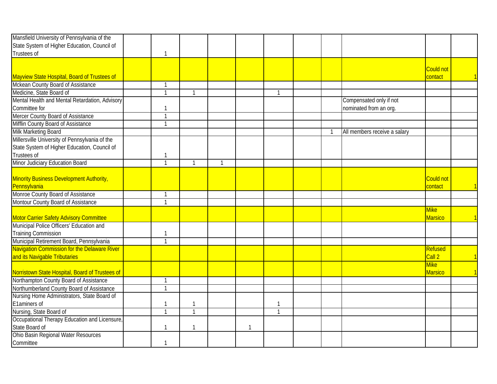| Mansfield University of Pennsylvania of the                                         |                |                |              |              |              |              |                              |                             |  |
|-------------------------------------------------------------------------------------|----------------|----------------|--------------|--------------|--------------|--------------|------------------------------|-----------------------------|--|
| State System of Higher Education, Council of                                        |                |                |              |              |              |              |                              |                             |  |
| Trustees of                                                                         | $\mathbf{1}$   |                |              |              |              |              |                              |                             |  |
|                                                                                     |                |                |              |              |              |              |                              |                             |  |
| Mayview State Hospital, Board of Trustees of                                        |                |                |              |              |              |              |                              | <b>Could not</b><br>contact |  |
| Mckean County Board of Assistance                                                   | $\mathbf 1$    |                |              |              |              |              |                              |                             |  |
| Medicine, State Board of                                                            | $\mathbf{1}$   |                |              |              | $\mathbf{1}$ |              |                              |                             |  |
| Mental Health and Mental Retardation, Advisory                                      |                |                |              |              |              |              | Compensated only if not      |                             |  |
| Committee for                                                                       | $\mathbf{1}$   |                |              |              |              |              | nominated from an org.       |                             |  |
| Mercer County Board of Assistance                                                   | $\mathbf{1}$   |                |              |              |              |              |                              |                             |  |
| Mifflin County Board of Assistance                                                  | $\mathbf{1}$   |                |              |              |              |              |                              |                             |  |
| Milk Marketing Board                                                                |                |                |              |              |              | $\mathbf{1}$ | All members receive a salary |                             |  |
| Millersville University of Pennsylvania of the                                      |                |                |              |              |              |              |                              |                             |  |
| State System of Higher Education, Council of                                        |                |                |              |              |              |              |                              |                             |  |
| Trustees of                                                                         | $\mathbf{1}$   |                |              |              |              |              |                              |                             |  |
| Minor Judiciary Education Board                                                     | $\mathbf{1}$   |                | $\mathbf{1}$ |              |              |              |                              |                             |  |
|                                                                                     |                |                |              |              |              |              |                              | Could not                   |  |
| Minority Business Development Authority,                                            |                |                |              |              |              |              |                              |                             |  |
| Pennsylvania<br>Monroe County Board of Assistance                                   | $\mathbf{1}$   |                |              |              |              |              |                              | contact                     |  |
| Montour County Board of Assistance                                                  | $\mathbf{1}$   |                |              |              |              |              |                              |                             |  |
|                                                                                     |                |                |              |              |              |              |                              | <b>Mike</b>                 |  |
|                                                                                     |                |                |              |              |              |              |                              | <b>Marsico</b>              |  |
| Motor Carrier Safety Advisory Committee<br>Municipal Police Officers' Education and |                |                |              |              |              |              |                              |                             |  |
| <b>Training Commission</b>                                                          | -1             |                |              |              |              |              |                              |                             |  |
| Municipal Retirement Board, Pennsylvania                                            | $\mathbf{1}$   |                |              |              |              |              |                              |                             |  |
| Navigation Commission for the Delaware River                                        |                |                |              |              |              |              |                              | Refused                     |  |
| and its Navigable Tributaries                                                       |                |                |              |              |              |              |                              | Call 2                      |  |
|                                                                                     |                |                |              |              |              |              |                              | <b>Mike</b>                 |  |
| Norristown State Hospital, Board of Trustees of                                     |                |                |              |              |              |              |                              | <b>Marsico</b>              |  |
| Northampton County Board of Assistance                                              | $\mathbf{1}$   |                |              |              |              |              |                              |                             |  |
| Northumberland County Board of Assistance                                           | $\mathbf{1}$   |                |              |              |              |              |                              |                             |  |
| Nursing Home Administrators, State Board of                                         |                |                |              |              |              |              |                              |                             |  |
| E1aminers of                                                                        | $\mathbf 1$    |                |              |              | 1            |              |                              |                             |  |
| Nursing, State Board of                                                             | $\overline{1}$ | $\overline{1}$ |              |              | $\mathbf{1}$ |              |                              |                             |  |
| Occupational Therapy Education and Licensure,                                       |                |                |              |              |              |              |                              |                             |  |
| State Board of                                                                      | $\mathbf{1}$   |                |              | $\mathbf{1}$ |              |              |                              |                             |  |
| Ohio Basin Regional Water Resources                                                 |                |                |              |              |              |              |                              |                             |  |
| Committee                                                                           | $\mathbf{1}$   |                |              |              |              |              |                              |                             |  |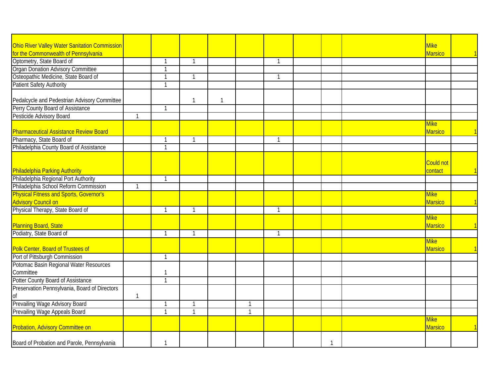| Ohio River Valley Water Sanitation Commission                                |              |              |              |   |              |              |              | <b>Mike</b>                   |  |
|------------------------------------------------------------------------------|--------------|--------------|--------------|---|--------------|--------------|--------------|-------------------------------|--|
| for the Commonwealth of Pennsylvania                                         |              |              |              |   |              |              |              | <b>Marsico</b>                |  |
| Optometry, State Board of                                                    |              | $\mathbf{1}$ | 1            |   |              | 1            |              |                               |  |
| Organ Donation Advisory Committee                                            |              | $\mathbf{1}$ |              |   |              |              |              |                               |  |
| Osteopathic Medicine, State Board of                                         |              | $\mathbf{1}$ | 1            |   |              | 1            |              |                               |  |
| Patient Safety Authority                                                     |              | $\mathbf{1}$ |              |   |              |              |              |                               |  |
|                                                                              |              |              |              |   |              |              |              |                               |  |
| Pedalcycle and Pedestrian Advisory Committee                                 |              |              | $\mathbf{1}$ | 1 |              |              |              |                               |  |
| Perry County Board of Assistance                                             |              | $\mathbf{1}$ |              |   |              |              |              |                               |  |
| Pesticide Advisory Board                                                     | $\mathbf{1}$ |              |              |   |              |              |              |                               |  |
| <b>Pharmaceutical Assistance Review Board</b>                                |              |              |              |   |              |              |              | <b>Mike</b><br>Marsico        |  |
| Pharmacy, State Board of                                                     |              | $\mathbf{1}$ | $\mathbf{1}$ |   |              | $\mathbf{1}$ |              |                               |  |
| Philadelphia County Board of Assistance                                      |              | $\mathbf{1}$ |              |   |              |              |              |                               |  |
|                                                                              |              |              |              |   |              |              |              | Could not                     |  |
| Philadelphia Parking Authority                                               |              |              |              |   |              |              |              | contact                       |  |
| Philadelphia Regional Port Authority                                         |              | $\mathbf{1}$ |              |   |              |              |              |                               |  |
| Philadelphia School Reform Commission                                        | $\mathbf{1}$ |              |              |   |              |              |              |                               |  |
| <b>Physical Fitness and Sports, Governor's</b><br><b>Advisory Council on</b> |              |              |              |   |              |              |              | <b>Mike</b><br>Marsico        |  |
| Physical Therapy, State Board of                                             |              | $\mathbf{1}$ |              |   |              |              |              |                               |  |
|                                                                              |              |              |              |   |              |              |              | <b>Mike</b>                   |  |
| Planning Board, State                                                        |              |              |              |   |              |              |              | <b>Marsico</b>                |  |
| Podiatry, State Board of                                                     |              | $\mathbf{1}$ | 1            |   |              | $\mathbf{1}$ |              |                               |  |
|                                                                              |              |              |              |   |              |              |              | <b>Mike</b>                   |  |
| Polk Center, Board of Trustees of                                            |              |              |              |   |              |              |              | Marsico                       |  |
| Port of Pittsburgh Commission                                                |              | $\mathbf{1}$ |              |   |              |              |              |                               |  |
| Potomac Basin Regional Water Resources                                       |              |              |              |   |              |              |              |                               |  |
| Committee                                                                    |              | $\mathbf{1}$ |              |   |              |              |              |                               |  |
| Potter County Board of Assistance                                            |              | $\mathbf{1}$ |              |   |              |              |              |                               |  |
| Preservation Pennsylvania, Board of Directors                                |              |              |              |   |              |              |              |                               |  |
| 0f                                                                           | 1            |              |              |   |              |              |              |                               |  |
| Prevailing Wage Advisory Board                                               |              | $\mathbf{1}$ | -1           |   | $\mathbf{1}$ |              |              |                               |  |
| Prevailing Wage Appeals Board                                                |              | $\mathbf{1}$ | $\mathbf{1}$ |   | $\mathbf{1}$ |              |              |                               |  |
| <b>Probation, Advisory Committee on</b>                                      |              |              |              |   |              |              |              | <b>Mike</b><br><b>Marsico</b> |  |
| Board of Probation and Parole, Pennsylvania                                  |              | $\mathbf{1}$ |              |   |              |              | $\mathbf{1}$ |                               |  |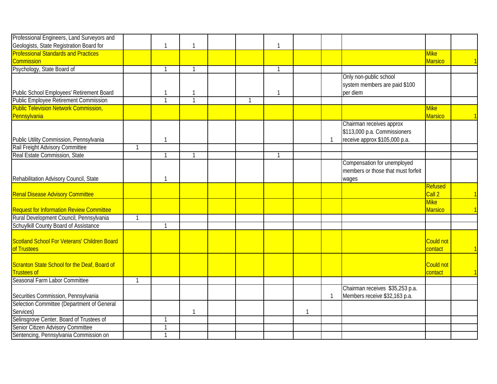| Professional Engineers, Land Surveyors and      |              |                |              |              |              |              |              |                                    |                   |                         |
|-------------------------------------------------|--------------|----------------|--------------|--------------|--------------|--------------|--------------|------------------------------------|-------------------|-------------------------|
| Geologists, State Registration Board for        |              | $\overline{1}$ | $\mathbf{1}$ |              | $\mathbf{1}$ |              |              |                                    |                   |                         |
| <b>Professional Standards and Practices</b>     |              |                |              |              |              |              |              |                                    | <b>Mike</b>       |                         |
| <b>Commission</b>                               |              |                |              |              |              |              |              |                                    | <b>Marsico</b>    |                         |
| Psychology, State Board of                      |              | $\overline{1}$ | $\mathbf{1}$ |              | $\mathbf{1}$ |              |              |                                    |                   |                         |
|                                                 |              |                |              |              |              |              |              | Only non-public school             |                   |                         |
|                                                 |              |                |              |              |              |              |              | system members are paid \$100      |                   |                         |
| Public School Employees' Retirement Board       |              | $\mathbf{1}$   | 1            |              | -1           |              |              | per diem                           |                   |                         |
| <b>Public Employee Retirement Commission</b>    |              | $\overline{1}$ | $\mathbf{1}$ | $\mathbf{1}$ |              |              |              |                                    |                   |                         |
| <b>Public Television Network Commission,</b>    |              |                |              |              |              |              |              |                                    | <b>Mike</b>       |                         |
| Pennsylvania                                    |              |                |              |              |              |              |              |                                    | <b>Marsico</b>    |                         |
|                                                 |              |                |              |              |              |              |              | Chairman receives approx           |                   |                         |
|                                                 |              |                |              |              |              |              |              | \$113,000 p.a. Commissioners       |                   |                         |
| Public Utility Commission, Pennsylvania         |              | $\mathbf{1}$   |              |              |              |              | -1           | receive approx \$105,000 p.a.      |                   |                         |
| Rail Freight Advisory Committee                 | $\mathbf{1}$ |                |              |              |              |              |              |                                    |                   |                         |
| Real Estate Commission, State                   |              | $\mathbf{1}$   | $\mathbf{1}$ |              | $\mathbf{1}$ |              |              |                                    |                   |                         |
|                                                 |              |                |              |              |              |              |              | Compensation for unemployed        |                   |                         |
|                                                 |              |                |              |              |              |              |              | members or those that must forfeit |                   |                         |
| Rehabilitation Advisory Council, State          |              | $\mathbf{1}$   |              |              |              |              |              | wages                              |                   |                         |
|                                                 |              |                |              |              |              |              |              |                                    | <b>Refused</b>    |                         |
| <b>Renal Disease Advisory Committee</b>         |              |                |              |              |              |              |              |                                    | Call 2            | $\overline{\mathbb{1}}$ |
|                                                 |              |                |              |              |              |              |              |                                    | Mike <sup>-</sup> |                         |
| <b>Request for Information Review Committee</b> |              |                |              |              |              |              |              |                                    | <b>Marsico</b>    |                         |
| Rural Development Council, Pennsylvania         | 1            |                |              |              |              |              |              |                                    |                   |                         |
| Schuylkill County Board of Assistance           |              | $\overline{1}$ |              |              |              |              |              |                                    |                   |                         |
|                                                 |              |                |              |              |              |              |              |                                    |                   |                         |
| Scotland School For Veterans' Children Board    |              |                |              |              |              |              |              |                                    | Could not         |                         |
| of Trustees                                     |              |                |              |              |              |              |              |                                    | contact           | $\overline{\mathbf{1}}$ |
|                                                 |              |                |              |              |              |              |              |                                    |                   |                         |
| Scranton State School for the Deaf, Board of    |              |                |              |              |              |              |              |                                    | <b>Could not</b>  |                         |
| <b>Trustees of</b>                              |              |                |              |              |              |              |              |                                    | contact           | $\mathbf \mathbf 1$     |
| Seasonal Farm Labor Committee                   | $\mathbf{1}$ |                |              |              |              |              |              |                                    |                   |                         |
|                                                 |              |                |              |              |              |              |              | Chairman receives \$35,253 p.a.    |                   |                         |
| Securities Commission, Pennsylvania             |              |                |              |              |              |              | $\mathbf{1}$ | Members receive \$32,163 p.a.      |                   |                         |
| Selection Committee (Department of General      |              |                |              |              |              |              |              |                                    |                   |                         |
| Services)                                       |              |                | $\mathbf{1}$ |              |              | $\mathbf{1}$ |              |                                    |                   |                         |
| Selinsgrove Center, Board of Trustees of        |              | -1             |              |              |              |              |              |                                    |                   |                         |
| Senior Citizen Advisory Committee               |              | $\mathbf{1}$   |              |              |              |              |              |                                    |                   |                         |
| Sentencing, Pennsylvania Commission on          |              | $\mathbf{1}$   |              |              |              |              |              |                                    |                   |                         |
|                                                 |              |                |              |              |              |              |              |                                    |                   |                         |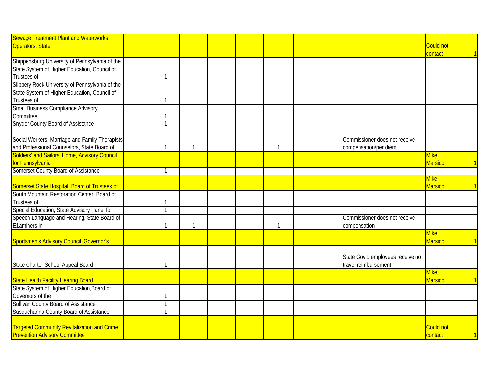| <b>Sewage Treatment Plant and Waterworks</b>                |                             |              |  |              |  |                                   |                   |  |
|-------------------------------------------------------------|-----------------------------|--------------|--|--------------|--|-----------------------------------|-------------------|--|
| Operators, State                                            |                             |              |  |              |  |                                   | <b>Could not</b>  |  |
|                                                             |                             |              |  |              |  |                                   | contact           |  |
| Shippensburg University of Pennsylvania of the              |                             |              |  |              |  |                                   |                   |  |
| State System of Higher Education, Council of<br>Trustees of | $\mathbf{1}$                |              |  |              |  |                                   |                   |  |
| Slippery Rock University of Pennsylvania of the             |                             |              |  |              |  |                                   |                   |  |
| State System of Higher Education, Council of                |                             |              |  |              |  |                                   |                   |  |
| Trustees of                                                 | $\mathbf 1$                 |              |  |              |  |                                   |                   |  |
| <b>Small Business Compliance Advisory</b>                   |                             |              |  |              |  |                                   |                   |  |
| Committee                                                   | $\mathbf{1}$                |              |  |              |  |                                   |                   |  |
| <b>Snyder County Board of Assistance</b>                    | $\mathbf{1}$                |              |  |              |  |                                   |                   |  |
|                                                             |                             |              |  |              |  |                                   |                   |  |
| Social Workers, Marriage and Family Therapists              |                             |              |  |              |  | Commissioner does not receive     |                   |  |
| and Professional Counselors, State Board of                 | $\mathbf 1$                 | $\mathbf{1}$ |  | 1            |  | compensation/per diem.            |                   |  |
| Soldiers' and Sailors' Home, Advisory Council               |                             |              |  |              |  |                                   | Mike <sup>-</sup> |  |
| for Pennsylvania                                            |                             |              |  |              |  |                                   | <b>Marsico</b>    |  |
| Somerset County Board of Assistance                         | $\mathbf{1}$                |              |  |              |  |                                   |                   |  |
|                                                             |                             |              |  |              |  |                                   | Mike <sup>-</sup> |  |
| Somerset State Hospital, Board of Trustees of               |                             |              |  |              |  |                                   | <b>Marsico</b>    |  |
| South Mountain Restoration Center, Board of                 |                             |              |  |              |  |                                   |                   |  |
| Trustees of                                                 | -1                          |              |  |              |  |                                   |                   |  |
| Special Education, State Advisory Panel for                 | $\mathbf{1}$                |              |  |              |  |                                   |                   |  |
| Speech-Language and Hearing, State Board of                 |                             |              |  |              |  | Commissioner does not receive     |                   |  |
| E1aminers in                                                | $\mathbf{1}$                | $\mathbf{1}$ |  | $\mathbf{1}$ |  | compensation                      |                   |  |
|                                                             |                             |              |  |              |  |                                   | <b>Mike</b>       |  |
| Sportsmen's Advisory Council, Governor's                    |                             |              |  |              |  |                                   | <b>Marsico</b>    |  |
|                                                             |                             |              |  |              |  |                                   |                   |  |
|                                                             |                             |              |  |              |  | State Gov't. employees receive no |                   |  |
| State Charter School Appeal Board                           | $\mathbf 1$                 |              |  |              |  | travel reimbursement              |                   |  |
|                                                             |                             |              |  |              |  |                                   | <b>Mike</b>       |  |
| <b>State Health Facility Hearing Board</b>                  |                             |              |  |              |  |                                   | <b>Marsico</b>    |  |
| State System of Higher Education, Board of                  |                             |              |  |              |  |                                   |                   |  |
| Governors of the                                            | $\mathbf 1$<br>$\mathbf{1}$ |              |  |              |  |                                   |                   |  |
| Sullivan County Board of Assistance                         |                             |              |  |              |  |                                   |                   |  |
| Susquehanna County Board of Assistance                      |                             |              |  |              |  |                                   |                   |  |
| <b>Targeted Community Revitalization and Crime</b>          |                             |              |  |              |  |                                   | Could not         |  |
| <b>Prevention Advisory Committee</b>                        |                             |              |  |              |  |                                   | contact           |  |
|                                                             |                             |              |  |              |  |                                   |                   |  |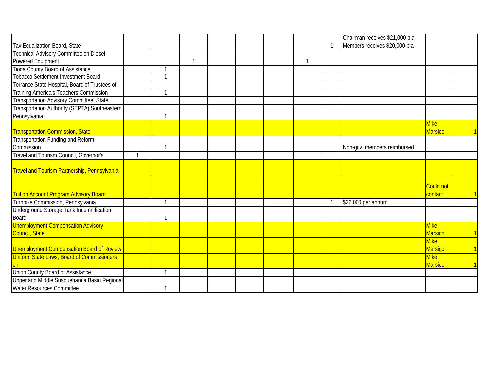|                                                     |              |    |  |  | Chairman receives \$21,000 p.a. |                   |  |
|-----------------------------------------------------|--------------|----|--|--|---------------------------------|-------------------|--|
| Tax Equalization Board, State                       |              |    |  |  | Members receives \$20,000 p.a.  |                   |  |
| Technical Advisory Committee on Diesel-             |              |    |  |  |                                 |                   |  |
| Powered Equipment                                   |              | -1 |  |  |                                 |                   |  |
| Tioga County Board of Assistance                    |              |    |  |  |                                 |                   |  |
| <b>Tobacco Settlement Investment Board</b>          |              |    |  |  |                                 |                   |  |
| Torrance State Hospital, Board of Trustees of       |              |    |  |  |                                 |                   |  |
| <b>Training America's Teachers Commission</b>       |              |    |  |  |                                 |                   |  |
| Transportation Advisory Committee, State            |              |    |  |  |                                 |                   |  |
| Transportation Authority (SEPTA), Southeastern      |              |    |  |  |                                 |                   |  |
| Pennsylvania                                        |              |    |  |  |                                 |                   |  |
|                                                     |              |    |  |  |                                 | <b>Mike</b>       |  |
| <b>Transportation Commission, State</b>             |              |    |  |  |                                 | <b>Marsico</b>    |  |
| Transportation Funding and Reform                   |              |    |  |  |                                 |                   |  |
| Commission                                          |              |    |  |  | Non-gov. members reimbursed     |                   |  |
| <b>Travel and Tourism Council, Governor's</b>       | $\mathbf{1}$ |    |  |  |                                 |                   |  |
|                                                     |              |    |  |  |                                 |                   |  |
| <b>Travel and Tourism Partnership, Pennsylvania</b> |              |    |  |  |                                 |                   |  |
|                                                     |              |    |  |  |                                 |                   |  |
|                                                     |              |    |  |  |                                 | <b>Could not</b>  |  |
| <b>Tuition Account Program Advisory Board</b>       |              |    |  |  |                                 | contact           |  |
| Turnpike Commission, Pennsylvania                   |              |    |  |  | \$26,000 per annum              |                   |  |
| Underground Storage Tank Indemnification            |              |    |  |  |                                 |                   |  |
| Board                                               |              |    |  |  |                                 |                   |  |
| <b>Unemployment Compensation Advisory</b>           |              |    |  |  |                                 | Mike <sup>1</sup> |  |
| Council, State                                      |              |    |  |  |                                 | <b>Marsico</b>    |  |
|                                                     |              |    |  |  |                                 | <b>Mike</b>       |  |
| Unemployment Compensation Board of Review           |              |    |  |  |                                 | <b>Marsico</b>    |  |
| <b>Uniform State Laws, Board of Commissioners</b>   |              |    |  |  |                                 | <b>Mike</b>       |  |
|                                                     |              |    |  |  |                                 | <b>Marsico</b>    |  |
| Union County Board of Assistance                    |              |    |  |  |                                 |                   |  |
| Upper and Middle Susquehanna Basin Regional         |              |    |  |  |                                 |                   |  |
| Water Resources Committee                           |              |    |  |  |                                 |                   |  |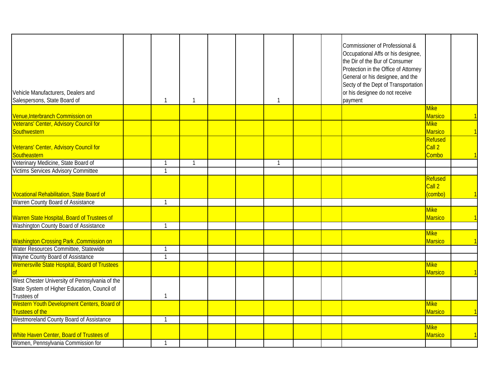| Vehicle Manufacturers, Dealers and<br>Salespersons, State Board of                                            | -1             | -1           |  |              |  | Commissioner of Professional &<br>Occupational Affs or his designee,<br>the Dir of the Bur of Consumer<br>Protection in the Office of Attorney<br>General or his designee, and the<br>Secty of the Dept of Transportation<br>or his designee do not receive<br>payment |                               |                         |
|---------------------------------------------------------------------------------------------------------------|----------------|--------------|--|--------------|--|------------------------------------------------------------------------------------------------------------------------------------------------------------------------------------------------------------------------------------------------------------------------|-------------------------------|-------------------------|
|                                                                                                               |                |              |  |              |  |                                                                                                                                                                                                                                                                        | <b>Mike</b>                   |                         |
| Venue, Interbranch Commission on                                                                              |                |              |  |              |  |                                                                                                                                                                                                                                                                        | <b>Marsico</b>                | $\mathbf \cdot$ 1       |
| Veterans' Center, Advisory Council for                                                                        |                |              |  |              |  |                                                                                                                                                                                                                                                                        | <b>Mike</b>                   |                         |
| Southwestern                                                                                                  |                |              |  |              |  |                                                                                                                                                                                                                                                                        | <b>Marsico</b>                | $\sqrt{1}$              |
|                                                                                                               |                |              |  |              |  |                                                                                                                                                                                                                                                                        | Refused                       |                         |
| Veterans' Center, Advisory Council for<br>Southeastern                                                        |                |              |  |              |  |                                                                                                                                                                                                                                                                        | Call 2                        |                         |
|                                                                                                               |                |              |  | $\mathbf{1}$ |  |                                                                                                                                                                                                                                                                        | Combo                         |                         |
| Veterinary Medicine, State Board of                                                                           | $\overline{1}$ | $\mathbf{1}$ |  |              |  |                                                                                                                                                                                                                                                                        |                               |                         |
| <b>Victims Services Advisory Committee</b>                                                                    | $\overline{1}$ |              |  |              |  |                                                                                                                                                                                                                                                                        |                               |                         |
| Vocational Rehabilitation, State Board of                                                                     |                |              |  |              |  |                                                                                                                                                                                                                                                                        | Refused<br>Call 2<br>(combo)  |                         |
| Warren County Board of Assistance                                                                             | $\overline{1}$ |              |  |              |  |                                                                                                                                                                                                                                                                        |                               |                         |
| Warren State Hospital, Board of Trustees of                                                                   |                |              |  |              |  |                                                                                                                                                                                                                                                                        | <b>Mike</b><br><b>Marsico</b> | $\overline{\mathbf{1}}$ |
| Washington County Board of Assistance                                                                         | $\overline{1}$ |              |  |              |  |                                                                                                                                                                                                                                                                        |                               |                         |
| Washington Crossing Park, Commission on                                                                       |                |              |  |              |  |                                                                                                                                                                                                                                                                        | <b>Mike</b><br><b>Marsico</b> |                         |
| Water Resources Committee, Statewide                                                                          | $\overline{1}$ |              |  |              |  |                                                                                                                                                                                                                                                                        |                               |                         |
| Wayne County Board of Assistance                                                                              | $\mathbf{1}$   |              |  |              |  |                                                                                                                                                                                                                                                                        |                               |                         |
| Wernersville State Hospital, Board of Trustees                                                                |                |              |  |              |  |                                                                                                                                                                                                                                                                        | <b>Mike</b><br><b>Marsico</b> |                         |
| West Chester University of Pennsylvania of the<br>State System of Higher Education, Council of<br>Trustees of | 1              |              |  |              |  |                                                                                                                                                                                                                                                                        |                               |                         |
| Western Youth Development Centers, Board of<br><b>Trustees of the</b>                                         |                |              |  |              |  |                                                                                                                                                                                                                                                                        | <b>Mike</b><br><b>Marsico</b> |                         |
| Westmoreland County Board of Assistance                                                                       | $\overline{1}$ |              |  |              |  |                                                                                                                                                                                                                                                                        |                               |                         |
| White Haven Center, Board of Trustees of                                                                      |                |              |  |              |  |                                                                                                                                                                                                                                                                        | <b>Mike</b><br><b>Marsico</b> |                         |
| Women, Pennsylvania Commission for                                                                            | $\mathbf{1}$   |              |  |              |  |                                                                                                                                                                                                                                                                        |                               |                         |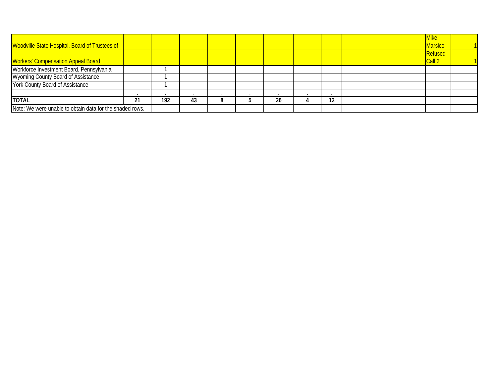|                                                          |     |     |    |  |    |    | Mike <sup>l</sup> |  |
|----------------------------------------------------------|-----|-----|----|--|----|----|-------------------|--|
| Woodville State Hospital, Board of Trustees of           |     |     |    |  |    |    | Marsico           |  |
|                                                          |     |     |    |  |    |    | Refused           |  |
| <b>Workers' Compensation Appeal Board</b>                |     |     |    |  |    |    | Call 2            |  |
| Workforce Investment Board, Pennsylvania                 |     |     |    |  |    |    |                   |  |
| <b>Wyoming County Board of Assistance</b>                |     |     |    |  |    |    |                   |  |
| York County Board of Assistance                          |     |     |    |  |    |    |                   |  |
|                                                          |     |     |    |  |    |    |                   |  |
| <b>TOTAL</b>                                             | ∠ । | 192 | 43 |  | 26 | 12 |                   |  |
| Note: We were unable to obtain data for the shaded rows. |     |     |    |  |    |    |                   |  |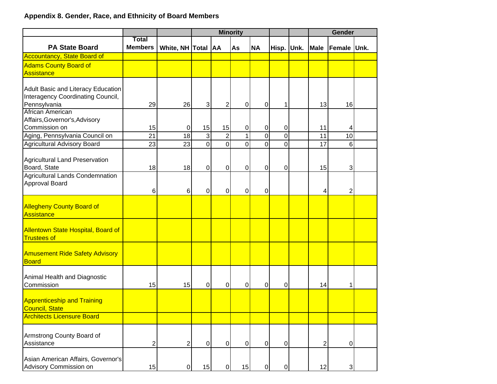# **Appendix 8. Gender, Race, and Ethnicity of Board Members**

|                                                                 |                                |                    | <b>Minority</b> |                |                |                |                | Gender      |                |  |
|-----------------------------------------------------------------|--------------------------------|--------------------|-----------------|----------------|----------------|----------------|----------------|-------------|----------------|--|
| <b>PA State Board</b>                                           | <b>Total</b><br><b>Members</b> | White, NH Total AA |                 |                | As             | <b>NA</b>      | Hisp. Unk.     | <b>Male</b> | Female Unk.    |  |
| Accountancy, State Board of                                     |                                |                    |                 |                |                |                |                |             |                |  |
| <b>Adams County Board of</b>                                    |                                |                    |                 |                |                |                |                |             |                |  |
| Assistance                                                      |                                |                    |                 |                |                |                |                |             |                |  |
|                                                                 |                                |                    |                 |                |                |                |                |             |                |  |
| Adult Basic and Literacy Education                              |                                |                    |                 |                |                |                |                |             |                |  |
| Interagency Coordinating Council,                               |                                |                    |                 |                |                |                |                |             |                |  |
| Pennsylvania<br>African American                                | 29                             | 26                 | $\overline{3}$  | 2              | $\mathbf 0$    | 0              | 1              | 13          | 16             |  |
| Affairs, Governor's, Advisory                                   |                                |                    |                 |                |                |                |                |             |                |  |
| Commission on                                                   | 15                             | 0                  | 15              | 15             | $\pmb{0}$      | $\pmb{0}$      | $\pmb{0}$      | 11          | 4              |  |
| Aging, Pennsylvania Council on                                  | 21                             | 18                 | $\overline{3}$  | $\overline{2}$ | $\mathbf{1}$   | $\overline{0}$ | $\overline{0}$ | 11          | 10             |  |
| Agricultural Advisory Board                                     | 23                             | 23                 | $\overline{0}$  | $\overline{0}$ | $\overline{0}$ | 0              | $\overline{0}$ | 17          | 6              |  |
|                                                                 |                                |                    |                 |                |                |                |                |             |                |  |
| Agricultural Land Preservation                                  |                                |                    |                 |                |                |                |                |             |                |  |
| Board, State                                                    | 18                             | 18                 | $\overline{0}$  | $\Omega$       | $\pmb{0}$      | 0              | $\mathbf 0$    | 15          | 3 <sup>1</sup> |  |
| Agricultural Lands Condemnation                                 |                                |                    |                 |                |                |                |                |             |                |  |
| Approval Board                                                  |                                |                    |                 |                |                |                |                |             |                |  |
|                                                                 | 6                              | 6                  | 0               | 0              | $\mathbf 0$    | 0              |                | 4           | $\overline{2}$ |  |
|                                                                 |                                |                    |                 |                |                |                |                |             |                |  |
| <b>Allegheny County Board of</b>                                |                                |                    |                 |                |                |                |                |             |                |  |
| Assistance                                                      |                                |                    |                 |                |                |                |                |             |                |  |
|                                                                 |                                |                    |                 |                |                |                |                |             |                |  |
| <b>Allentown State Hospital, Board of</b><br><b>Trustees of</b> |                                |                    |                 |                |                |                |                |             |                |  |
|                                                                 |                                |                    |                 |                |                |                |                |             |                |  |
| <b>Amusement Ride Safety Advisory</b>                           |                                |                    |                 |                |                |                |                |             |                |  |
| <b>Board</b>                                                    |                                |                    |                 |                |                |                |                |             |                |  |
|                                                                 |                                |                    |                 |                |                |                |                |             |                |  |
| Animal Health and Diagnostic                                    |                                |                    |                 |                |                |                |                |             |                |  |
| Commission                                                      | 15                             | 15                 | $\mathbf 0$     | $\mathbf 0$    | $\pmb{0}$      | 0              | $\mathbf 0$    | 14          | 1              |  |
|                                                                 |                                |                    |                 |                |                |                |                |             |                |  |
| <b>Apprenticeship and Training</b><br><b>Council, State</b>     |                                |                    |                 |                |                |                |                |             |                |  |
| <b>Architects Licensure Board</b>                               |                                |                    |                 |                |                |                |                |             |                |  |
|                                                                 |                                |                    |                 |                |                |                |                |             |                |  |
|                                                                 |                                |                    |                 |                |                |                |                |             |                |  |
| Armstrong County Board of<br>Assistance                         | 2                              | $\overline{2}$     | $\overline{0}$  | $\overline{0}$ | $\overline{0}$ | $\mathbf 0$    | $\mathbf 0$    | 2           | $\overline{0}$ |  |
|                                                                 |                                |                    |                 |                |                |                |                |             |                |  |
| Asian American Affairs, Governor's                              |                                |                    |                 |                |                |                |                |             |                |  |
| Advisory Commission on                                          | 15                             | $\pmb{0}$          | 15              | $\Omega$       | 15             | 0              | $\pmb{0}$      | 12          | $\overline{3}$ |  |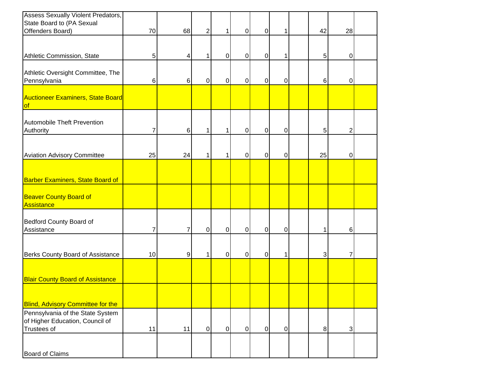| <b>Assess Sexually Violent Predators,</b>                                                 |       |    |                |                |                |             |             |       |                |  |
|-------------------------------------------------------------------------------------------|-------|----|----------------|----------------|----------------|-------------|-------------|-------|----------------|--|
| State Board to (PA Sexual<br>Offenders Board)                                             | 70    | 68 | $\overline{2}$ | 1              | $\pmb{0}$      | $\mathbf 0$ | 1           | 42    | 28             |  |
|                                                                                           |       |    |                |                |                |             |             |       |                |  |
|                                                                                           |       |    |                |                |                |             |             |       |                |  |
| Athletic Commission, State                                                                | 5     | 4  | 1              | 0              | $\mathbf 0$    | 0           | 1           | 5     | $\mathbf 0$    |  |
| Athletic Oversight Committee, The<br>Pennsylvania                                         | $\,6$ | 6  | $\overline{0}$ | $\pmb{0}$      | $\mathbf 0$    | $\mathbf 0$ | $\mathbf 0$ | $\,6$ | $\overline{0}$ |  |
| <b>Auctioneer Examiners, State Board</b><br><b>of</b>                                     |       |    |                |                |                |             |             |       |                |  |
| Automobile Theft Prevention<br>Authority                                                  | 7     | 6  | 1              | 1              | $\mathbf 0$    | $\mathbf 0$ | $\mathbf 0$ | 5     | $\overline{2}$ |  |
| <b>Aviation Advisory Committee</b>                                                        | 25    | 24 | 1              | 1              | $\pmb{0}$      | $\mathbf 0$ | $\mathbf 0$ | 25    | $\pmb{0}$      |  |
| <b>Barber Examiners, State Board of</b>                                                   |       |    |                |                |                |             |             |       |                |  |
| <b>Beaver County Board of</b><br>Assistance                                               |       |    |                |                |                |             |             |       |                |  |
| Bedford County Board of<br>Assistance                                                     | 7     | 7  | $\pmb{0}$      | $\Omega$       | $\mathbf 0$    | 0           | $\mathbf 0$ | 1     | 6              |  |
| Berks County Board of Assistance                                                          | 10    | 9  | 1              | $\mathbf 0$    | $\pmb{0}$      | $\mathbf 0$ | 1           | 3     | 7              |  |
| <b>Blair County Board of Assistance</b>                                                   |       |    |                |                |                |             |             |       |                |  |
| <b>Blind, Advisory Committee for the</b>                                                  |       |    |                |                |                |             |             |       |                |  |
| Pennsylvania of the State System<br>of Higher Education, Council of<br><b>Trustees of</b> | 11    | 11 | $\overline{O}$ | $\overline{0}$ | $\overline{0}$ | $\pmb{0}$   | $\pmb{0}$   | 8     | 3 <sup>1</sup> |  |
| <b>Board of Claims</b>                                                                    |       |    |                |                |                |             |             |       |                |  |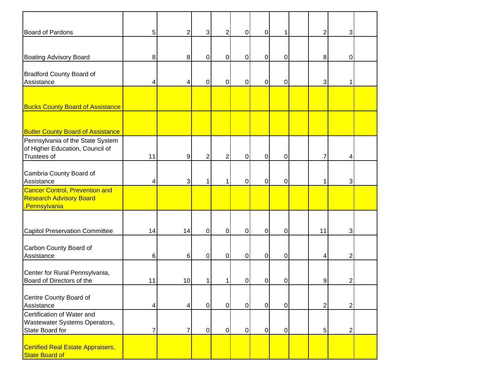| <b>Board of Pardons</b>                                                                 | 5              | $\overline{2}$ | $\mathbf{3}$   | $\overline{2}$ | $\overline{0}$ | $\boldsymbol{0}$ | 1              | $\overline{2}$ | 3              |  |
|-----------------------------------------------------------------------------------------|----------------|----------------|----------------|----------------|----------------|------------------|----------------|----------------|----------------|--|
| <b>Boating Advisory Board</b>                                                           | 8              | 8              | 0              | 0              | $\mathbf 0$    | 0                | 0              | 8              | 0              |  |
| <b>Bradford County Board of</b><br>Assistance                                           | 4              | 4              | 0              | 0              | $\mathbf 0$    | 0                | 0              | 3              | 1              |  |
| <b>Bucks County Board of Assistance</b>                                                 |                |                |                |                |                |                  |                |                |                |  |
| <b>Butler County Board of Assistance</b>                                                |                |                |                |                |                |                  |                |                |                |  |
| Pennsylvania of the State System<br>of Higher Education, Council of<br>Trustees of      | 11             | 9              | $\overline{2}$ | $\overline{2}$ | $\overline{0}$ | $\pmb{0}$        | 0              | $\overline{7}$ | 4              |  |
| Cambria County Board of<br>Assistance                                                   | 4              | 3 <sup>1</sup> | 1              | 1              | $\overline{0}$ | $\mathbf 0$      | 0              | 1              | 3              |  |
| <b>Cancer Control, Prevention and</b><br><b>Research Advisory Board</b><br>Pennsylvania |                |                |                |                |                |                  |                |                |                |  |
| <b>Capitol Preservation Committee</b>                                                   | 14             | 14             | $\mathbf 0$    | $\mathbf 0$    | $\overline{0}$ | $\mathbf 0$      | 0              | 11             | 3              |  |
| Carbon County Board of<br>Assistance                                                    | 6              | 6 <sup>1</sup> | 0              | 0              | $\mathbf 0$    | 0                | 0              | 4              | $\overline{c}$ |  |
| Center for Rural Pennsylvania,<br>Board of Directors of the                             | 11             | 10             | 1              | 1              | 0              | 0                | 0              | 9              | $\overline{c}$ |  |
| Centre County Board of<br>Assistance                                                    | 4              | $\vert$        | $\overline{0}$ | $\overline{0}$ | $\overline{0}$ | $\overline{0}$   | $\mathbf 0$    | 2              | 2              |  |
| Certification of Water and<br>Wastewater Systems Operators,<br>State Board for          | $\overline{7}$ | $\overline{7}$ | $\Omega$       | $\overline{0}$ | $\overline{0}$ | $\mathbf 0$      | $\overline{O}$ | 5              | 2              |  |
| <b>Certified Real Estate Appraisers,</b><br>State Board of                              |                |                |                |                |                |                  |                |                |                |  |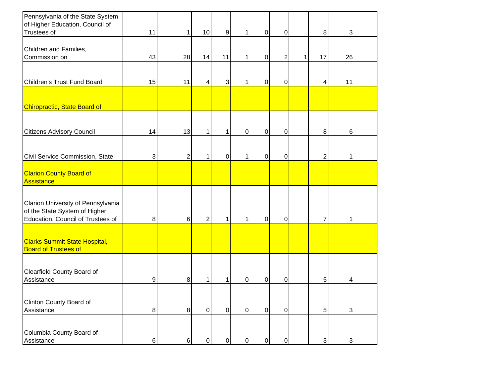| Pennsylvania of the State System<br>of Higher Education, Council of<br>Trustees of                       | 11      |                  | 10             | 9              | $\mathbf{1}$   | $\pmb{0}$   | 0              |   | $\bf 8$        | $\mathbf{3}$   |  |
|----------------------------------------------------------------------------------------------------------|---------|------------------|----------------|----------------|----------------|-------------|----------------|---|----------------|----------------|--|
| Children and Families,<br>Commission on                                                                  | 43      | 28               | 14             | 11             | $\mathbf{1}$   | $\pmb{0}$   | $\overline{2}$ | 1 | 17             | 26             |  |
| Children's Trust Fund Board                                                                              | 15      | 11               | 4              | 3              | $\mathbf 1$    | $\mathbf 0$ | 0              |   | 4              | 11             |  |
| <b>Chiropractic, State Board of</b>                                                                      |         |                  |                |                |                |             |                |   |                |                |  |
| <b>Citizens Advisory Council</b>                                                                         | 14      | 13               | 1              | 1              | $\overline{0}$ | $\pmb{0}$   | 0              |   | $\bf 8$        | 6              |  |
| Civil Service Commission, State                                                                          | 3       | $\overline{2}$   |                | $\mathbf 0$    | $\mathbf 1$    | $\mathbf 0$ | 0              |   | $\overline{2}$ | 1              |  |
| <b>Clarion County Board of</b><br>Assistance                                                             |         |                  |                |                |                |             |                |   |                |                |  |
| Clarion University of Pennsylvania<br>of the State System of Higher<br>Education, Council of Trustees of | 8       | 6                | $\overline{2}$ | 1              | $\mathbf{1}$   | $\pmb{0}$   | 0              |   | $\overline{7}$ | $\mathbf 1$    |  |
| <b>Clarks Summit State Hospital,</b><br><b>Board of Trustees of</b>                                      |         |                  |                |                |                |             |                |   |                |                |  |
| Clearfield County Board of<br>Assistance                                                                 | 9       | 8                |                |                | 0              | $\mathbf 0$ | 0              |   | 5              | 4              |  |
| Clinton County Board of<br>Assistance                                                                    | $\bf 8$ | $\boldsymbol{8}$ | $\overline{0}$ | $\overline{0}$ | $\overline{0}$ | $\mathbf 0$ | 0              |   | 5 <sup>1</sup> | $\overline{3}$ |  |
| Columbia County Board of<br>Assistance                                                                   | 6       | $6\phantom{.}$   | $\mathbf 0$    | $\Omega$       | $\overline{0}$ | $\mathbf 0$ | 0              |   | $\overline{3}$ | $\mathbf{3}$   |  |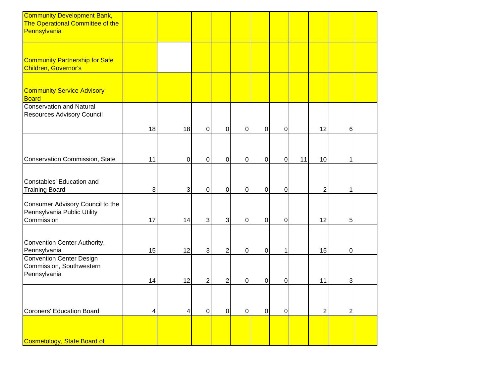| <b>Community Development Bank,</b><br>The Operational Committee of the<br>Pennsylvania |    |          |                |                |                |                |             |    |                |              |  |
|----------------------------------------------------------------------------------------|----|----------|----------------|----------------|----------------|----------------|-------------|----|----------------|--------------|--|
|                                                                                        |    |          |                |                |                |                |             |    |                |              |  |
| <b>Community Partnership for Safe</b><br><b>Children, Governor's</b>                   |    |          |                |                |                |                |             |    |                |              |  |
| <b>Community Service Advisory</b><br><b>Board</b>                                      |    |          |                |                |                |                |             |    |                |              |  |
| <b>Conservation and Natural</b><br>Resources Advisory Council                          | 18 | 18       | $\pmb{0}$      | $\mathbf 0$    | $\overline{0}$ | $\mathbf 0$    | 0           |    | 12             | $6 \,$       |  |
| Conservation Commission, State                                                         | 11 | $\Omega$ | $\overline{0}$ | $\overline{0}$ | $\overline{0}$ | $\mathbf 0$    | $\mathbf 0$ | 11 | 10             | $\mathbf{1}$ |  |
| Constables' Education and<br><b>Training Board</b>                                     | 3  | 3        | $\pmb{0}$      | $\mathbf 0$    | $\mathbf 0$    | $\mathbf 0$    | 0           |    | $\overline{2}$ | $\mathbf 1$  |  |
| Consumer Advisory Council to the<br>Pennsylvania Public Utility<br>Commission          | 17 | 14       | $\mathbf{3}$   | $\mathbf{3}$   | $\overline{0}$ | $\mathbf 0$    | 0           |    | 12             | 5            |  |
| Convention Center Authority,<br>Pennsylvania                                           | 15 | 12       | $\overline{3}$ | $\overline{2}$ | $\overline{0}$ | $\pmb{0}$      | 1           |    | 15             | 0            |  |
| <b>Convention Center Design</b><br>Commission, Southwestern<br>Pennsylvania            | 14 | 12       | $\overline{c}$ | 2              | $\mathbf 0$    | $\mathbf 0$    | 0           |    | 11             | $\mathbf{3}$ |  |
| <b>Coroners' Education Board</b>                                                       | 4  | 4        | $\overline{0}$ | $\overline{0}$ | $\overline{0}$ | $\overline{0}$ | $\mathbf 0$ |    | $\overline{c}$ | $2\vert$     |  |
| Cosmetology, State Board of                                                            |    |          |                |                |                |                |             |    |                |              |  |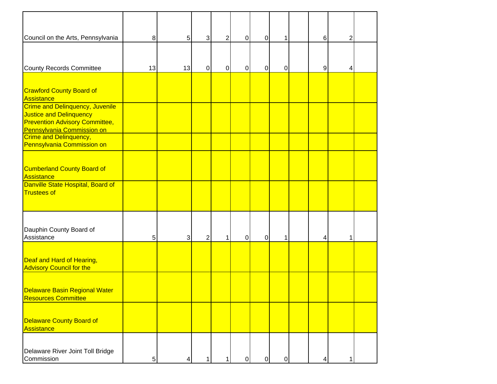| Council on the Arts, Pennsylvania                                                                                                               | $\bf 8$    | 5  | 3              | $\overline{2}$ | $\mathbf 0$    | $\pmb{0}$   | 1         | $\,6$ | $\overline{2}$ |  |
|-------------------------------------------------------------------------------------------------------------------------------------------------|------------|----|----------------|----------------|----------------|-------------|-----------|-------|----------------|--|
| <b>County Records Committee</b>                                                                                                                 | 13         | 13 | $\overline{0}$ | $\mathbf 0$    | 0              | 0           | 0         | 9     | 4              |  |
| <b>Crawford County Board of</b><br>Assistance                                                                                                   |            |    |                |                |                |             |           |       |                |  |
| <b>Crime and Delinquency, Juvenile</b><br>Justice and Delinquency<br><b>Prevention Advisory Committee,</b><br><b>Pennsylvania Commission on</b> |            |    |                |                |                |             |           |       |                |  |
| Crime and Delinquency,<br>Pennsylvania Commission on                                                                                            |            |    |                |                |                |             |           |       |                |  |
| <b>Cumberland County Board of</b><br>Assistance                                                                                                 |            |    |                |                |                |             |           |       |                |  |
| Danville State Hospital, Board of<br>Trustees of                                                                                                |            |    |                |                |                |             |           |       |                |  |
| Dauphin County Board of<br>Assistance                                                                                                           | 5          | 3  | $\overline{2}$ | 1              | $\pmb{0}$      | $\mathbf 0$ | 1         | 4     | 1              |  |
| Deaf and Hard of Hearing,<br><b>Advisory Council for the</b>                                                                                    |            |    |                |                |                |             |           |       |                |  |
| Delaware Basin Regional Water<br><b>Resources Committee</b>                                                                                     |            |    |                |                |                |             |           |       |                |  |
| Delaware County Board of<br>Assistance                                                                                                          |            |    |                |                |                |             |           |       |                |  |
| Delaware River Joint Toll Bridge<br>Commission                                                                                                  | $\sqrt{5}$ | 4  | 1              |                | $\overline{0}$ | $\pmb{0}$   | $\pmb{0}$ | 4     | 1              |  |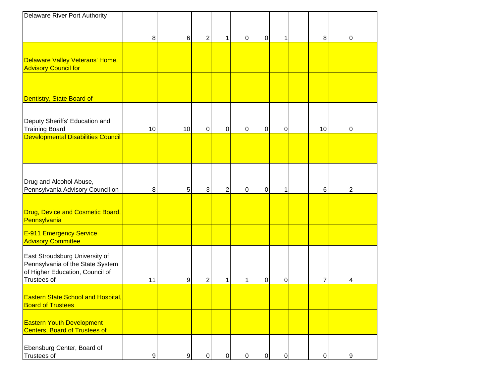| Delaware River Port Authority                                                                                        |                |                |              |           |                |             |           |                |                  |  |
|----------------------------------------------------------------------------------------------------------------------|----------------|----------------|--------------|-----------|----------------|-------------|-----------|----------------|------------------|--|
|                                                                                                                      |                |                |              |           |                |             |           |                |                  |  |
|                                                                                                                      | 8              | 6              | 2            | 1         | $\pmb{0}$      | $\mathbf 0$ | 1         | 8              | 0                |  |
|                                                                                                                      |                |                |              |           |                |             |           |                |                  |  |
| Delaware Valley Veterans' Home,<br><b>Advisory Council for</b>                                                       |                |                |              |           |                |             |           |                |                  |  |
|                                                                                                                      |                |                |              |           |                |             |           |                |                  |  |
| Dentistry, State Board of                                                                                            |                |                |              |           |                |             |           |                |                  |  |
| Deputy Sheriffs' Education and<br><b>Training Board</b>                                                              | 10             | 10             | $\mathbf 0$  | 0         | $\mathbf 0$    | $\mathbf 0$ | 0         | 10             | 0                |  |
| Developmental Disabilities Council                                                                                   |                |                |              |           |                |             |           |                |                  |  |
| Drug and Alcohol Abuse,<br>Pennsylvania Advisory Council on                                                          | $\bf 8$        | 5 <sup>1</sup> | $\mathbf{3}$ | 2         | $\pmb{0}$      | 0           | 1         | 6              | 2                |  |
| Drug, Device and Cosmetic Board,<br>Pennsylvania                                                                     |                |                |              |           |                |             |           |                |                  |  |
| E-911 Emergency Service<br><b>Advisory Committee</b>                                                                 |                |                |              |           |                |             |           |                |                  |  |
| East Stroudsburg University of<br>Pennsylvania of the State System<br>of Higher Education, Council of<br>Trustees of | 11             | $9\,$          | 2            |           |                | 0           | 0         | 7              | 4                |  |
| <b>Eastern State School and Hospital,</b><br><b>Board of Trustees</b>                                                |                |                |              |           |                |             |           |                |                  |  |
| <b>Eastern Youth Development</b><br>Centers, Board of Trustees of                                                    |                |                |              |           |                |             |           |                |                  |  |
| Ebensburg Center, Board of<br>Trustees of                                                                            | $\overline{9}$ | 9              | $\mathbf 0$  | $\pmb{0}$ | $\overline{0}$ | $\pmb{0}$   | $\pmb{0}$ | $\overline{0}$ | $\boldsymbol{9}$ |  |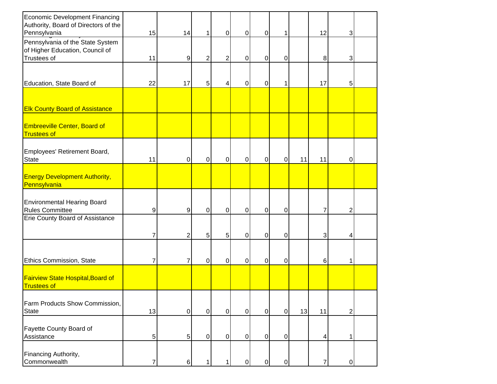| <b>Economic Development Financing</b><br>Authority, Board of Directors of the      |                |                |                |                |                |                  |                |    |                |                |  |
|------------------------------------------------------------------------------------|----------------|----------------|----------------|----------------|----------------|------------------|----------------|----|----------------|----------------|--|
| Pennsylvania                                                                       | 15             | 14             | 1              | $\overline{0}$ | $\mathbf 0$    | $\mathbf 0$      | 1              |    | 12             | 3              |  |
| Pennsylvania of the State System<br>of Higher Education, Council of<br>Trustees of | 11             | $9\,$          | $\overline{c}$ | $\overline{2}$ | $\mathbf 0$    | $\overline{0}$   | 0              |    | 8              | 3 <sup>1</sup> |  |
|                                                                                    |                |                |                |                |                |                  |                |    |                |                |  |
| Education, State Board of                                                          | 22             | 17             | 5              | 4              | 0              | $\mathbf 0$      | 1              |    | 17             | 5              |  |
|                                                                                    |                |                |                |                |                |                  |                |    |                |                |  |
| <b>Elk County Board of Assistance</b>                                              |                |                |                |                |                |                  |                |    |                |                |  |
| <b>Embreeville Center, Board of</b><br><b>Trustees of</b>                          |                |                |                |                |                |                  |                |    |                |                |  |
| Employees' Retirement Board,<br><b>State</b>                                       | 11             | $\Omega$       | 0              | 0              | $\mathbf 0$    | $\overline{0}$   | 0              | 11 | 11             | 0              |  |
| <b>Energy Development Authority,</b><br>Pennsylvania                               |                |                |                |                |                |                  |                |    |                |                |  |
| <b>Environmental Hearing Board</b><br><b>Rules Committee</b>                       | 9              | 9              | 0              | 0              | $\mathbf 0$    | $\boldsymbol{0}$ | 0              |    | 7              | $\overline{c}$ |  |
| Erie County Board of Assistance                                                    |                |                |                |                |                |                  |                |    |                |                |  |
|                                                                                    | 7              | 2              | 5              | 5 <sup>1</sup> | $\mathbf 0$    | $\overline{0}$   | $\mathbf 0$    |    | 3              | 4              |  |
|                                                                                    |                |                |                |                |                |                  |                |    |                |                |  |
| Ethics Commission, State                                                           | $\overline{7}$ | 7              | 0              | 0              | $\pmb{0}$      | $\mathbf 0$      | 0              |    | 6              | 1              |  |
| <b>Fairview State Hospital, Board of</b><br><b>Trustees of</b>                     |                |                |                |                |                |                  |                |    |                |                |  |
| Farm Products Show Commission,<br><b>State</b>                                     | 13             | $\overline{O}$ | $\mathbf 0$    | $\overline{0}$ | $\overline{0}$ | $\overline{0}$   | $\overline{0}$ | 13 | 11             | 2              |  |
| Fayette County Board of<br>Assistance                                              | 5 <sub>l</sub> | 5 <sub>5</sub> | $\mathbf 0$    | $\overline{0}$ | $\overline{0}$ | $\overline{0}$   | $\overline{0}$ |    | 4              |                |  |
| Financing Authority,<br>Commonwealth                                               | 7              | 6              | 1              | 1              | 0              | $\overline{0}$   | $\pmb{0}$      |    | $\overline{7}$ | $\overline{0}$ |  |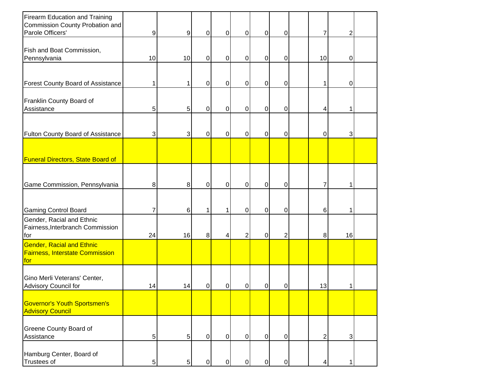| Firearm Education and Training<br>Commission County Probation and<br>Parole Officers' | 9              | 9              | $\pmb{0}$      | $\Omega$       | $\mathbf 0$    | $\pmb{0}$      | $\overline{0}$ | 7              | 2              |  |
|---------------------------------------------------------------------------------------|----------------|----------------|----------------|----------------|----------------|----------------|----------------|----------------|----------------|--|
|                                                                                       |                |                |                |                |                |                |                |                |                |  |
| Fish and Boat Commission,<br>Pennsylvania                                             | 10             | 10             | 0              | $\Omega$       | $\Omega$       | $\pmb{0}$      | $\mathbf 0$    | 10             | 0              |  |
| <b>Forest County Board of Assistance</b>                                              | 1              | 1              | 0              | $\overline{0}$ | $\mathbf 0$    | 0              | $\mathbf 0$    | 1              | 0              |  |
| Franklin County Board of<br>Assistance                                                | 5              | 5              | 0              | $\overline{0}$ | $\mathbf 0$    | 0              | $\mathbf 0$    | 4              | 1              |  |
| <b>Fulton County Board of Assistance</b>                                              | 3              | 3              | 0              | $\overline{0}$ | $\mathbf 0$    | $\mathbf 0$    | $\mathbf 0$    | 0              | 3              |  |
| <b>Funeral Directors, State Board of</b>                                              |                |                |                |                |                |                |                |                |                |  |
| Game Commission, Pennsylvania                                                         | 8              | 8              | $\overline{0}$ | $\overline{0}$ | $\overline{0}$ | $\mathbf 0$    | $\overline{0}$ | 7              | 1              |  |
| <b>Gaming Control Board</b>                                                           |                | 6              | 1              |                | $\mathbf 0$    | 0              | 0              | 6              | 1              |  |
| Gender, Racial and Ethnic<br>Fairness, Interbranch Commission<br>for                  | 24             | 16             | 8              | 4              | $\overline{2}$ | 0              | $\overline{2}$ | 8              | 16             |  |
| <b>Gender, Racial and Ethnic</b><br><b>Fairness, Interstate Commission</b><br>for     |                |                |                |                |                |                |                |                |                |  |
| Gino Merli Veterans' Center,<br>Advisory Council for                                  | 14             | 14             | 0              | 0              | $\mathbf 0$    | 0              | $\mathbf 0$    | 13             | 1              |  |
| <b>Governor's Youth Sportsmen's</b><br><b>Advisory Council</b>                        |                |                |                |                |                |                |                |                |                |  |
| <b>Greene County Board of</b><br>Assistance                                           | 5 <sub>l</sub> | 5 <sup>1</sup> | $\pmb{0}$      | $\overline{0}$ | $\overline{0}$ | $\overline{0}$ | $\overline{O}$ | $\overline{c}$ | $\overline{3}$ |  |
| Hamburg Center, Board of<br><b>Trustees of</b>                                        | 5              | 5 <sup>1</sup> | $\pmb{0}$      | $\Omega$       | $\overline{0}$ | $\mathbf 0$    | $\overline{0}$ | 4              | 1              |  |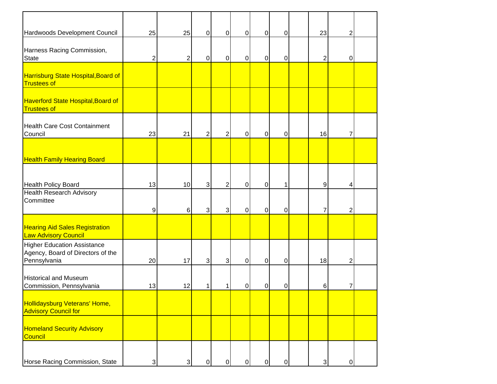| Hardwoods Development Council                                                           | 25             | 25 | $\pmb{0}$    | 0              | $\pmb{0}$      | $\mathbf 0$      | 0              | 23             | 2 |  |
|-----------------------------------------------------------------------------------------|----------------|----|--------------|----------------|----------------|------------------|----------------|----------------|---|--|
| Harness Racing Commission,<br><b>State</b>                                              | $\overline{2}$ | 2  | $\pmb{0}$    | $\overline{0}$ | $\pmb{0}$      | $\mathbf 0$      | 0              | $\overline{2}$ | 0 |  |
| <b>Harrisburg State Hospital, Board of</b><br><b>Trustees of</b>                        |                |    |              |                |                |                  |                |                |   |  |
| <b>Haverford State Hospital, Board of</b><br><b>Trustees of</b>                         |                |    |              |                |                |                  |                |                |   |  |
| <b>Health Care Cost Containment</b><br>Council                                          | 23             | 21 | $\mathbf 2$  | $\overline{c}$ | $\pmb{0}$      | $\mathbf 0$      | $\pmb{0}$      | 16             | 7 |  |
| <b>Health Family Hearing Board</b>                                                      |                |    |              |                |                |                  |                |                |   |  |
| <b>Health Policy Board</b>                                                              | 13             | 10 | $\mathbf{3}$ | $\overline{2}$ | $\overline{0}$ | $\mathbf 0$      | 1              | 9              | 4 |  |
| <b>Health Research Advisory</b><br>Committee                                            | 9              | 6  | 3            | $\mathbf{3}$   | 0              | $\pmb{0}$        | 0              | $\overline{7}$ | 2 |  |
| <b>Hearing Aid Sales Registration</b><br>Law Advisory Council                           |                |    |              |                |                |                  |                |                |   |  |
| <b>Higher Education Assistance</b><br>Agency, Board of Directors of the<br>Pennsylvania | 20             | 17 | $\mathbf{3}$ | $\mathbf{3}$   | $\overline{0}$ | $\mathbf 0$      | $\overline{0}$ | 18             | 2 |  |
| <b>Historical and Museum</b><br>Commission, Pennsylvania                                | 13             | 12 | 1            | 1              | 0              | $\boldsymbol{0}$ | 0              | 6              | 7 |  |
| <b>Hollidaysburg Veterans' Home,</b><br><b>Advisory Council for</b>                     |                |    |              |                |                |                  |                |                |   |  |
| <b>Homeland Security Advisory</b><br>Council                                            |                |    |              |                |                |                  |                |                |   |  |
| Horse Racing Commission, State                                                          | $\overline{3}$ | 3  | 0            | $\pmb{0}$      | $\pmb{0}$      | $\mathbf 0$      | $\overline{0}$ | $\overline{3}$ | 0 |  |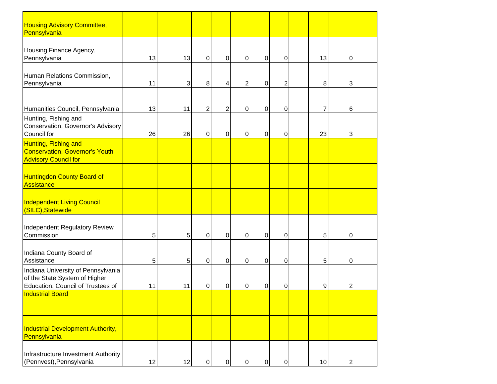| <b>Housing Advisory Committee,</b><br>Pennsylvania                                                       |    |    |                |                |                  |                |                |    |                |  |
|----------------------------------------------------------------------------------------------------------|----|----|----------------|----------------|------------------|----------------|----------------|----|----------------|--|
| Housing Finance Agency,<br>Pennsylvania                                                                  | 13 | 13 | 0              | $\overline{0}$ | $\boldsymbol{0}$ | $\overline{0}$ | 0              | 13 | $\Omega$       |  |
| Human Relations Commission,<br>Pennsylvania                                                              | 11 | 3  | 8 <sup>1</sup> | 4              | 2                | $\pmb{0}$      | $\overline{2}$ | 8  | 3              |  |
| Humanities Council, Pennsylvania                                                                         | 13 | 11 | 2              | $\overline{2}$ | 0                | 0              | 0              | 7  | 6              |  |
| Hunting, Fishing and<br>Conservation, Governor's Advisory<br>Council for                                 | 26 | 26 | 0              | $\overline{0}$ | 0                | 0              | 0              | 23 | 3              |  |
| Hunting, Fishing and<br><b>Conservation, Governor's Youth</b><br><b>Advisory Council for</b>             |    |    |                |                |                  |                |                |    |                |  |
| <b>Huntingdon County Board of</b><br>Assistance                                                          |    |    |                |                |                  |                |                |    |                |  |
| <b>Independent Living Council</b><br>(SILC), Statewide                                                   |    |    |                |                |                  |                |                |    |                |  |
| Independent Regulatory Review<br>Commission                                                              | 5  | 5  | 0              | $\overline{0}$ | 0                | $\overline{0}$ | $\mathbf 0$    | 5  | $\overline{0}$ |  |
| Indiana County Board of<br>Assistance                                                                    | 5  | 5  | 0              | $\overline{0}$ | $\mathbf 0$      | $\overline{0}$ | 0              | 5  | $\overline{0}$ |  |
| Indiana University of Pennsylvania<br>of the State System of Higher<br>Education, Council of Trustees of | 11 | 11 | 0              | 0              | 0                | 0              | 0              | 9  | $\overline{2}$ |  |
| <b>Industrial Board</b>                                                                                  |    |    |                |                |                  |                |                |    |                |  |
| <b>Industrial Development Authority,</b><br>Pennsylvania                                                 |    |    |                |                |                  |                |                |    |                |  |
| Infrastructure Investment Authority<br>(Pennvest), Pennsylvania                                          | 12 | 12 | $\overline{0}$ | $\overline{0}$ | $\mathbf 0$      | $\overline{0}$ | $\overline{0}$ | 10 | $\mathbf{2}$   |  |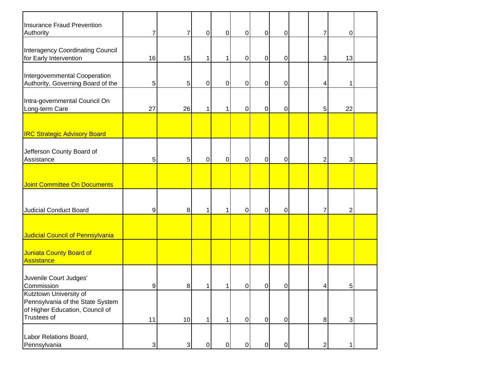| <b>Insurance Fraud Prevention</b><br>Authority                                                               | 7  | 7                         | $\pmb{0}$ | $\overline{0}$ | $\mathbf 0$ | $\boldsymbol{0}$ | $\overline{0}$ | 7              | 0              |  |
|--------------------------------------------------------------------------------------------------------------|----|---------------------------|-----------|----------------|-------------|------------------|----------------|----------------|----------------|--|
| <b>Interagency Coordinating Council</b><br>for Early Intervention                                            | 16 | 15                        | 1         | 1              | $\pmb{0}$   | $\pmb{0}$        | 0              | 3              | 13             |  |
| Intergovernmental Cooperation<br>Authority, Governing Board of the                                           | 5  | 5                         | 0         | $\overline{0}$ | $\pmb{0}$   | $\pmb{0}$        | 0              | 4              | 1              |  |
| Intra-governmental Council On<br>Long-term Care                                                              | 27 | 26                        | 1         | 1              | 0           | $\pmb{0}$        | $\mathbf 0$    | 5              | 22             |  |
| <b>IRC Strategic Advisory Board</b>                                                                          |    |                           |           |                |             |                  |                |                |                |  |
| Jefferson County Board of<br>Assistance                                                                      | 5  | 5                         | 0         | $\overline{O}$ | $\mathbf 0$ | $\boldsymbol{0}$ | $\pmb{0}$      | $\overline{2}$ | 3              |  |
| <b>Joint Committee On Documents</b>                                                                          |    |                           |           |                |             |                  |                |                |                |  |
| <b>Judicial Conduct Board</b>                                                                                | 9  | 8                         | 1         | 1              | $\mathbf 0$ | $\boldsymbol{0}$ | $\pmb{0}$      | 7              | $\overline{2}$ |  |
| Judicial Council of Pennsylvania                                                                             |    |                           |           |                |             |                  |                |                |                |  |
| Juniata County Board of<br>Assistance                                                                        |    |                           |           |                |             |                  |                |                |                |  |
| Juvenile Court Judges'<br>Commission                                                                         | 9  | 8                         |           |                | 0           | 0                | 0              | 4              | 5              |  |
| Kutztown University of<br>Pennsylvania of the State System<br>of Higher Education, Council of<br>Trustees of | 11 | 10                        | 1         | 1.             | $\mathbf 0$ | $\overline{0}$   | $\overline{0}$ | 8 <sup>1</sup> | 3 <sup>1</sup> |  |
| Labor Relations Board,<br>Pennsylvania                                                                       | 3  | $\ensuremath{\mathsf{3}}$ | $\pmb{0}$ | $\overline{0}$ | $\pmb{0}$   | $\overline{0}$   | $\overline{0}$ | $\overline{2}$ | 1              |  |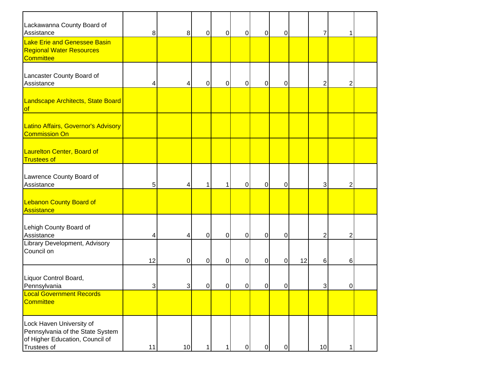| Lackawanna County Board of<br>Assistance                                                                       | 8 <sup>1</sup> | 8  | 0         | $\pmb{0}$      | $\pmb{0}$        | $\mathbf 0$      | 0           |    | 7              |                |  |
|----------------------------------------------------------------------------------------------------------------|----------------|----|-----------|----------------|------------------|------------------|-------------|----|----------------|----------------|--|
| Lake Erie and Genessee Basin<br><b>Regional Water Resources</b><br><b>Committee</b>                            |                |    |           |                |                  |                  |             |    |                |                |  |
| Lancaster County Board of<br>Assistance                                                                        | 4              | 4  | 0         | $\pmb{0}$      | $\pmb{0}$        | $\pmb{0}$        | 0           |    | 2              | 2              |  |
| Landscape Architects, State Board<br>of                                                                        |                |    |           |                |                  |                  |             |    |                |                |  |
| Latino Affairs, Governor's Advisory<br><b>Commission On</b>                                                    |                |    |           |                |                  |                  |             |    |                |                |  |
| Laurelton Center, Board of<br><b>Trustees of</b>                                                               |                |    |           |                |                  |                  |             |    |                |                |  |
| Lawrence County Board of<br>Assistance                                                                         | 5              | 4  | 1         | 1              | $\boldsymbol{0}$ | $\mathbf 0$      | $\pmb{0}$   |    | 3              | $\overline{c}$ |  |
| <b>Lebanon County Board of</b><br>Assistance                                                                   |                |    |           |                |                  |                  |             |    |                |                |  |
| Lehigh County Board of<br>Assistance                                                                           | 4              | 4  | 0         | $\overline{0}$ | $\mathbf 0$      | $\mathbf 0$      | $\mathbf 0$ |    | $\overline{2}$ | 2              |  |
| Library Development, Advisory<br>Council on                                                                    | 12             | 0  | $\pmb{0}$ | $\overline{0}$ | $\overline{0}$   | $\mathbf 0$      | $\mathbf 0$ | 12 | 6              | 6              |  |
| Liquor Control Board,<br>Pennsylvania                                                                          | 3              | 3  | $\pmb{0}$ | $\mathbf 0$    | $\mathbf 0$      | $\mathbf 0$      | $\pmb{0}$   |    | 3              | 0              |  |
| <b>Local Government Records</b><br>Committee                                                                   |                |    |           |                |                  |                  |             |    |                |                |  |
| Lock Haven University of<br>Pennsylvania of the State System<br>of Higher Education, Council of<br>Trustees of | 11             | 10 |           |                | 0                | $\boldsymbol{0}$ | $\pmb{0}$   |    | 10             |                |  |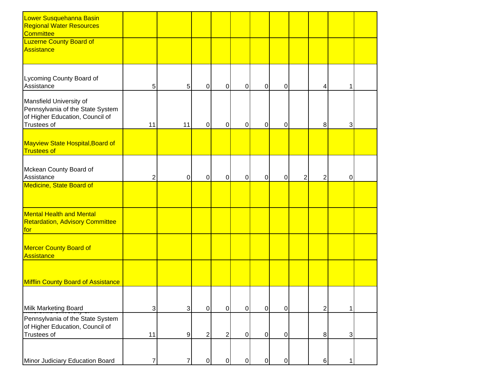| Lower Susquehanna Basin<br><b>Regional Water Resources</b><br>Committee                                       |              |                  |                |   |                |             |                |   |                |   |  |
|---------------------------------------------------------------------------------------------------------------|--------------|------------------|----------------|---|----------------|-------------|----------------|---|----------------|---|--|
| <b>Luzerne County Board of</b><br>Assistance                                                                  |              |                  |                |   |                |             |                |   |                |   |  |
| Lycoming County Board of<br>Assistance                                                                        | 5            | 5                | 0              | 0 | $\overline{0}$ | $\mathbf 0$ | $\mathbf 0$    |   | 4              |   |  |
| Mansfield University of<br>Pennsylvania of the State System<br>of Higher Education, Council of<br>Trustees of | 11           | 11               | $\mathbf 0$    | 0 | $\overline{0}$ | $\mathbf 0$ | $\mathbf 0$    |   | 8              | 3 |  |
| Mayview State Hospital, Board of<br><b>Trustees of</b>                                                        |              |                  |                |   |                |             |                |   |                |   |  |
| Mckean County Board of<br>Assistance                                                                          | 2            | $\pmb{0}$        | $\mathbf 0$    | 0 | $\overline{0}$ | $\pmb{0}$   | $\pmb{0}$      | 2 | $\overline{2}$ | 0 |  |
| <b>Medicine, State Board of</b>                                                                               |              |                  |                |   |                |             |                |   |                |   |  |
| <b>Mental Health and Mental</b><br><b>Retardation, Advisory Committee</b><br>for                              |              |                  |                |   |                |             |                |   |                |   |  |
| <b>Mercer County Board of</b><br>Assistance                                                                   |              |                  |                |   |                |             |                |   |                |   |  |
| <b>Mifflin County Board of Assistance</b>                                                                     |              |                  |                |   |                |             |                |   |                |   |  |
| Milk Marketing Board                                                                                          | $\mathbf{3}$ | $\mathbf{3}$     | $\pmb{0}$      | 0 | $\overline{0}$ | $\mathbf 0$ | $\overline{O}$ |   | $\overline{2}$ |   |  |
| Pennsylvania of the State System<br>of Higher Education, Council of<br>Trustees of                            | 11           | $\boldsymbol{9}$ | $\overline{2}$ | 2 | $\overline{0}$ | $\pmb{0}$   | $\overline{0}$ |   | 8 <sup>1</sup> | 3 |  |
| Minor Judiciary Education Board                                                                               | 7            | 7                | 0              | 0 | $\overline{0}$ | $\mathbf 0$ | $\pmb{0}$      |   | 6              |   |  |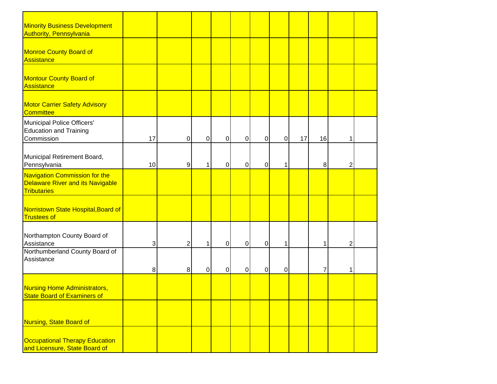| <b>Minority Business Development</b><br><b>Authority, Pennsylvania</b>                         |    |   |                |                |                |                |                |    |                |   |  |
|------------------------------------------------------------------------------------------------|----|---|----------------|----------------|----------------|----------------|----------------|----|----------------|---|--|
| Monroe County Board of<br>Assistance                                                           |    |   |                |                |                |                |                |    |                |   |  |
| <b>Montour County Board of</b><br>Assistance                                                   |    |   |                |                |                |                |                |    |                |   |  |
| <b>Motor Carrier Safety Advisory</b><br><b>Committee</b>                                       |    |   |                |                |                |                |                |    |                |   |  |
| Municipal Police Officers'<br><b>Education and Training</b><br>Commission                      | 17 | 0 | $\overline{0}$ | $\Omega$       | $\overline{0}$ | $\overline{0}$ | $\overline{0}$ | 17 | 16             |   |  |
| Municipal Retirement Board,<br>Pennsylvania                                                    | 10 | 9 | 1              | $\overline{0}$ | $\pmb{0}$      | $\mathbf 0$    | 1              |    | 8              | 2 |  |
| Navigation Commission for the<br><b>Delaware River and its Navigable</b><br><b>Tributaries</b> |    |   |                |                |                |                |                |    |                |   |  |
| Norristown State Hospital, Board of<br><b>Trustees of</b>                                      |    |   |                |                |                |                |                |    |                |   |  |
| Northampton County Board of<br>Assistance                                                      | 3  | 2 | 1              | $\overline{0}$ | $\overline{0}$ | $\mathbf 0$    | 1              |    | 1              | 2 |  |
| Northumberland County Board of<br>Assistance                                                   | 8  | 8 | 0              | $\pmb{0}$      | $\pmb{0}$      | $\pmb{0}$      | 0              |    | $\overline{7}$ | 1 |  |
| <b>Nursing Home Administrators,</b><br><b>State Board of Examiners of</b>                      |    |   |                |                |                |                |                |    |                |   |  |
| Nursing, State Board of                                                                        |    |   |                |                |                |                |                |    |                |   |  |
| Occupational Therapy Education<br>and Licensure, State Board of                                |    |   |                |                |                |                |                |    |                |   |  |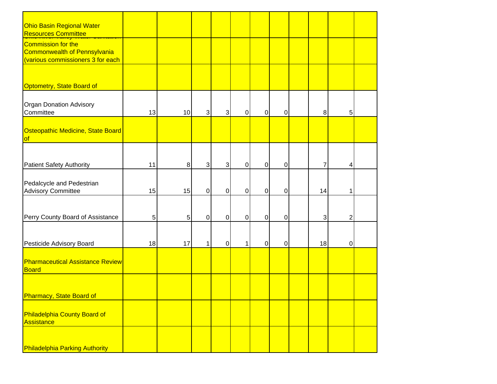| <b>Ohio Basin Regional Water</b>                       |    |         |                |             |                |                |             |        |                |  |
|--------------------------------------------------------|----|---------|----------------|-------------|----------------|----------------|-------------|--------|----------------|--|
| <b>Resources Committee</b>                             |    |         |                |             |                |                |             |        |                |  |
| Commission for the                                     |    |         |                |             |                |                |             |        |                |  |
| <b>Commonwealth of Pennsylvania</b>                    |    |         |                |             |                |                |             |        |                |  |
| (various commissioners 3 for each                      |    |         |                |             |                |                |             |        |                |  |
|                                                        |    |         |                |             |                |                |             |        |                |  |
|                                                        |    |         |                |             |                |                |             |        |                |  |
| Optometry, State Board of                              |    |         |                |             |                |                |             |        |                |  |
|                                                        |    |         |                |             |                |                |             |        |                |  |
| <b>Organ Donation Advisory</b>                         |    |         |                |             |                |                |             |        |                |  |
| Committee                                              | 13 | 10      | $\overline{3}$ | 3           | $\overline{0}$ | $\pmb{0}$      | $\pmb{0}$   | $\, 8$ | 5              |  |
|                                                        |    |         |                |             |                |                |             |        |                |  |
| Osteopathic Medicine, State Board                      |    |         |                |             |                |                |             |        |                |  |
| of                                                     |    |         |                |             |                |                |             |        |                |  |
|                                                        |    |         |                |             |                |                |             |        |                |  |
|                                                        |    |         |                |             |                |                |             |        |                |  |
| <b>Patient Safety Authority</b>                        | 11 | $\bf 8$ | $\overline{3}$ | 3           | $\overline{0}$ | $\mathbf 0$    | $\mathbf 0$ | 7      | 4              |  |
|                                                        |    |         |                |             |                |                |             |        |                |  |
| Pedalcycle and Pedestrian<br><b>Advisory Committee</b> | 15 | 15      | $\overline{O}$ | $\mathbf 0$ | $\overline{0}$ | $\overline{0}$ | $\mathbf 0$ | 14     | 1              |  |
|                                                        |    |         |                |             |                |                |             |        |                |  |
|                                                        |    |         |                |             |                |                |             |        |                |  |
| Perry County Board of Assistance                       | 5  | 5       | $\overline{0}$ | 0           | $\overline{0}$ | $\overline{0}$ | $\mathbf 0$ | 3      | $\overline{2}$ |  |
|                                                        |    |         |                |             |                |                |             |        |                |  |
|                                                        |    |         |                |             |                |                |             |        |                |  |
| Pesticide Advisory Board                               | 18 | 17      | 1              | 0           | $\mathbf 1$    | $\mathbf 0$    | $\mathbf 0$ | 18     | $\pmb{0}$      |  |
|                                                        |    |         |                |             |                |                |             |        |                |  |
| <b>Pharmaceutical Assistance Review</b>                |    |         |                |             |                |                |             |        |                |  |
| Board                                                  |    |         |                |             |                |                |             |        |                |  |
|                                                        |    |         |                |             |                |                |             |        |                |  |
|                                                        |    |         |                |             |                |                |             |        |                |  |
| Pharmacy, State Board of                               |    |         |                |             |                |                |             |        |                |  |
|                                                        |    |         |                |             |                |                |             |        |                |  |
| Philadelphia County Board of                           |    |         |                |             |                |                |             |        |                |  |
| Assistance                                             |    |         |                |             |                |                |             |        |                |  |
|                                                        |    |         |                |             |                |                |             |        |                |  |
|                                                        |    |         |                |             |                |                |             |        |                |  |
| <b>Philadelphia Parking Authority</b>                  |    |         |                |             |                |                |             |        |                |  |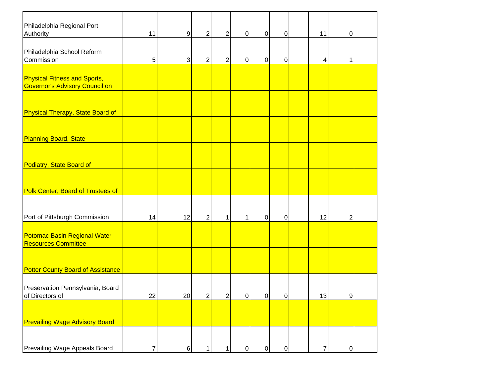| Philadelphia Regional Port<br>Authority                                      | 11 | $\boldsymbol{9}$ | 2                       | 2              | $\overline{0}$ | $\boldsymbol{0}$ | $\overline{0}$ | 11             | 0              |  |
|------------------------------------------------------------------------------|----|------------------|-------------------------|----------------|----------------|------------------|----------------|----------------|----------------|--|
| Philadelphia School Reform<br>Commission                                     | 5  | 3                | $\overline{2}$          | $\overline{2}$ | $\pmb{0}$      | 0                | $\pmb{0}$      | 4              | 1              |  |
| <b>Physical Fitness and Sports,</b><br><b>Governor's Advisory Council on</b> |    |                  |                         |                |                |                  |                |                |                |  |
| Physical Therapy, State Board of                                             |    |                  |                         |                |                |                  |                |                |                |  |
| <b>Planning Board, State</b>                                                 |    |                  |                         |                |                |                  |                |                |                |  |
| Podiatry, State Board of                                                     |    |                  |                         |                |                |                  |                |                |                |  |
| <b>Polk Center, Board of Trustees of</b>                                     |    |                  |                         |                |                |                  |                |                |                |  |
| Port of Pittsburgh Commission                                                | 14 | 12               | $\overline{c}$          | 1              | 1              | $\pmb{0}$        | $\overline{0}$ | 12             | 2              |  |
| <b>Potomac Basin Regional Water</b><br><b>Resources Committee</b>            |    |                  |                         |                |                |                  |                |                |                |  |
| <b>Potter County Board of Assistance</b>                                     |    |                  |                         |                |                |                  |                |                |                |  |
| Preservation Pennsylvania, Board<br>of Directors of                          | 22 | 20               | $\overline{\mathbf{c}}$ | $2\vert$       | $\overline{0}$ | $\overline{0}$   | $\overline{0}$ | 13             | $\overline{9}$ |  |
| <b>Prevailing Wage Advisory Board</b>                                        |    |                  |                         |                |                |                  |                |                |                |  |
| Prevailing Wage Appeals Board                                                | 7  | $\,6$            | 1                       |                | $\pmb{0}$      | $\pmb{0}$        | $\overline{0}$ | $\overline{7}$ | $\mathbf 0$    |  |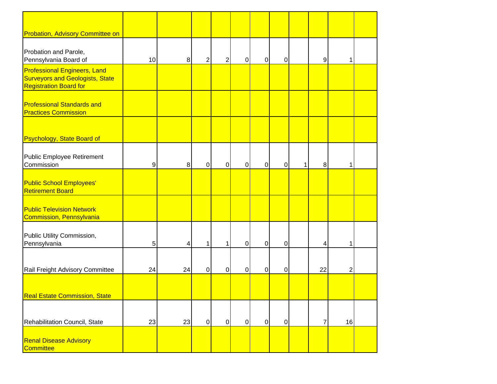| <b>Probation, Advisory Committee on</b>                                                                        |    |                |                |                |                |                |                |   |                |                |  |
|----------------------------------------------------------------------------------------------------------------|----|----------------|----------------|----------------|----------------|----------------|----------------|---|----------------|----------------|--|
| Probation and Parole,<br>Pennsylvania Board of                                                                 | 10 | 8              | $\overline{2}$ | 2              | $\mathbf 0$    | 0              | 0              |   | 9              | 1              |  |
| <b>Professional Engineers, Land</b><br><b>Surveyors and Geologists, State</b><br><b>Registration Board for</b> |    |                |                |                |                |                |                |   |                |                |  |
| <b>Professional Standards and</b><br><b>Practices Commission</b>                                               |    |                |                |                |                |                |                |   |                |                |  |
| <b>Psychology, State Board of</b>                                                                              |    |                |                |                |                |                |                |   |                |                |  |
| Public Employee Retirement<br>Commission                                                                       | 9  | 8 <sup>1</sup> | $\mathbf 0$    | $\pmb{0}$      | $\overline{0}$ | $\mathbf 0$    | $\mathbf 0$    | 1 | 8              | 1              |  |
| <b>Public School Employees'</b><br><b>Retirement Board</b>                                                     |    |                |                |                |                |                |                |   |                |                |  |
| <b>Public Television Network</b><br>Commission, Pennsylvania                                                   |    |                |                |                |                |                |                |   |                |                |  |
| Public Utility Commission,<br>Pennsylvania                                                                     | 5  | 4              | 1              | 1              | $\overline{0}$ | $\mathbf 0$    | $\mathbf 0$    |   | 4              |                |  |
| Rail Freight Advisory Committee                                                                                | 24 | 24             | $\mathbf 0$    | 0              | $\mathbf 0$    | $\mathbf 0$    | $\mathbf 0$    |   | 22             | $\overline{c}$ |  |
| <b>Real Estate Commission, State</b>                                                                           |    |                |                |                |                |                |                |   |                |                |  |
| Rehabilitation Council, State                                                                                  | 23 | 23             | $\overline{0}$ | $\overline{0}$ | $\overline{0}$ | $\overline{0}$ | $\overline{0}$ |   | $\overline{7}$ | 16             |  |
| <b>Renal Disease Advisory</b><br>Committee                                                                     |    |                |                |                |                |                |                |   |                |                |  |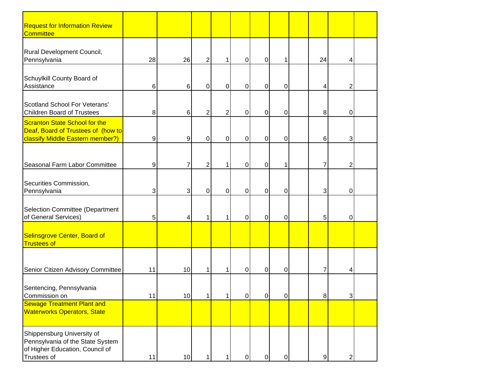| <b>Request for Information Review</b><br><b>Committee</b>                                                        |    |    |                |                |                |                |                |                |                |  |
|------------------------------------------------------------------------------------------------------------------|----|----|----------------|----------------|----------------|----------------|----------------|----------------|----------------|--|
| Rural Development Council,<br>Pennsylvania                                                                       | 28 | 26 | $\overline{2}$ |                | 0              | $\overline{0}$ | 1              | 24             | 4              |  |
| Schuylkill County Board of<br>Assistance                                                                         | 6  | 6  | 0              | 0              | 0              | $\overline{0}$ | 0              | 4              | 2              |  |
| Scotland School For Veterans'<br><b>Children Board of Trustees</b>                                               | 8  | 6  | $\overline{2}$ | 2              | 0              | $\mathbf 0$    | 0              | 8              | $\pmb{0}$      |  |
| Scranton State School for the<br>Deaf, Board of Trustees of (how to<br>classify Middle Eastern member?)          | 9  | 9  | $\pmb{0}$      | $\mathbf 0$    | 0              | $\overline{0}$ | 0              | 6              | 3              |  |
| Seasonal Farm Labor Committee                                                                                    | 9  | 7  | $\overline{c}$ |                | 0              | $\overline{0}$ | 1              | 7              | $\overline{2}$ |  |
| Securities Commission,<br>Pennsylvania                                                                           | 3  | 3  | $\overline{0}$ | $\overline{0}$ | $\mathbf 0$    | $\overline{0}$ | $\mathbf 0$    | 3              | $\Omega$       |  |
| Selection Committee (Department<br>of General Services)                                                          | 5  | 4  | 1              |                | $\mathbf 0$    | $\overline{0}$ | 0              | 5              | $\overline{0}$ |  |
| Selinsgrove Center, Board of<br><b>Trustees of</b>                                                               |    |    |                |                |                |                |                |                |                |  |
| Senior Citizen Advisory Committee                                                                                | 11 | 10 | 1              |                | $\mathbf 0$    | $\overline{0}$ | $\overline{0}$ | 7              | 4              |  |
| Sentencing, Pennsylvania<br>Commission on                                                                        | 11 | 10 |                |                | $\overline{0}$ | $\overline{0}$ | $\overline{0}$ | 8 <sup>1</sup> | $\overline{3}$ |  |
| <b>Sewage Treatment Plant and</b><br><b>Waterworks Operators, State</b>                                          |    |    |                |                |                |                |                |                |                |  |
| Shippensburg University of<br>Pennsylvania of the State System<br>of Higher Education, Council of<br>Trustees of | 11 | 10 |                |                | 0              | $\overline{0}$ | 0              | $\overline{9}$ | 2              |  |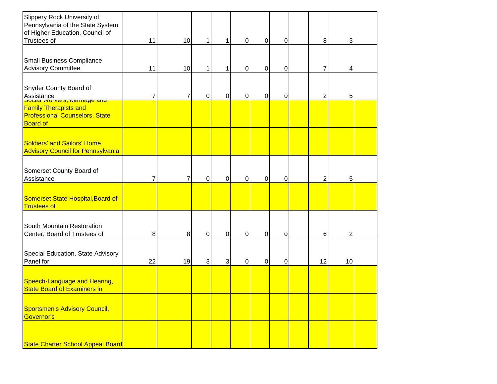| Slippery Rock University of<br>Pennsylvania of the State System<br>of Higher Education, Council of<br>Trustees of | 11 | 10 | 1         |              | $\overline{0}$ | $\mathbf 0$ | 0 | $\bf 8$        | 3  |  |
|-------------------------------------------------------------------------------------------------------------------|----|----|-----------|--------------|----------------|-------------|---|----------------|----|--|
| <b>Small Business Compliance</b><br><b>Advisory Committee</b>                                                     | 11 | 10 | 1         |              | $\mathbf 0$    | $\mathbf 0$ | 0 | 7              | 4  |  |
| Snyder County Board of<br>Assistance<br><u>oudar vyuncis, mamaye anu</u>                                          | 7  | 7  | 0         | $\mathbf 0$  | $\mathbf 0$    | $\pmb{0}$   | 0 | $\overline{2}$ | 5  |  |
| <b>Family Therapists and</b><br><b>Professional Counselors, State</b><br><b>Board of</b>                          |    |    |           |              |                |             |   |                |    |  |
| Soldiers' and Sailors' Home,<br><b>Advisory Council for Pennsylvania</b>                                          |    |    |           |              |                |             |   |                |    |  |
| Somerset County Board of<br>Assistance                                                                            |    |    | 0         | $\mathbf 0$  | $\mathbf 0$    | $\pmb{0}$   | 0 | $\overline{2}$ | 5  |  |
| Somerset State Hospital, Board of<br><b>Trustees of</b>                                                           |    |    |           |              |                |             |   |                |    |  |
| South Mountain Restoration<br>Center, Board of Trustees of                                                        | 8  | 8  | $\pmb{0}$ | $\mathbf 0$  | $\overline{0}$ | $\mathbf 0$ | 0 | 6              | 2  |  |
| Special Education, State Advisory<br>Panel for                                                                    | 22 | 19 | 3         | $\mathbf{3}$ | $\mathbf 0$    | 0           | 0 | 12             | 10 |  |
| Speech-Language and Hearing,<br><b>State Board of Examiners in</b>                                                |    |    |           |              |                |             |   |                |    |  |
| Sportsmen's Advisory Council,<br>Governor's                                                                       |    |    |           |              |                |             |   |                |    |  |
| State Charter School Appeal Board                                                                                 |    |    |           |              |                |             |   |                |    |  |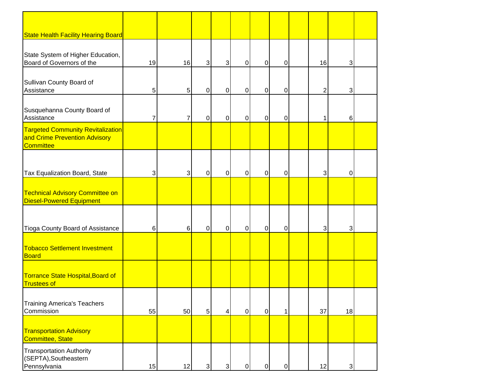| <b>State Health Facility Hearing Board</b>                                                    |                |                |            |                |                |                  |                |                |            |  |
|-----------------------------------------------------------------------------------------------|----------------|----------------|------------|----------------|----------------|------------------|----------------|----------------|------------|--|
| State System of Higher Education,<br>Board of Governors of the                                | 19             | 16             | 3          | 3 <sup>l</sup> | $\mathbf 0$    | 0                | $\overline{0}$ | 16             | 3          |  |
| Sullivan County Board of<br>Assistance                                                        | 5              | 5              | 0          | $\overline{0}$ | $\mathbf 0$    | $\mathbf 0$      | $\mathbf 0$    | $\overline{2}$ | 3          |  |
| Susquehanna County Board of<br>Assistance                                                     | $\overline{7}$ | 7              | 0          | $\overline{0}$ | $\mathbf 0$    | $\boldsymbol{0}$ | $\overline{O}$ | 1              | 6          |  |
| <b>Targeted Community Revitalization</b><br>and Crime Prevention Advisory<br><b>Committee</b> |                |                |            |                |                |                  |                |                |            |  |
| Tax Equalization Board, State                                                                 | $\mathbf{3}$   | 3              | 0          | $\overline{0}$ | $\mathbf 0$    | $\pmb{0}$        | $\overline{0}$ | 3              | 0          |  |
| <b>Technical Advisory Committee on</b><br><b>Diesel-Powered Equipment</b>                     |                |                |            |                |                |                  |                |                |            |  |
| Tioga County Board of Assistance                                                              | 6              | $6\phantom{.}$ | 0          | $\overline{0}$ | $\mathbf 0$    | 0                | $\overline{O}$ | 3              | 3          |  |
| <b>Tobacco Settlement Investment</b><br>Board                                                 |                |                |            |                |                |                  |                |                |            |  |
| Torrance State Hospital, Board of<br><b>Trustees of</b>                                       |                |                |            |                |                |                  |                |                |            |  |
| <b>Training America's Teachers</b><br>Commission                                              | 55             | 50             | 5          | 4 <sup>1</sup> | $\overline{0}$ | $\overline{0}$   | $\mathbf{1}$   | 37             | 18         |  |
| <b>Transportation Advisory</b><br><b>Committee, State</b>                                     |                |                |            |                |                |                  |                |                |            |  |
| <b>Transportation Authority</b><br>(SEPTA), Southeastern<br>Pennsylvania                      | 15             | 12             | $\sqrt{3}$ | 3              | $\mathbf 0$    | $\overline{0}$   | $\overline{O}$ | 12             | $\sqrt{3}$ |  |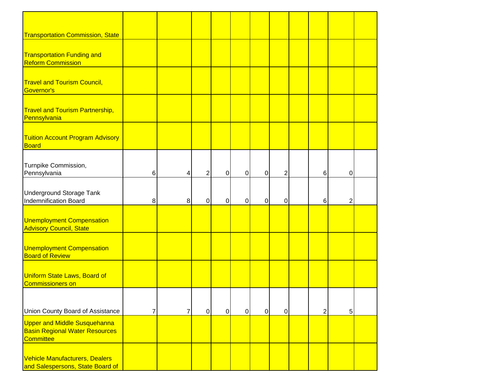| <b>Transportation Commission, State</b>                                   |                |   |                |   |                |                |                |                |                |  |
|---------------------------------------------------------------------------|----------------|---|----------------|---|----------------|----------------|----------------|----------------|----------------|--|
|                                                                           |                |   |                |   |                |                |                |                |                |  |
| <b>Transportation Funding and</b>                                         |                |   |                |   |                |                |                |                |                |  |
| <b>Reform Commission</b>                                                  |                |   |                |   |                |                |                |                |                |  |
|                                                                           |                |   |                |   |                |                |                |                |                |  |
| <b>Travel and Tourism Council,</b>                                        |                |   |                |   |                |                |                |                |                |  |
| Governor's                                                                |                |   |                |   |                |                |                |                |                |  |
|                                                                           |                |   |                |   |                |                |                |                |                |  |
| <b>Travel and Tourism Partnership,</b>                                    |                |   |                |   |                |                |                |                |                |  |
| Pennsylvania                                                              |                |   |                |   |                |                |                |                |                |  |
|                                                                           |                |   |                |   |                |                |                |                |                |  |
| <b>Tuition Account Program Advisory</b>                                   |                |   |                |   |                |                |                |                |                |  |
| <b>Board</b>                                                              |                |   |                |   |                |                |                |                |                |  |
|                                                                           |                |   |                |   |                |                |                |                |                |  |
| Turnpike Commission,<br>Pennsylvania                                      | $6\phantom{1}$ | 4 | $\overline{2}$ | 0 | $\overline{0}$ | $\mathbf 0$    | $\overline{2}$ | 6              | $\mathbf 0$    |  |
|                                                                           |                |   |                |   |                |                |                |                |                |  |
| <b>Underground Storage Tank</b>                                           |                |   |                |   |                |                |                |                |                |  |
| Indemnification Board                                                     | 8              | 8 | $\mathbf 0$    | 0 | $\overline{0}$ | $\mathbf 0$    | 0              | 6              | $\overline{2}$ |  |
|                                                                           |                |   |                |   |                |                |                |                |                |  |
| Unemployment Compensation                                                 |                |   |                |   |                |                |                |                |                |  |
| <b>Advisory Council, State</b>                                            |                |   |                |   |                |                |                |                |                |  |
|                                                                           |                |   |                |   |                |                |                |                |                |  |
| Unemployment Compensation                                                 |                |   |                |   |                |                |                |                |                |  |
| <b>Board of Review</b>                                                    |                |   |                |   |                |                |                |                |                |  |
|                                                                           |                |   |                |   |                |                |                |                |                |  |
| Uniform State Laws, Board of                                              |                |   |                |   |                |                |                |                |                |  |
| Commissioners on                                                          |                |   |                |   |                |                |                |                |                |  |
|                                                                           |                |   |                |   |                |                |                |                |                |  |
|                                                                           |                |   |                |   |                |                |                |                |                |  |
| Union County Board of Assistance                                          | $\overline{7}$ | 7 | $\overline{0}$ | 0 | $\overline{0}$ | $\overline{0}$ | $\overline{0}$ | $\overline{2}$ | 5 <sup>1</sup> |  |
| <b>Upper and Middle Susquehanna</b>                                       |                |   |                |   |                |                |                |                |                |  |
| <b>Basin Regional Water Resources</b><br>Committee                        |                |   |                |   |                |                |                |                |                |  |
|                                                                           |                |   |                |   |                |                |                |                |                |  |
|                                                                           |                |   |                |   |                |                |                |                |                |  |
| <b>Vehicle Manufacturers, Dealers</b><br>and Salespersons, State Board of |                |   |                |   |                |                |                |                |                |  |
|                                                                           |                |   |                |   |                |                |                |                |                |  |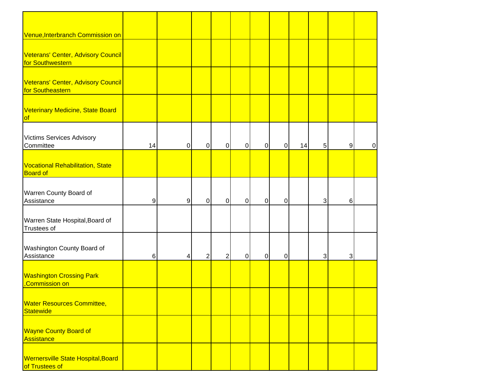| Venue, Interbranch Commission on                            |    |           |                |                |           |                |                |    |              |                |   |
|-------------------------------------------------------------|----|-----------|----------------|----------------|-----------|----------------|----------------|----|--------------|----------------|---|
|                                                             |    |           |                |                |           |                |                |    |              |                |   |
| Veterans' Center, Advisory Council<br>for Southwestern      |    |           |                |                |           |                |                |    |              |                |   |
| Veterans' Center, Advisory Council<br>for Southeastern      |    |           |                |                |           |                |                |    |              |                |   |
| Veterinary Medicine, State Board<br><b>of</b>               |    |           |                |                |           |                |                |    |              |                |   |
| <b>Victims Services Advisory</b><br>Committee               | 14 | $\pmb{0}$ | $\overline{0}$ | 0              | 0         | $\overline{0}$ | $\mathbf 0$    | 14 | 5            | $9\,$          | 0 |
| Vocational Rehabilitation, State<br><b>Board of</b>         |    |           |                |                |           |                |                |    |              |                |   |
| Warren County Board of<br>Assistance                        | 9  | 9         | $\overline{0}$ | $\pmb{0}$      | $\pmb{0}$ | $\overline{0}$ | $\overline{0}$ |    | $\mathbf{3}$ | $6\phantom{1}$ |   |
| Warren State Hospital, Board of<br>Trustees of              |    |           |                |                |           |                |                |    |              |                |   |
| Washington County Board of<br>Assistance                    | 6  | 4         | $\overline{2}$ | $\overline{2}$ | 0         | $\overline{0}$ | $\mathbf 0$    |    | 3            | 3              |   |
| <b>Washington Crossing Park</b><br>Commission on            |    |           |                |                |           |                |                |    |              |                |   |
| <b>Water Resources Committee,</b><br>Statewide              |    |           |                |                |           |                |                |    |              |                |   |
| <b>Wayne County Board of</b><br>Assistance                  |    |           |                |                |           |                |                |    |              |                |   |
| <b>Wernersville State Hospital, Board</b><br>of Trustees of |    |           |                |                |           |                |                |    |              |                |   |